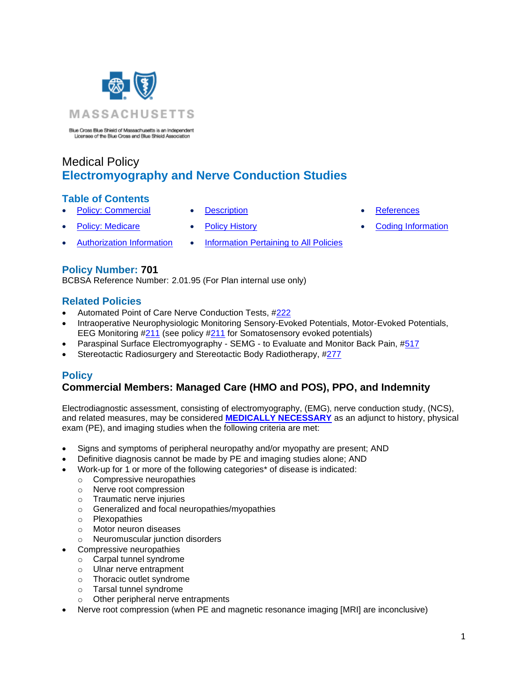

Blue Cross Blue Shield of Massachusetts is an Independent<br>Licenses of the Blue Cross and Blue Shield Association

# Medical Policy **Electromyography and Nerve Conduction Studies**

### **Table of Contents**

- **[Policy: Commercial](#page-0-0) [Description](#page-2-0) Contact + [References](#page-4-0)** 
	-
- Policy: Medicare [Policy History](#page-4-1) [Coding Information](#page-6-0)
- [Authorization Information](#page-2-1) [Information Pertaining to All Policies](#page-4-2)
- 
- 
- 

**Policy Number: 701**

BCBSA Reference Number: 2.01.95 (For Plan internal use only)

### **Related Policies**

- Automated Point of Care Nerve Conduction Tests, [#222](https://www.bluecrossma.org/medical-policies/sites/g/files/csphws2091/files/acquiadam-assets/222%20Automated%20Point%20of%20Care%20Nerve%20Conduction%20Tests%20prn.pdf)
- Intraoperative Neurophysiologic Monitoring Sensory-Evoked Potentials, Motor-Evoked Potentials, EEG Monitoring [#211](https://www.bluecrossma.org/medical-policies/sites/g/files/csphws2091/files/acquiadam-assets/211%20Intraoperative%20Neurophysiologic%20Monitoring%20(Sensory-Evoked%20Potentials,%20Motor-Evoked%20Potentials,%20EEG%20Monitoring)%20prn.pdf) (see policy [#211](https://www.bluecrossma.org/medical-policies/sites/g/files/csphws2091/files/acquiadam-assets/211%20Intraoperative%20Neurophysiologic%20Monitoring%20(Sensory-Evoked%20Potentials,%20Motor-Evoked%20Potentials,%20EEG%20Monitoring)%20prn.pdf) for Somatosensory evoked potentials)
- Paraspinal Surface Electromyography SEMG to Evaluate and Monitor Back Pain, [#517](http://www.bluecrossma.org/medical-policies/sites/g/files/csphws2091/files/acquiadam-assets/517%20Paraspinal%20Surface%20Electromyography%20-%20SEMG%20-%20to%20Evaluate%20and%20Monitor%20Back%20Pain%20prn.pdf)
- <span id="page-0-0"></span>• Stereotactic Radiosurgery and Stereotactic Body Radiotherapy, [#277](https://www.bluecrossma.org/medical-policies/sites/g/files/csphws2091/files/acquiadam-assets/277%20Stereotactic%20Radiosurgery%20and%20Stereotactic%20Body%20Radiotherapy%20prn.pdf)

## **Policy**

# **Commercial Members: Managed Care (HMO and POS), PPO, and Indemnity**

Electrodiagnostic assessment, consisting of electromyography, (EMG), nerve conduction study, (NCS), and related measures, may be considered **[MEDICALLY NECESSARY](https://www.bluecrossma.org/medical-policies/sites/g/files/csphws2091/files/acquiadam-assets/Definition%20of%20Med%20Nec%20Inv%20Not%20Med%20Nec%20prn.pdf#page=1)** as an adjunct to history, physical exam (PE), and imaging studies when the following criteria are met:

- Signs and symptoms of peripheral neuropathy and/or myopathy are present; AND
- Definitive diagnosis cannot be made by PE and imaging studies alone; AND
- Work-up for 1 or more of the following categories\* of disease is indicated:
	- o Compressive neuropathies
	- o Nerve root compression
	- o Traumatic nerve injuries
	- o Generalized and focal neuropathies/myopathies
	- o Plexopathies
	- o Motor neuron diseases
	- o Neuromuscular junction disorders
- Compressive neuropathies
	- o Carpal tunnel syndrome
	- o Ulnar nerve entrapment
	- o Thoracic outlet syndrome
	- o Tarsal tunnel syndrome
	- o Other peripheral nerve entrapments
- Nerve root compression (when PE and magnetic resonance imaging [MRI] are inconclusive)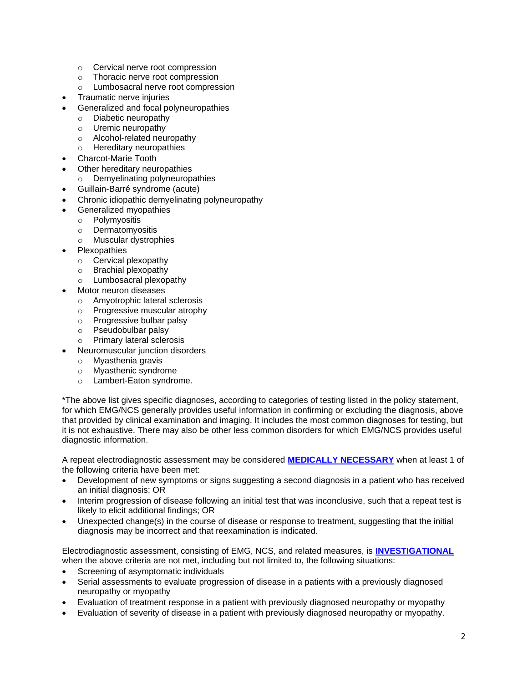- o Cervical nerve root compression
- o Thoracic nerve root compression
- o Lumbosacral nerve root compression
- Traumatic nerve injuries
- Generalized and focal polyneuropathies
	- o Diabetic neuropathy
	- o Uremic neuropathy
	- o Alcohol-related neuropathy
	- o Hereditary neuropathies
- Charcot-Marie Tooth
- Other hereditary neuropathies
	- o Demyelinating polyneuropathies
- Guillain-Barré syndrome (acute)
- Chronic idiopathic demyelinating polyneuropathy
- Generalized myopathies
	- o Polymyositis
	- o Dermatomyositis
	- o Muscular dystrophies
- **Plexopathies** 
	- o Cervical plexopathy
	- o Brachial plexopathy
	- o Lumbosacral plexopathy
- Motor neuron diseases
	- o Amyotrophic lateral sclerosis
	- o Progressive muscular atrophy
	- o Progressive bulbar palsy
	- o Pseudobulbar palsy
	- o Primary lateral sclerosis
- Neuromuscular junction disorders
	- o Myasthenia gravis
	- o Myasthenic syndrome
	- o Lambert-Eaton syndrome.

\*The above list gives specific diagnoses, according to categories of testing listed in the policy statement, for which EMG/NCS generally provides useful information in confirming or excluding the diagnosis, above that provided by clinical examination and imaging. It includes the most common diagnoses for testing, but it is not exhaustive. There may also be other less common disorders for which EMG/NCS provides useful diagnostic information.

A repeat electrodiagnostic assessment may be considered **[MEDICALLY NECESSARY](https://www.bluecrossma.org/medical-policies/sites/g/files/csphws2091/files/acquiadam-assets/Definition%20of%20Med%20Nec%20Inv%20Not%20Med%20Nec%20prn.pdf#page=1)** when at least 1 of the following criteria have been met:

- Development of new symptoms or signs suggesting a second diagnosis in a patient who has received an initial diagnosis; OR
- Interim progression of disease following an initial test that was inconclusive, such that a repeat test is likely to elicit additional findings; OR
- Unexpected change(s) in the course of disease or response to treatment, suggesting that the initial diagnosis may be incorrect and that reexamination is indicated.

Electrodiagnostic assessment, consisting of EMG, NCS, and related measures, is **[INVESTIGATIONAL](https://www.bluecrossma.org/medical-policies/sites/g/files/csphws2091/files/acquiadam-assets/Definition%20of%20Med%20Nec%20Inv%20Not%20Med%20Nec%20prn.pdf#page=1)** when the above criteria are not met, including but not limited to, the following situations:

- Screening of asymptomatic individuals
- Serial assessments to evaluate progression of disease in a patients with a previously diagnosed neuropathy or myopathy
- Evaluation of treatment response in a patient with previously diagnosed neuropathy or myopathy
- Evaluation of severity of disease in a patient with previously diagnosed neuropathy or myopathy.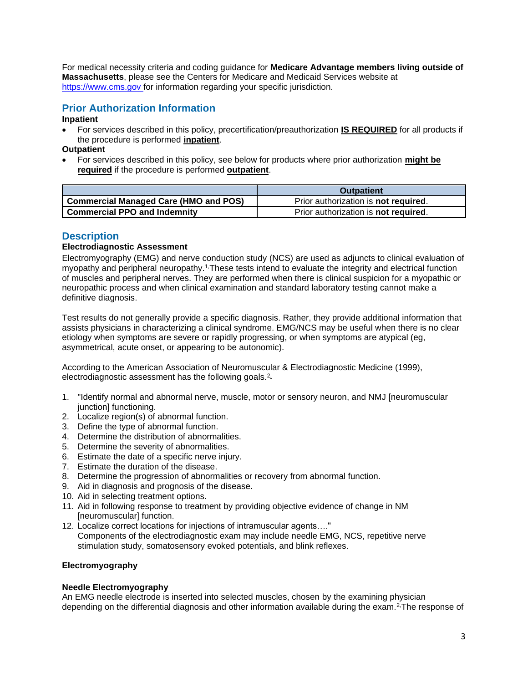For medical necessity criteria and coding guidance for **Medicare Advantage members living outside of Massachusetts**, please see the Centers for Medicare and Medicaid Services website at [https://www.cms.gov f](https://www.cms.gov/)or information regarding your specific jurisdiction.

# <span id="page-2-1"></span>**Prior Authorization Information**

#### **Inpatient**

• For services described in this policy, precertification/preauthorization **IS REQUIRED** for all products if the procedure is performed **inpatient**.

**Outpatient**

• For services described in this policy, see below for products where prior authorization **might be required** if the procedure is performed **outpatient**.

|                                         | <b>Outpatient</b>                            |
|-----------------------------------------|----------------------------------------------|
| ' Commercial Managed Care (HMO and POS) | Prior authorization is not required.         |
| <b>Commercial PPO and Indemnity</b>     | Prior authorization is <b>not required</b> . |

### <span id="page-2-0"></span>**Description**

### **Electrodiagnostic Assessment**

Electromyography (EMG) and nerve conduction study (NCS) are used as adjuncts to clinical evaluation of myopathy and peripheral neuropathy.<sup>1</sup> These tests intend to evaluate the integrity and electrical function of muscles and peripheral nerves. They are performed when there is clinical suspicion for a myopathic or neuropathic process and when clinical examination and standard laboratory testing cannot make a definitive diagnosis.

Test results do not generally provide a specific diagnosis. Rather, they provide additional information that assists physicians in characterizing a clinical syndrome. EMG/NCS may be useful when there is no clear etiology when symptoms are severe or rapidly progressing, or when symptoms are atypical (eg, asymmetrical, acute onset, or appearing to be autonomic).

According to the American Association of Neuromuscular & Electrodiagnostic Medicine (1999), electrodiagnostic assessment has the following goals.<sup>2</sup>

- 1. "Identify normal and abnormal nerve, muscle, motor or sensory neuron, and NMJ [neuromuscular junction] functioning.
- 2. Localize region(s) of abnormal function.
- 3. Define the type of abnormal function.
- 4. Determine the distribution of abnormalities.
- 5. Determine the severity of abnormalities.
- 6. Estimate the date of a specific nerve injury.
- 7. Estimate the duration of the disease.
- 8. Determine the progression of abnormalities or recovery from abnormal function.
- 9. Aid in diagnosis and prognosis of the disease.
- 10. Aid in selecting treatment options.
- 11. Aid in following response to treatment by providing objective evidence of change in NM [neuromuscular] function.
- 12. Localize correct locations for injections of intramuscular agents…." Components of the electrodiagnostic exam may include needle EMG, NCS, repetitive nerve stimulation study, somatosensory evoked potentials, and blink reflexes.

#### **Electromyography**

#### **Needle Electromyography**

An EMG needle electrode is inserted into selected muscles, chosen by the examining physician depending on the differential diagnosis and other information available during the exam.<sup>2</sup> The response of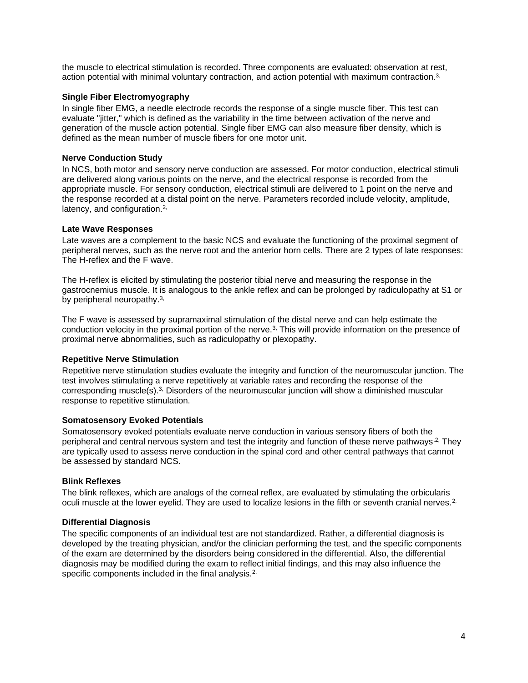the muscle to electrical stimulation is recorded. Three components are evaluated: observation at rest, action potential with minimal voluntary contraction, and action potential with maximum contraction.[3,](https://www.evidencepositioningsystem.com/_w_ec3cef6173c1680e6374bc0fc14bdcfbb24e6504624ed156/BCBSA/html/_blank)

#### **Single Fiber Electromyography**

In single fiber EMG, a needle electrode records the response of a single muscle fiber. This test can evaluate "jitter," which is defined as the variability in the time between activation of the nerve and generation of the muscle action potential. Single fiber EMG can also measure fiber density, which is defined as the mean number of muscle fibers for one motor unit.

#### **Nerve Conduction Study**

In NCS, both motor and sensory nerve conduction are assessed. For motor conduction, electrical stimuli are delivered along various points on the nerve, and the electrical response is recorded from the appropriate muscle. For sensory conduction, electrical stimuli are delivered to 1 point on the nerve and the response recorded at a distal point on the nerve. Parameters recorded include velocity, amplitude, latency, and configuration.[2,](https://www.evidencepositioningsystem.com/_w_ec3cef6173c1680e6374bc0fc14bdcfbb24e6504624ed156/BCBSA/html/_blank)

#### **Late Wave Responses**

Late waves are a complement to the basic NCS and evaluate the functioning of the proximal segment of peripheral nerves, such as the nerve root and the anterior horn cells. There are 2 types of late responses: The H-reflex and the F wave.

The H-reflex is elicited by stimulating the posterior tibial nerve and measuring the response in the gastrocnemius muscle. It is analogous to the ankle reflex and can be prolonged by radiculopathy at S1 or by peripheral neuropathy.<sup>[3,](https://www.evidencepositioningsystem.com/_w_ec3cef6173c1680e6374bc0fc14bdcfbb24e6504624ed156/BCBSA/html/_blank)</sup>

The F wave is assessed by supramaximal stimulation of the distal nerve and can help estimate the conduction velocity in the proximal portion of the nerve.[3,](https://www.evidencepositioningsystem.com/_w_ec3cef6173c1680e6374bc0fc14bdcfbb24e6504624ed156/BCBSA/html/_blank) This will provide information on the presence of proximal nerve abnormalities, such as radiculopathy or plexopathy.

#### **Repetitive Nerve Stimulation**

Repetitive nerve stimulation studies evaluate the integrity and function of the neuromuscular junction. The test involves stimulating a nerve repetitively at variable rates and recording the response of the corresponding muscle(s).[3,](https://www.evidencepositioningsystem.com/_w_ec3cef6173c1680e6374bc0fc14bdcfbb24e6504624ed156/BCBSA/html/_blank) Disorders of the neuromuscular junction will show a diminished muscular response to repetitive stimulation.

#### **Somatosensory Evoked Potentials**

Somatosensory evoked potentials evaluate nerve conduction in various sensory fibers of both the peripheral and central nervous system and test the integrity and function of these nerve pathways.<sup>2,</sup> They are typically used to assess nerve conduction in the spinal cord and other central pathways that cannot be assessed by standard NCS.

#### **Blink Reflexes**

The blink reflexes, which are analogs of the corneal reflex, are evaluated by stimulating the orbicularis oculi muscle at the lower eyelid. They are used to localize lesions in the fifth or seventh cranial nerves.<sup>[2,](https://www.evidencepositioningsystem.com/_w_ec3cef6173c1680e6374bc0fc14bdcfbb24e6504624ed156/BCBSA/html/_blank)</sup>

#### **Differential Diagnosis**

The specific components of an individual test are not standardized. Rather, a differential diagnosis is developed by the treating physician, and/or the clinician performing the test, and the specific components of the exam are determined by the disorders being considered in the differential. Also, the differential diagnosis may be modified during the exam to reflect initial findings, and this may also influence the specific components included in the final analysis.<sup>[2,](https://www.evidencepositioningsystem.com/_w_ec3cef6173c1680e6374bc0fc14bdcfbb24e6504624ed156/BCBSA/html/_blank)</sup>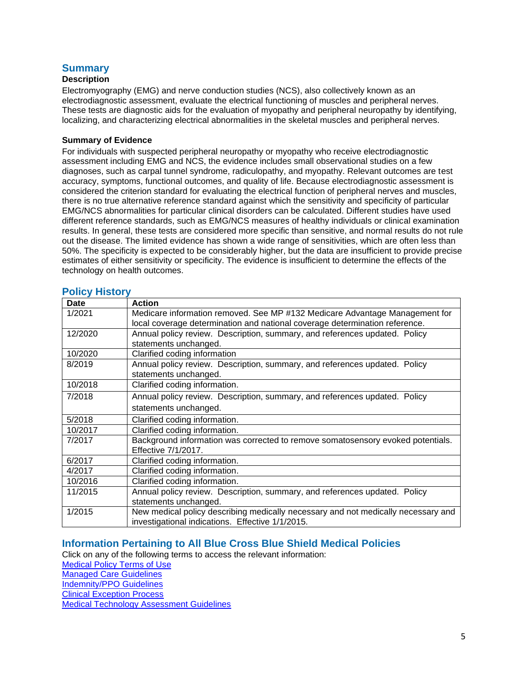# **Summary**

# **Description**

Electromyography (EMG) and nerve conduction studies (NCS), also collectively known as an electrodiagnostic assessment, evaluate the electrical functioning of muscles and peripheral nerves. These tests are diagnostic aids for the evaluation of myopathy and peripheral neuropathy by identifying, localizing, and characterizing electrical abnormalities in the skeletal muscles and peripheral nerves.

#### **Summary of Evidence**

For individuals with suspected peripheral neuropathy or myopathy who receive electrodiagnostic assessment including EMG and NCS, the evidence includes small observational studies on a few diagnoses, such as carpal tunnel syndrome, radiculopathy, and myopathy. Relevant outcomes are test accuracy, symptoms, functional outcomes, and quality of life. Because electrodiagnostic assessment is considered the criterion standard for evaluating the electrical function of peripheral nerves and muscles, there is no true alternative reference standard against which the sensitivity and specificity of particular EMG/NCS abnormalities for particular clinical disorders can be calculated. Different studies have used different reference standards, such as EMG/NCS measures of healthy individuals or clinical examination results. In general, these tests are considered more specific than sensitive, and normal results do not rule out the disease. The limited evidence has shown a wide range of sensitivities, which are often less than 50%. The specificity is expected to be considerably higher, but the data are insufficient to provide precise estimates of either sensitivity or specificity. The evidence is insufficient to determine the effects of the technology on health outcomes.

<span id="page-4-1"></span>

|  |  | <b>Policy History</b> |
|--|--|-----------------------|
|--|--|-----------------------|

| <b>Date</b> | <b>Action</b>                                                                     |
|-------------|-----------------------------------------------------------------------------------|
| 1/2021      | Medicare information removed. See MP #132 Medicare Advantage Management for       |
|             | local coverage determination and national coverage determination reference.       |
| 12/2020     | Annual policy review. Description, summary, and references updated. Policy        |
|             | statements unchanged.                                                             |
| 10/2020     | Clarified coding information                                                      |
| 8/2019      | Annual policy review. Description, summary, and references updated. Policy        |
|             | statements unchanged.                                                             |
| 10/2018     | Clarified coding information.                                                     |
| 7/2018      | Annual policy review. Description, summary, and references updated. Policy        |
|             | statements unchanged.                                                             |
| 5/2018      | Clarified coding information.                                                     |
| 10/2017     | Clarified coding information.                                                     |
| 7/2017      | Background information was corrected to remove somatosensory evoked potentials.   |
|             | Effective 7/1/2017.                                                               |
| 6/2017      | Clarified coding information.                                                     |
| 4/2017      | Clarified coding information.                                                     |
| 10/2016     | Clarified coding information.                                                     |
| 11/2015     | Annual policy review. Description, summary, and references updated. Policy        |
|             | statements unchanged.                                                             |
| 1/2015      | New medical policy describing medically necessary and not medically necessary and |
|             | investigational indications. Effective 1/1/2015.                                  |

## <span id="page-4-2"></span>**Information Pertaining to All Blue Cross Blue Shield Medical Policies**

Click on any of the following terms to access the relevant information:

[Medical Policy Terms of Use](http://www.bluecrossma.org/medical-policies/sites/g/files/csphws2091/files/acquiadam-assets/Medical_Policy_Terms_of_Use_prn.pdf)

[Managed Care Guidelines](http://www.bluecrossma.org/medical-policies/sites/g/files/csphws2091/files/acquiadam-assets/Managed_Care_Guidelines_prn.pdf)

[Indemnity/PPO Guidelines](http://www.bluecrossma.org/medical-policies/sites/g/files/csphws2091/files/acquiadam-assets/Indemnity_and_PPO_Guidelines_prn.pdf)

[Clinical Exception Process](http://www.bluecrossma.org/medical-policies/sites/g/files/csphws2091/files/acquiadam-assets/Clinical_Exception_Process_prn.pdf)

<span id="page-4-0"></span>[Medical Technology Assessment Guidelines](http://www.bluecrossma.org/medical-policies/sites/g/files/csphws2091/files/acquiadam-assets/Medical_Technology_Assessment_Guidelines_prn.pdf)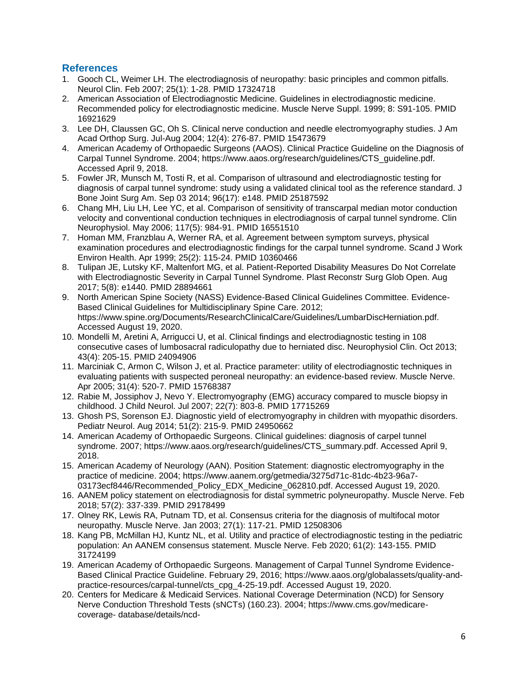### **References**

- 1. Gooch CL, Weimer LH. The electrodiagnosis of neuropathy: basic principles and common pitfalls. Neurol Clin. Feb 2007; 25(1): 1-28. PMID 17324718
- 2. American Association of Electrodiagnostic Medicine. Guidelines in electrodiagnostic medicine. Recommended policy for electrodiagnostic medicine. Muscle Nerve Suppl. 1999; 8: S91-105. PMID 16921629
- 3. Lee DH, Claussen GC, Oh S. Clinical nerve conduction and needle electromyography studies. J Am Acad Orthop Surg. Jul-Aug 2004; 12(4): 276-87. PMID 15473679
- 4. American Academy of Orthopaedic Surgeons (AAOS). Clinical Practice Guideline on the Diagnosis of Carpal Tunnel Syndrome. 2004; https://www.aaos.org/research/guidelines/CTS\_guideline.pdf. Accessed April 9, 2018.
- 5. Fowler JR, Munsch M, Tosti R, et al. Comparison of ultrasound and electrodiagnostic testing for diagnosis of carpal tunnel syndrome: study using a validated clinical tool as the reference standard. J Bone Joint Surg Am. Sep 03 2014; 96(17): e148. PMID 25187592
- 6. Chang MH, Liu LH, Lee YC, et al. Comparison of sensitivity of transcarpal median motor conduction velocity and conventional conduction techniques in electrodiagnosis of carpal tunnel syndrome. Clin Neurophysiol. May 2006; 117(5): 984-91. PMID 16551510
- 7. Homan MM, Franzblau A, Werner RA, et al. Agreement between symptom surveys, physical examination procedures and electrodiagnostic findings for the carpal tunnel syndrome. Scand J Work Environ Health. Apr 1999; 25(2): 115-24. PMID 10360466
- 8. Tulipan JE, Lutsky KF, Maltenfort MG, et al. Patient-Reported Disability Measures Do Not Correlate with Electrodiagnostic Severity in Carpal Tunnel Syndrome. Plast Reconstr Surg Glob Open. Aug 2017; 5(8): e1440. PMID 28894661
- 9. North American Spine Society (NASS) Evidence-Based Clinical Guidelines Committee. Evidence-Based Clinical Guidelines for Multidisciplinary Spine Care. 2012; https://www.spine.org/Documents/ResearchClinicalCare/Guidelines/LumbarDiscHerniation.pdf. Accessed August 19, 2020.
- 10. Mondelli M, Aretini A, Arrigucci U, et al. Clinical findings and electrodiagnostic testing in 108 consecutive cases of lumbosacral radiculopathy due to herniated disc. Neurophysiol Clin. Oct 2013; 43(4): 205-15. PMID 24094906
- 11. Marciniak C, Armon C, Wilson J, et al. Practice parameter: utility of electrodiagnostic techniques in evaluating patients with suspected peroneal neuropathy: an evidence-based review. Muscle Nerve. Apr 2005; 31(4): 520-7. PMID 15768387
- 12. Rabie M, Jossiphov J, Nevo Y. Electromyography (EMG) accuracy compared to muscle biopsy in childhood. J Child Neurol. Jul 2007; 22(7): 803-8. PMID 17715269
- 13. Ghosh PS, Sorenson EJ. Diagnostic yield of electromyography in children with myopathic disorders. Pediatr Neurol. Aug 2014; 51(2): 215-9. PMID 24950662
- 14. American Academy of Orthopaedic Surgeons. Clinical guidelines: diagnosis of carpel tunnel syndrome. 2007; https://www.aaos.org/research/guidelines/CTS\_summary.pdf. Accessed April 9, 2018.
- 15. American Academy of Neurology (AAN). Position Statement: diagnostic electromyography in the practice of medicine. 2004; https://www.aanem.org/getmedia/3275d71c-81dc-4b23-96a7- 03173ecf8446/Recommended\_Policy\_EDX\_Medicine\_062810.pdf. Accessed August 19, 2020.
- 16. AANEM policy statement on electrodiagnosis for distal symmetric polyneuropathy. Muscle Nerve. Feb 2018; 57(2): 337-339. PMID 29178499
- 17. Olney RK, Lewis RA, Putnam TD, et al. Consensus criteria for the diagnosis of multifocal motor neuropathy. Muscle Nerve. Jan 2003; 27(1): 117-21. PMID 12508306
- 18. Kang PB, McMillan HJ, Kuntz NL, et al. Utility and practice of electrodiagnostic testing in the pediatric population: An AANEM consensus statement. Muscle Nerve. Feb 2020; 61(2): 143-155. PMID 31724199
- 19. American Academy of Orthopaedic Surgeons. Management of Carpal Tunnel Syndrome Evidence-Based Clinical Practice Guideline. February 29, 2016; https://www.aaos.org/globalassets/quality-andpractice-resources/carpal-tunnel/cts\_cpg\_4-25-19.pdf. Accessed August 19, 2020.
- 20. Centers for Medicare & Medicaid Services. National Coverage Determination (NCD) for Sensory Nerve Conduction Threshold Tests (sNCTs) (160.23). 2004; https://www.cms.gov/medicarecoverage- database/details/ncd-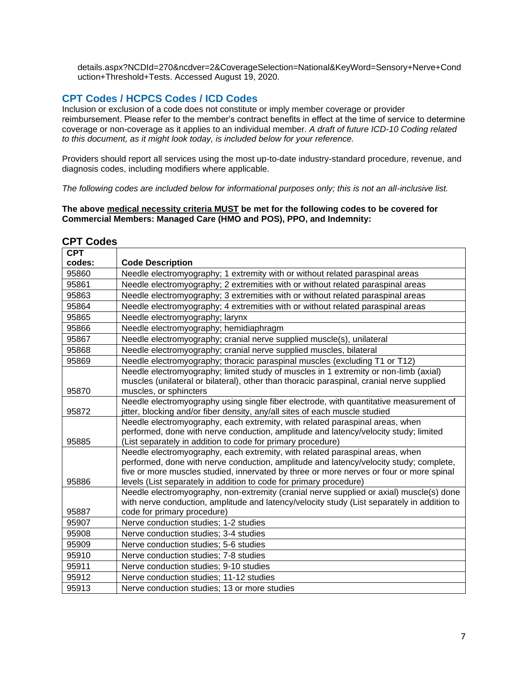details.aspx?NCDId=270&ncdver=2&CoverageSelection=National&KeyWord=Sensory+Nerve+Cond uction+Threshold+Tests. Accessed August 19, 2020.

# <span id="page-6-0"></span>**CPT Codes / HCPCS Codes / ICD Codes**

Inclusion or exclusion of a code does not constitute or imply member coverage or provider reimbursement. Please refer to the member's contract benefits in effect at the time of service to determine coverage or non-coverage as it applies to an individual member. *A draft of future ICD-10 Coding related to this document, as it might look today, is included below for your reference.*

Providers should report all services using the most up-to-date industry-standard procedure, revenue, and diagnosis codes, including modifiers where applicable.

*The following codes are included below for informational purposes only; this is not an all-inclusive list.*

**The above medical necessity criteria MUST be met for the following codes to be covered for Commercial Members: Managed Care (HMO and POS), PPO, and Indemnity:**

| <b>CPT</b> |                                                                                                                                                     |
|------------|-----------------------------------------------------------------------------------------------------------------------------------------------------|
| codes:     | <b>Code Description</b>                                                                                                                             |
| 95860      | Needle electromyography; 1 extremity with or without related paraspinal areas                                                                       |
| 95861      | Needle electromyography; 2 extremities with or without related paraspinal areas                                                                     |
| 95863      | Needle electromyography; 3 extremities with or without related paraspinal areas                                                                     |
| 95864      | Needle electromyography; 4 extremities with or without related paraspinal areas                                                                     |
| 95865      | Needle electromyography; larynx                                                                                                                     |
| 95866      | Needle electromyography; hemidiaphragm                                                                                                              |
| 95867      | Needle electromyography; cranial nerve supplied muscle(s), unilateral                                                                               |
| 95868      | Needle electromyography; cranial nerve supplied muscles, bilateral                                                                                  |
| 95869      | Needle electromyography; thoracic paraspinal muscles (excluding T1 or T12)                                                                          |
|            | Needle electromyography; limited study of muscles in 1 extremity or non-limb (axial)                                                                |
|            | muscles (unilateral or bilateral), other than thoracic paraspinal, cranial nerve supplied                                                           |
| 95870      | muscles, or sphincters                                                                                                                              |
|            | Needle electromyography using single fiber electrode, with quantitative measurement of                                                              |
| 95872      | jitter, blocking and/or fiber density, any/all sites of each muscle studied                                                                         |
|            | Needle electromyography, each extremity, with related paraspinal areas, when                                                                        |
| 95885      | performed, done with nerve conduction, amplitude and latency/velocity study; limited<br>(List separately in addition to code for primary procedure) |
|            | Needle electromyography, each extremity, with related paraspinal areas, when                                                                        |
|            | performed, done with nerve conduction, amplitude and latency/velocity study; complete,                                                              |
|            | five or more muscles studied, innervated by three or more nerves or four or more spinal                                                             |
| 95886      | levels (List separately in addition to code for primary procedure)                                                                                  |
|            | Needle electromyography, non-extremity (cranial nerve supplied or axial) muscle(s) done                                                             |
|            | with nerve conduction, amplitude and latency/velocity study (List separately in addition to                                                         |
| 95887      | code for primary procedure)                                                                                                                         |
| 95907      | Nerve conduction studies; 1-2 studies                                                                                                               |
| 95908      | Nerve conduction studies; 3-4 studies                                                                                                               |
| 95909      | Nerve conduction studies; 5-6 studies                                                                                                               |
| 95910      | Nerve conduction studies; 7-8 studies                                                                                                               |
| 95911      | Nerve conduction studies; 9-10 studies                                                                                                              |
| 95912      | Nerve conduction studies; 11-12 studies                                                                                                             |
| 95913      | Nerve conduction studies; 13 or more studies                                                                                                        |

### **CPT Codes**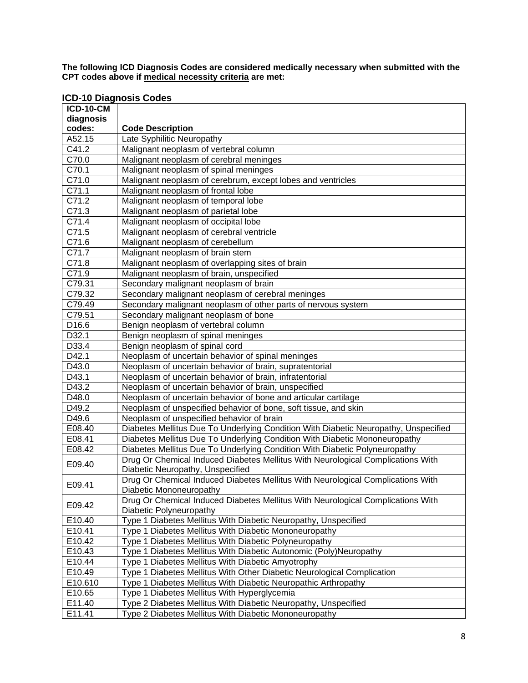**The following ICD Diagnosis Codes are considered medically necessary when submitted with the CPT codes above if medical necessity criteria are met:**

| <b>ICD-10 Diagnosis Codes</b> |  |  |  |
|-------------------------------|--|--|--|
|-------------------------------|--|--|--|

| <b>ICD-10-CM</b>   |                                                                                     |
|--------------------|-------------------------------------------------------------------------------------|
| diagnosis          |                                                                                     |
| codes:             | <b>Code Description</b>                                                             |
| A52.15             | Late Syphilitic Neuropathy                                                          |
| C41.2              | Malignant neoplasm of vertebral column                                              |
| C70.0              | Malignant neoplasm of cerebral meninges                                             |
| C70.1              | Malignant neoplasm of spinal meninges                                               |
| $\overline{C71.0}$ | Malignant neoplasm of cerebrum, except lobes and ventricles                         |
| C71.1              | Malignant neoplasm of frontal lobe                                                  |
| C71.2              | Malignant neoplasm of temporal lobe                                                 |
| $\overline{C71.3}$ | Malignant neoplasm of parietal lobe                                                 |
| C71.4              | Malignant neoplasm of occipital lobe                                                |
| C71.5              | Malignant neoplasm of cerebral ventricle                                            |
| C71.6              | Malignant neoplasm of cerebellum                                                    |
| C71.7              | Malignant neoplasm of brain stem                                                    |
| C71.8              | Malignant neoplasm of overlapping sites of brain                                    |
| C71.9              | Malignant neoplasm of brain, unspecified                                            |
| C79.31             | Secondary malignant neoplasm of brain                                               |
| C79.32             | Secondary malignant neoplasm of cerebral meninges                                   |
| C79.49             | Secondary malignant neoplasm of other parts of nervous system                       |
| C79.51             | Secondary malignant neoplasm of bone                                                |
| D16.6              | Benign neoplasm of vertebral column                                                 |
| D32.1              | Benign neoplasm of spinal meninges                                                  |
| D33.4              | Benign neoplasm of spinal cord                                                      |
| D42.1              | Neoplasm of uncertain behavior of spinal meninges                                   |
| D43.0              | Neoplasm of uncertain behavior of brain, supratentorial                             |
| D43.1              | Neoplasm of uncertain behavior of brain, infratentorial                             |
| D43.2              | Neoplasm of uncertain behavior of brain, unspecified                                |
| D48.0              | Neoplasm of uncertain behavior of bone and articular cartilage                      |
| D49.2              | Neoplasm of unspecified behavior of bone, soft tissue, and skin                     |
| D49.6              | Neoplasm of unspecified behavior of brain                                           |
| E08.40             | Diabetes Mellitus Due To Underlying Condition With Diabetic Neuropathy, Unspecified |
| E08.41             | Diabetes Mellitus Due To Underlying Condition With Diabetic Mononeuropathy          |
| E08.42             | Diabetes Mellitus Due To Underlying Condition With Diabetic Polyneuropathy          |
| E09.40             | Drug Or Chemical Induced Diabetes Mellitus With Neurological Complications With     |
|                    | Diabetic Neuropathy, Unspecified                                                    |
| E09.41             | Drug Or Chemical Induced Diabetes Mellitus With Neurological Complications With     |
|                    | Diabetic Mononeuropathy                                                             |
| E09.42             | Drug Or Chemical Induced Diabetes Mellitus With Neurological Complications With     |
|                    | Diabetic Polyneuropathy                                                             |
| E10.40             | Type 1 Diabetes Mellitus With Diabetic Neuropathy, Unspecified                      |
| E10.41             | Type 1 Diabetes Mellitus With Diabetic Mononeuropathy                               |
| E10.42             | Type 1 Diabetes Mellitus With Diabetic Polyneuropathy                               |
| E10.43             | Type 1 Diabetes Mellitus With Diabetic Autonomic (Poly)Neuropathy                   |
| E10.44             | Type 1 Diabetes Mellitus With Diabetic Amyotrophy                                   |
| E10.49             | Type 1 Diabetes Mellitus With Other Diabetic Neurological Complication              |
| E10.610            | Type 1 Diabetes Mellitus With Diabetic Neuropathic Arthropathy                      |
| E10.65             | Type 1 Diabetes Mellitus With Hyperglycemia                                         |
| E11.40             | Type 2 Diabetes Mellitus With Diabetic Neuropathy, Unspecified                      |
| E11.41             | Type 2 Diabetes Mellitus With Diabetic Mononeuropathy                               |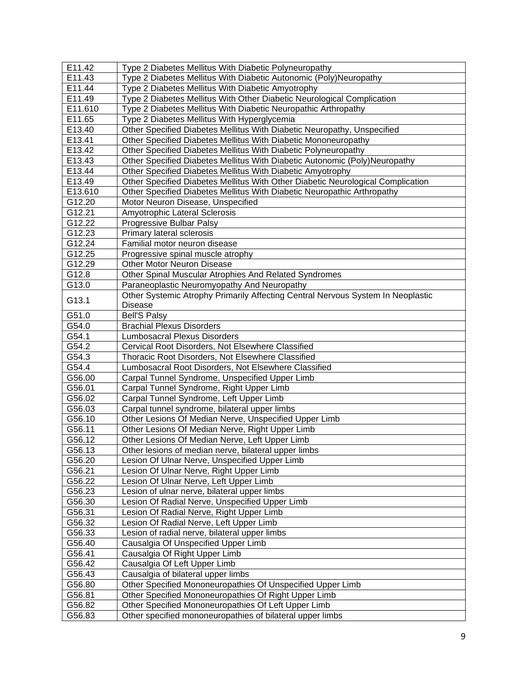| E <sub>11.42</sub> | Type 2 Diabetes Mellitus With Diabetic Polyneuropathy                           |
|--------------------|---------------------------------------------------------------------------------|
| E11.43             | Type 2 Diabetes Mellitus With Diabetic Autonomic (Poly)Neuropathy               |
| E11.44             | Type 2 Diabetes Mellitus With Diabetic Amyotrophy                               |
| E11.49             | Type 2 Diabetes Mellitus With Other Diabetic Neurological Complication          |
| E11.610            | Type 2 Diabetes Mellitus With Diabetic Neuropathic Arthropathy                  |
| E11.65             | Type 2 Diabetes Mellitus With Hyperglycemia                                     |
| E13.40             | Other Specified Diabetes Mellitus With Diabetic Neuropathy, Unspecified         |
| E13.41             | Other Specified Diabetes Mellitus With Diabetic Mononeuropathy                  |
| E13.42             | Other Specified Diabetes Mellitus With Diabetic Polyneuropathy                  |
| E13.43             | Other Specified Diabetes Mellitus With Diabetic Autonomic (Poly)Neuropathy      |
| E13.44             | Other Specified Diabetes Mellitus With Diabetic Amyotrophy                      |
| E13.49             | Other Specified Diabetes Mellitus With Other Diabetic Neurological Complication |
| E13.610            | Other Specified Diabetes Mellitus With Diabetic Neuropathic Arthropathy         |
| G12.20             | Motor Neuron Disease, Unspecified                                               |
| G12.21             | Amyotrophic Lateral Sclerosis                                                   |
| G12.22             | Progressive Bulbar Palsy                                                        |
| G12.23             | Primary lateral sclerosis                                                       |
| G12.24             | Familial motor neuron disease                                                   |
| G12.25             | Progressive spinal muscle atrophy                                               |
| G12.29             | Other Motor Neuron Disease                                                      |
| G12.8              | Other Spinal Muscular Atrophies And Related Syndromes                           |
| G13.0              | Paraneoplastic Neuromyopathy And Neuropathy                                     |
|                    | Other Systemic Atrophy Primarily Affecting Central Nervous System In Neoplastic |
| G13.1              | <b>Disease</b>                                                                  |
| G51.0              | <b>Bell'S Palsy</b>                                                             |
| G54.0              | <b>Brachial Plexus Disorders</b>                                                |
| G54.1              | <b>Lumbosacral Plexus Disorders</b>                                             |
| G54.2              | Cervical Root Disorders, Not Elsewhere Classified                               |
| G54.3              | Thoracic Root Disorders, Not Elsewhere Classified                               |
| G54.4              | Lumbosacral Root Disorders, Not Elsewhere Classified                            |
| G56.00             | Carpal Tunnel Syndrome, Unspecified Upper Limb                                  |
| G56.01             | Carpal Tunnel Syndrome, Right Upper Limb                                        |
| G56.02             | Carpal Tunnel Syndrome, Left Upper Limb                                         |
| G56.03             | Carpal tunnel syndrome, bilateral upper limbs                                   |
| G56.10             | Other Lesions Of Median Nerve, Unspecified Upper Limb                           |
| G56.11             | Other Lesions Of Median Nerve, Right Upper Limb                                 |
| G56.12             | Other Lesions Of Median Nerve, Left Upper Limb                                  |
| G56.13             | Other lesions of median nerve, bilateral upper limbs                            |
| G56.20             | Lesion Of Ulnar Nerve, Unspecified Upper Limb                                   |
| G56.21             | Lesion Of Ulnar Nerve, Right Upper Limb                                         |
| G56.22             | Lesion Of Ulnar Nerve, Left Upper Limb                                          |
| G56.23             | Lesion of ulnar nerve, bilateral upper limbs                                    |
| G56.30             | Lesion Of Radial Nerve, Unspecified Upper Limb                                  |
| G56.31             | Lesion Of Radial Nerve, Right Upper Limb                                        |
| G56.32             | Lesion Of Radial Nerve, Left Upper Limb                                         |
| G56.33             | Lesion of radial nerve, bilateral upper limbs                                   |
| G56.40             | Causalgia Of Unspecified Upper Limb                                             |
| G56.41             | Causalgia Of Right Upper Limb                                                   |
| G56.42             | Causalgia Of Left Upper Limb                                                    |
| G56.43             | Causalgia of bilateral upper limbs                                              |
| G56.80             | Other Specified Mononeuropathies Of Unspecified Upper Limb                      |
| G56.81             | Other Specified Mononeuropathies Of Right Upper Limb                            |
| G56.82             | Other Specified Mononeuropathies Of Left Upper Limb                             |
| G56.83             | Other specified mononeuropathies of bilateral upper limbs                       |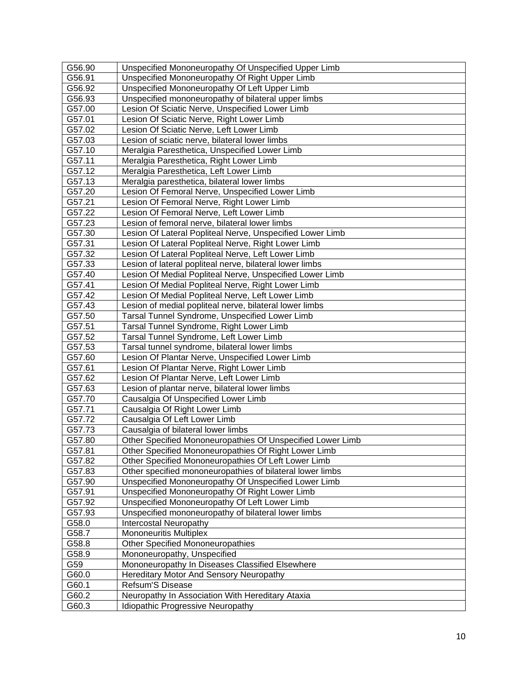| G56.90 | Unspecified Mononeuropathy Of Unspecified Upper Limb       |
|--------|------------------------------------------------------------|
| G56.91 | Unspecified Mononeuropathy Of Right Upper Limb             |
| G56.92 | Unspecified Mononeuropathy Of Left Upper Limb              |
| G56.93 | Unspecified mononeuropathy of bilateral upper limbs        |
| G57.00 | Lesion Of Sciatic Nerve, Unspecified Lower Limb            |
| G57.01 | Lesion Of Sciatic Nerve, Right Lower Limb                  |
| G57.02 | Lesion Of Sciatic Nerve, Left Lower Limb                   |
| G57.03 | Lesion of sciatic nerve, bilateral lower limbs             |
| G57.10 | Meralgia Paresthetica, Unspecified Lower Limb              |
| G57.11 | Meralgia Paresthetica, Right Lower Limb                    |
| G57.12 | Meralgia Paresthetica, Left Lower Limb                     |
| G57.13 | Meralgia paresthetica, bilateral lower limbs               |
| G57.20 | Lesion Of Femoral Nerve, Unspecified Lower Limb            |
| G57.21 | Lesion Of Femoral Nerve, Right Lower Limb                  |
| G57.22 | Lesion Of Femoral Nerve, Left Lower Limb                   |
| G57.23 | Lesion of femoral nerve, bilateral lower limbs             |
| G57.30 | Lesion Of Lateral Popliteal Nerve, Unspecified Lower Limb  |
| G57.31 | Lesion Of Lateral Popliteal Nerve, Right Lower Limb        |
| G57.32 | Lesion Of Lateral Popliteal Nerve, Left Lower Limb         |
| G57.33 | Lesion of lateral popliteal nerve, bilateral lower limbs   |
| G57.40 | Lesion Of Medial Popliteal Nerve, Unspecified Lower Limb   |
| G57.41 | Lesion Of Medial Popliteal Nerve, Right Lower Limb         |
| G57.42 | Lesion Of Medial Popliteal Nerve, Left Lower Limb          |
| G57.43 | Lesion of medial popliteal nerve, bilateral lower limbs    |
| G57.50 | Tarsal Tunnel Syndrome, Unspecified Lower Limb             |
| G57.51 | Tarsal Tunnel Syndrome, Right Lower Limb                   |
| G57.52 | Tarsal Tunnel Syndrome, Left Lower Limb                    |
| G57.53 | Tarsal tunnel syndrome, bilateral lower limbs              |
| G57.60 | Lesion Of Plantar Nerve, Unspecified Lower Limb            |
| G57.61 | Lesion Of Plantar Nerve, Right Lower Limb                  |
| G57.62 | Lesion Of Plantar Nerve, Left Lower Limb                   |
| G57.63 | Lesion of plantar nerve, bilateral lower limbs             |
| G57.70 | Causalgia Of Unspecified Lower Limb                        |
| G57.71 | Causalgia Of Right Lower Limb                              |
| G57.72 | Causalgia Of Left Lower Limb                               |
| G57.73 | Causalgia of bilateral lower limbs                         |
| G57.80 | Other Specified Mononeuropathies Of Unspecified Lower Limb |
| G57.81 | Other Specified Mononeuropathies Of Right Lower Limb       |
| G57.82 | Other Specified Mononeuropathies Of Left Lower Limb        |
| G57.83 | Other specified mononeuropathies of bilateral lower limbs  |
| G57.90 | Unspecified Mononeuropathy Of Unspecified Lower Limb       |
| G57.91 | Unspecified Mononeuropathy Of Right Lower Limb             |
| G57.92 | Unspecified Mononeuropathy Of Left Lower Limb              |
| G57.93 | Unspecified mononeuropathy of bilateral lower limbs        |
| G58.0  | Intercostal Neuropathy                                     |
| G58.7  | <b>Mononeuritis Multiplex</b>                              |
| G58.8  | <b>Other Specified Mononeuropathies</b>                    |
| G58.9  | Mononeuropathy, Unspecified                                |
| G59    | Mononeuropathy In Diseases Classified Elsewhere            |
| G60.0  | Hereditary Motor And Sensory Neuropathy                    |
| G60.1  | Refsum'S Disease                                           |
| G60.2  | Neuropathy In Association With Hereditary Ataxia           |
| G60.3  | Idiopathic Progressive Neuropathy                          |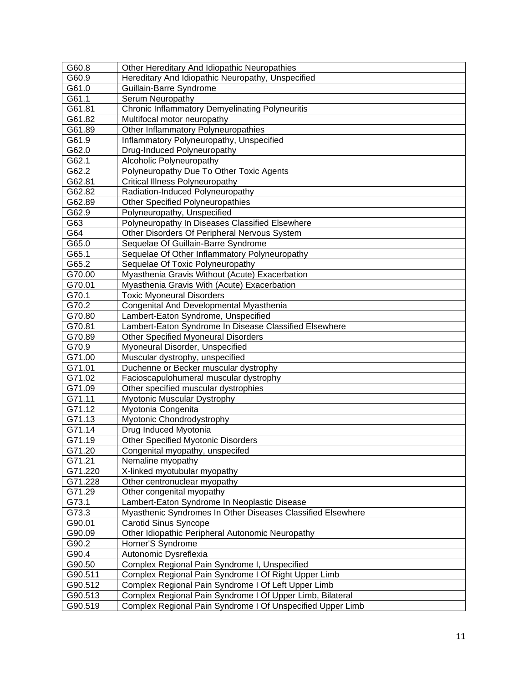| G60.8   | Other Hereditary And Idiopathic Neuropathies                |
|---------|-------------------------------------------------------------|
| G60.9   | Hereditary And Idiopathic Neuropathy, Unspecified           |
| G61.0   | Guillain-Barre Syndrome                                     |
| G61.1   | Serum Neuropathy                                            |
| G61.81  | <b>Chronic Inflammatory Demyelinating Polyneuritis</b>      |
| G61.82  | Multifocal motor neuropathy                                 |
| G61.89  | Other Inflammatory Polyneuropathies                         |
| G61.9   | Inflammatory Polyneuropathy, Unspecified                    |
| G62.0   | Drug-Induced Polyneuropathy                                 |
| G62.1   | Alcoholic Polyneuropathy                                    |
| G62.2   | Polyneuropathy Due To Other Toxic Agents                    |
| G62.81  | <b>Critical Illness Polyneuropathy</b>                      |
| G62.82  | Radiation-Induced Polyneuropathy                            |
| G62.89  | <b>Other Specified Polyneuropathies</b>                     |
| G62.9   | Polyneuropathy, Unspecified                                 |
| G63     | Polyneuropathy In Diseases Classified Elsewhere             |
| G64     | Other Disorders Of Peripheral Nervous System                |
| G65.0   | Sequelae Of Guillain-Barre Syndrome                         |
| G65.1   | Sequelae Of Other Inflammatory Polyneuropathy               |
| G65.2   | Sequelae Of Toxic Polyneuropathy                            |
| G70.00  | Myasthenia Gravis Without (Acute) Exacerbation              |
| G70.01  | Myasthenia Gravis With (Acute) Exacerbation                 |
| G70.1   | <b>Toxic Myoneural Disorders</b>                            |
| G70.2   | Congenital And Developmental Myasthenia                     |
| G70.80  | Lambert-Eaton Syndrome, Unspecified                         |
| G70.81  | Lambert-Eaton Syndrome In Disease Classified Elsewhere      |
| G70.89  | <b>Other Specified Myoneural Disorders</b>                  |
| G70.9   | Myoneural Disorder, Unspecified                             |
| G71.00  | Muscular dystrophy, unspecified                             |
| G71.01  | Duchenne or Becker muscular dystrophy                       |
| G71.02  | Facioscapulohumeral muscular dystrophy                      |
| G71.09  | Other specified muscular dystrophies                        |
| G71.11  | Myotonic Muscular Dystrophy                                 |
| G71.12  | Myotonia Congenita                                          |
| G71.13  | Myotonic Chondrodystrophy                                   |
| G71.14  | Drug Induced Myotonia                                       |
| G71.19  | <b>Other Specified Myotonic Disorders</b>                   |
| G71.20  | Congenital myopathy, unspecifed                             |
| G71.21  | Nemaline myopathy                                           |
| G71.220 | X-linked myotubular myopathy                                |
| G71.228 | Other centronuclear myopathy                                |
| G71.29  | Other congenital myopathy                                   |
| G73.1   | Lambert-Eaton Syndrome In Neoplastic Disease                |
| G73.3   | Myasthenic Syndromes In Other Diseases Classified Elsewhere |
| G90.01  | <b>Carotid Sinus Syncope</b>                                |
| G90.09  | Other Idiopathic Peripheral Autonomic Neuropathy            |
| G90.2   | Horner'S Syndrome                                           |
| G90.4   | Autonomic Dysreflexia                                       |
| G90.50  | Complex Regional Pain Syndrome I, Unspecified               |
| G90.511 | Complex Regional Pain Syndrome I Of Right Upper Limb        |
| G90.512 | Complex Regional Pain Syndrome I Of Left Upper Limb         |
| G90.513 | Complex Regional Pain Syndrome I Of Upper Limb, Bilateral   |
| G90.519 | Complex Regional Pain Syndrome I Of Unspecified Upper Limb  |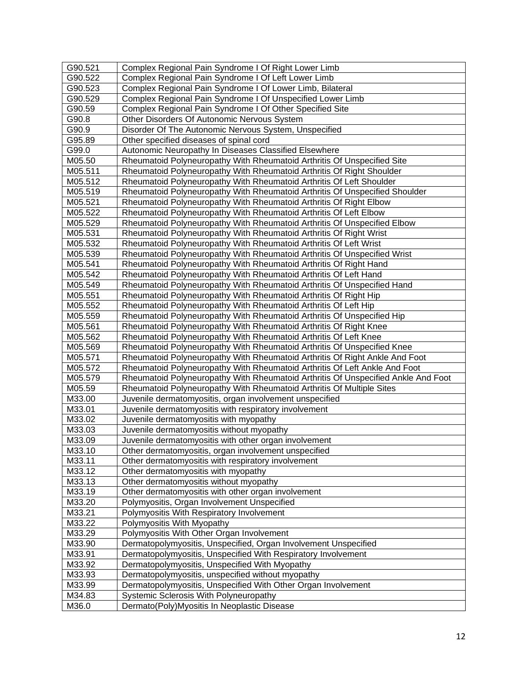| G90.521            | Complex Regional Pain Syndrome I Of Right Lower Limb                              |
|--------------------|-----------------------------------------------------------------------------------|
| G90.522            | Complex Regional Pain Syndrome I Of Left Lower Limb                               |
| G90.523<br>G90.529 | Complex Regional Pain Syndrome I Of Lower Limb, Bilateral                         |
| G90.59             | Complex Regional Pain Syndrome I Of Unspecified Lower Limb                        |
|                    | Complex Regional Pain Syndrome I Of Other Specified Site                          |
| G90.8              | Other Disorders Of Autonomic Nervous System                                       |
| G90.9              | Disorder Of The Autonomic Nervous System, Unspecified                             |
| G95.89<br>G99.0    | Other specified diseases of spinal cord                                           |
|                    | Autonomic Neuropathy In Diseases Classified Elsewhere                             |
| M05.50             | Rheumatoid Polyneuropathy With Rheumatoid Arthritis Of Unspecified Site           |
| M05.511            | Rheumatoid Polyneuropathy With Rheumatoid Arthritis Of Right Shoulder             |
| M05.512            | Rheumatoid Polyneuropathy With Rheumatoid Arthritis Of Left Shoulder              |
| M05.519            | Rheumatoid Polyneuropathy With Rheumatoid Arthritis Of Unspecified Shoulder       |
| M05.521            | Rheumatoid Polyneuropathy With Rheumatoid Arthritis Of Right Elbow                |
| M05.522            | Rheumatoid Polyneuropathy With Rheumatoid Arthritis Of Left Elbow                 |
| M05.529            | Rheumatoid Polyneuropathy With Rheumatoid Arthritis Of Unspecified Elbow          |
| M05.531            | Rheumatoid Polyneuropathy With Rheumatoid Arthritis Of Right Wrist                |
| M05.532            | Rheumatoid Polyneuropathy With Rheumatoid Arthritis Of Left Wrist                 |
| M05.539            | Rheumatoid Polyneuropathy With Rheumatoid Arthritis Of Unspecified Wrist          |
| M05.541            | Rheumatoid Polyneuropathy With Rheumatoid Arthritis Of Right Hand                 |
| M05.542            | Rheumatoid Polyneuropathy With Rheumatoid Arthritis Of Left Hand                  |
| M05.549            | Rheumatoid Polyneuropathy With Rheumatoid Arthritis Of Unspecified Hand           |
| M05.551            | Rheumatoid Polyneuropathy With Rheumatoid Arthritis Of Right Hip                  |
| M05.552            | Rheumatoid Polyneuropathy With Rheumatoid Arthritis Of Left Hip                   |
| M05.559            | Rheumatoid Polyneuropathy With Rheumatoid Arthritis Of Unspecified Hip            |
| M05.561            | Rheumatoid Polyneuropathy With Rheumatoid Arthritis Of Right Knee                 |
| M05.562            | Rheumatoid Polyneuropathy With Rheumatoid Arthritis Of Left Knee                  |
| M05.569            | Rheumatoid Polyneuropathy With Rheumatoid Arthritis Of Unspecified Knee           |
| M05.571            | Rheumatoid Polyneuropathy With Rheumatoid Arthritis Of Right Ankle And Foot       |
| M05.572            | Rheumatoid Polyneuropathy With Rheumatoid Arthritis Of Left Ankle And Foot        |
| M05.579            | Rheumatoid Polyneuropathy With Rheumatoid Arthritis Of Unspecified Ankle And Foot |
| M05.59             | Rheumatoid Polyneuropathy With Rheumatoid Arthritis Of Multiple Sites             |
| M33.00             | Juvenile dermatomyositis, organ involvement unspecified                           |
| M33.01             | Juvenile dermatomyositis with respiratory involvement                             |
| M33.02             | Juvenile dermatomyositis with myopathy                                            |
| M33.03             | Juvenile dermatomyositis without myopathy                                         |
| M33.09             | Juvenile dermatomyositis with other organ involvement                             |
| M33.10             | Other dermatomyositis, organ involvement unspecified                              |
| M33.11             | Other dermatomyositis with respiratory involvement                                |
| M33.12             | Other dermatomyositis with myopathy                                               |
| M33.13             | Other dermatomyositis without myopathy                                            |
| M33.19             | Other dermatomyositis with other organ involvement                                |
| M33.20             | Polymyositis, Organ Involvement Unspecified                                       |
| M33.21             | Polymyositis With Respiratory Involvement                                         |
| M33.22             | Polymyositis With Myopathy                                                        |
| M33.29             | Polymyositis With Other Organ Involvement                                         |
| M33.90             | Dermatopolymyositis, Unspecified, Organ Involvement Unspecified                   |
| M33.91             | Dermatopolymyositis, Unspecified With Respiratory Involvement                     |
| M33.92             | Dermatopolymyositis, Unspecified With Myopathy                                    |
| M33.93             | Dermatopolymyositis, unspecified without myopathy                                 |
| M33.99             | Dermatopolymyositis, Unspecified With Other Organ Involvement                     |
| M34.83             | Systemic Sclerosis With Polyneuropathy                                            |
| M36.0              | Dermato(Poly)Myositis In Neoplastic Disease                                       |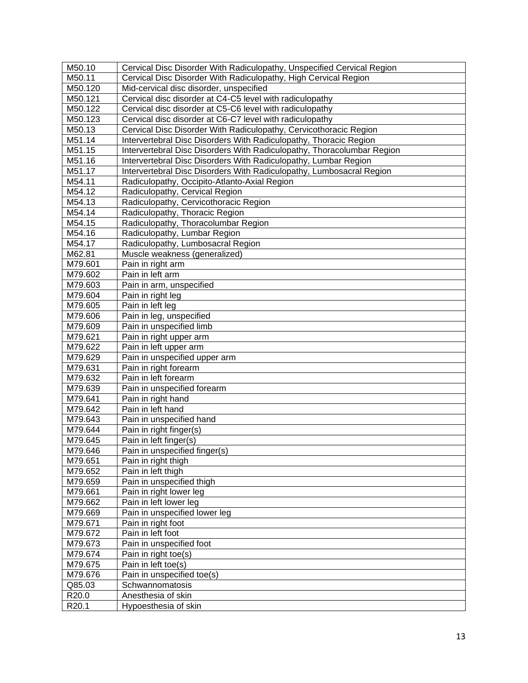| M50.10  | Cervical Disc Disorder With Radiculopathy, Unspecified Cervical Region |
|---------|------------------------------------------------------------------------|
| M50.11  | Cervical Disc Disorder With Radiculopathy, High Cervical Region        |
| M50.120 | Mid-cervical disc disorder, unspecified                                |
| M50.121 | Cervical disc disorder at C4-C5 level with radiculopathy               |
| M50.122 | Cervical disc disorder at C5-C6 level with radiculopathy               |
| M50.123 | Cervical disc disorder at C6-C7 level with radiculopathy               |
| M50.13  | Cervical Disc Disorder With Radiculopathy, Cervicothoracic Region      |
| M51.14  | Intervertebral Disc Disorders With Radiculopathy, Thoracic Region      |
| M51.15  | Intervertebral Disc Disorders With Radiculopathy, Thoracolumbar Region |
| M51.16  | Intervertebral Disc Disorders With Radiculopathy, Lumbar Region        |
| M51.17  | Intervertebral Disc Disorders With Radiculopathy, Lumbosacral Region   |
| M54.11  | Radiculopathy, Occipito-Atlanto-Axial Region                           |
| M54.12  | Radiculopathy, Cervical Region                                         |
| M54.13  | Radiculopathy, Cervicothoracic Region                                  |
| M54.14  | Radiculopathy, Thoracic Region                                         |
| M54.15  | Radiculopathy, Thoracolumbar Region                                    |
| M54.16  | Radiculopathy, Lumbar Region                                           |
| M54.17  | Radiculopathy, Lumbosacral Region                                      |
| M62.81  | Muscle weakness (generalized)                                          |
| M79.601 | Pain in right arm                                                      |
| M79.602 | Pain in left arm                                                       |
| M79.603 | Pain in arm, unspecified                                               |
| M79.604 | Pain in right leg                                                      |
| M79.605 | Pain in left leg                                                       |
| M79.606 | Pain in leg, unspecified                                               |
| M79.609 | Pain in unspecified limb                                               |
| M79.621 | Pain in right upper arm                                                |
| M79.622 | Pain in left upper arm                                                 |
| M79.629 | Pain in unspecified upper arm                                          |
| M79.631 | Pain in right forearm                                                  |
| M79.632 | Pain in left forearm                                                   |
| M79.639 | Pain in unspecified forearm                                            |
| M79.641 | Pain in right hand                                                     |
| M79.642 | Pain in left hand                                                      |
| M79.643 | Pain in unspecified hand                                               |
| M79.644 | Pain in right finger(s)                                                |
| M79.645 | Pain in left finger(s)                                                 |
| M79.646 | Pain in unspecified finger(s)                                          |
| M79.651 | Pain in right thigh                                                    |
| M79.652 | Pain in left thigh                                                     |
| M79.659 | Pain in unspecified thigh                                              |
| M79.661 | Pain in right lower leg                                                |
| M79.662 | Pain in left lower leg                                                 |
| M79.669 | Pain in unspecified lower leg                                          |
| M79.671 | Pain in right foot                                                     |
| M79.672 | Pain in left foot                                                      |
| M79.673 | Pain in unspecified foot                                               |
| M79.674 | Pain in right toe(s)                                                   |
| M79.675 | Pain in left toe(s)                                                    |
| M79.676 | Pain in unspecified toe(s)                                             |
| Q85.03  | Schwannomatosis                                                        |
| R20.0   | Anesthesia of skin                                                     |
| R20.1   | Hypoesthesia of skin                                                   |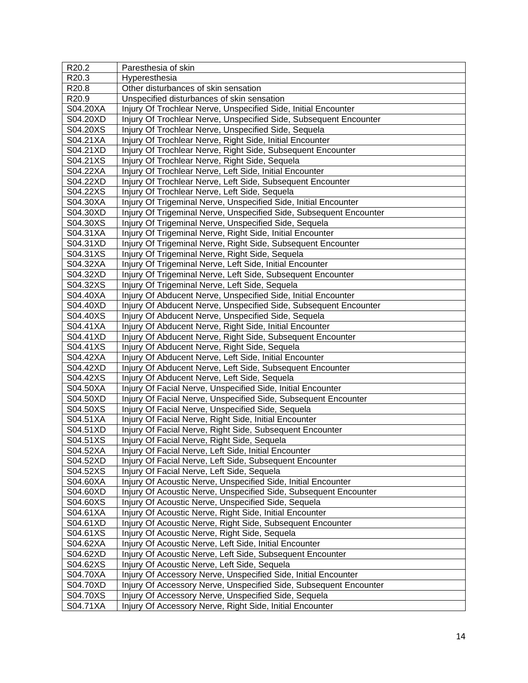| R20.2    | Paresthesia of skin                                                |
|----------|--------------------------------------------------------------------|
| R20.3    | Hyperesthesia                                                      |
| R20.8    | Other disturbances of skin sensation                               |
| R20.9    | Unspecified disturbances of skin sensation                         |
| S04.20XA | Injury Of Trochlear Nerve, Unspecified Side, Initial Encounter     |
| S04.20XD | Injury Of Trochlear Nerve, Unspecified Side, Subsequent Encounter  |
| S04.20XS | Injury Of Trochlear Nerve, Unspecified Side, Sequela               |
| S04.21XA | Injury Of Trochlear Nerve, Right Side, Initial Encounter           |
| S04.21XD | Injury Of Trochlear Nerve, Right Side, Subsequent Encounter        |
| S04.21XS | Injury Of Trochlear Nerve, Right Side, Sequela                     |
| S04.22XA | Injury Of Trochlear Nerve, Left Side, Initial Encounter            |
| S04.22XD | Injury Of Trochlear Nerve, Left Side, Subsequent Encounter         |
| S04.22XS | Injury Of Trochlear Nerve, Left Side, Sequela                      |
| S04.30XA | Injury Of Trigeminal Nerve, Unspecified Side, Initial Encounter    |
| S04.30XD | Injury Of Trigeminal Nerve, Unspecified Side, Subsequent Encounter |
| S04.30XS | Injury Of Trigeminal Nerve, Unspecified Side, Sequela              |
| S04.31XA | Injury Of Trigeminal Nerve, Right Side, Initial Encounter          |
| S04.31XD | Injury Of Trigeminal Nerve, Right Side, Subsequent Encounter       |
| S04.31XS | Injury Of Trigeminal Nerve, Right Side, Sequela                    |
| S04.32XA | Injury Of Trigeminal Nerve, Left Side, Initial Encounter           |
| S04.32XD | Injury Of Trigeminal Nerve, Left Side, Subsequent Encounter        |
| S04.32XS | Injury Of Trigeminal Nerve, Left Side, Sequela                     |
| S04.40XA | Injury Of Abducent Nerve, Unspecified Side, Initial Encounter      |
| S04.40XD | Injury Of Abducent Nerve, Unspecified Side, Subsequent Encounter   |
| S04.40XS | Injury Of Abducent Nerve, Unspecified Side, Sequela                |
| S04.41XA | Injury Of Abducent Nerve, Right Side, Initial Encounter            |
| S04.41XD | Injury Of Abducent Nerve, Right Side, Subsequent Encounter         |
| S04.41XS | Injury Of Abducent Nerve, Right Side, Sequela                      |
| S04.42XA | Injury Of Abducent Nerve, Left Side, Initial Encounter             |
| S04.42XD | Injury Of Abducent Nerve, Left Side, Subsequent Encounter          |
| S04.42XS | Injury Of Abducent Nerve, Left Side, Sequela                       |
| S04.50XA | Injury Of Facial Nerve, Unspecified Side, Initial Encounter        |
| S04.50XD | Injury Of Facial Nerve, Unspecified Side, Subsequent Encounter     |
| S04.50XS | Injury Of Facial Nerve, Unspecified Side, Sequela                  |
| S04.51XA | Injury Of Facial Nerve, Right Side, Initial Encounter              |
| S04.51XD | Injury Of Facial Nerve, Right Side, Subsequent Encounter           |
| S04.51XS | Injury Of Facial Nerve, Right Side, Sequela                        |
| S04.52XA | Injury Of Facial Nerve, Left Side, Initial Encounter               |
| S04.52XD | Injury Of Facial Nerve, Left Side, Subsequent Encounter            |
| S04.52XS | Injury Of Facial Nerve, Left Side, Sequela                         |
| S04.60XA | Injury Of Acoustic Nerve, Unspecified Side, Initial Encounter      |
| S04.60XD | Injury Of Acoustic Nerve, Unspecified Side, Subsequent Encounter   |
| S04.60XS | Injury Of Acoustic Nerve, Unspecified Side, Sequela                |
| S04.61XA | Injury Of Acoustic Nerve, Right Side, Initial Encounter            |
| S04.61XD | Injury Of Acoustic Nerve, Right Side, Subsequent Encounter         |
| S04.61XS | Injury Of Acoustic Nerve, Right Side, Sequela                      |
| S04.62XA | Injury Of Acoustic Nerve, Left Side, Initial Encounter             |
| S04.62XD | Injury Of Acoustic Nerve, Left Side, Subsequent Encounter          |
| S04.62XS | Injury Of Acoustic Nerve, Left Side, Sequela                       |
| S04.70XA | Injury Of Accessory Nerve, Unspecified Side, Initial Encounter     |
| S04.70XD | Injury Of Accessory Nerve, Unspecified Side, Subsequent Encounter  |
| S04.70XS | Injury Of Accessory Nerve, Unspecified Side, Sequela               |
| S04.71XA | Injury Of Accessory Nerve, Right Side, Initial Encounter           |
|          |                                                                    |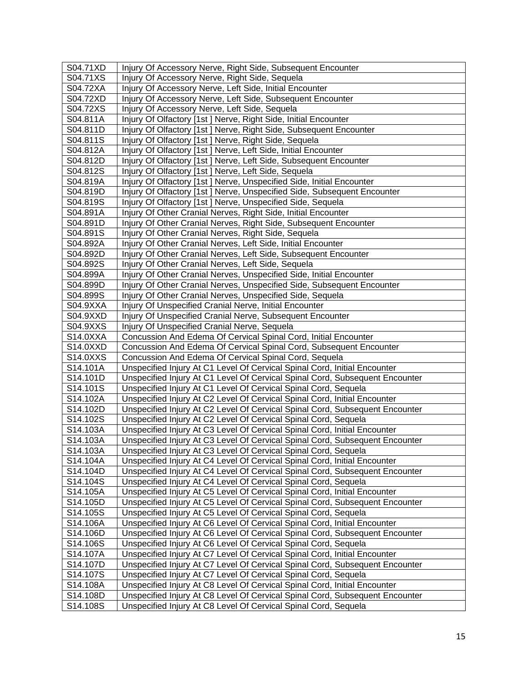| S04.71XD | Injury Of Accessory Nerve, Right Side, Subsequent Encounter                  |
|----------|------------------------------------------------------------------------------|
| S04.71XS | Injury Of Accessory Nerve, Right Side, Sequela                               |
| S04.72XA | Injury Of Accessory Nerve, Left Side, Initial Encounter                      |
| S04.72XD | Injury Of Accessory Nerve, Left Side, Subsequent Encounter                   |
| S04.72XS | Injury Of Accessory Nerve, Left Side, Sequela                                |
| S04.811A | Injury Of Olfactory [1st] Nerve, Right Side, Initial Encounter               |
| S04.811D | Injury Of Olfactory [1st ] Nerve, Right Side, Subsequent Encounter           |
| S04.811S | Injury Of Olfactory [1st] Nerve, Right Side, Sequela                         |
| S04.812A | Injury Of Olfactory [1st] Nerve, Left Side, Initial Encounter                |
| S04.812D | Injury Of Olfactory [1st] Nerve, Left Side, Subsequent Encounter             |
| S04.812S | Injury Of Olfactory [1st ] Nerve, Left Side, Sequela                         |
| S04.819A | Injury Of Olfactory [1st ] Nerve, Unspecified Side, Initial Encounter        |
| S04.819D | Injury Of Olfactory [1st] Nerve, Unspecified Side, Subsequent Encounter      |
| S04.819S | Injury Of Olfactory [1st ] Nerve, Unspecified Side, Sequela                  |
| S04.891A | Injury Of Other Cranial Nerves, Right Side, Initial Encounter                |
| S04.891D | Injury Of Other Cranial Nerves, Right Side, Subsequent Encounter             |
| S04.891S | Injury Of Other Cranial Nerves, Right Side, Sequela                          |
| S04.892A | Injury Of Other Cranial Nerves, Left Side, Initial Encounter                 |
| S04.892D | Injury Of Other Cranial Nerves, Left Side, Subsequent Encounter              |
| S04.892S | Injury Of Other Cranial Nerves, Left Side, Sequela                           |
| S04.899A | Injury Of Other Cranial Nerves, Unspecified Side, Initial Encounter          |
| S04.899D | Injury Of Other Cranial Nerves, Unspecified Side, Subsequent Encounter       |
| S04.899S | Injury Of Other Cranial Nerves, Unspecified Side, Sequela                    |
| S04.9XXA | Injury Of Unspecified Cranial Nerve, Initial Encounter                       |
| S04.9XXD | Injury Of Unspecified Cranial Nerve, Subsequent Encounter                    |
| S04.9XXS | Injury Of Unspecified Cranial Nerve, Sequela                                 |
| S14.0XXA | Concussion And Edema Of Cervical Spinal Cord, Initial Encounter              |
| S14.0XXD | Concussion And Edema Of Cervical Spinal Cord, Subsequent Encounter           |
| S14.0XXS | Concussion And Edema Of Cervical Spinal Cord, Sequela                        |
| S14.101A | Unspecified Injury At C1 Level Of Cervical Spinal Cord, Initial Encounter    |
| S14.101D | Unspecified Injury At C1 Level Of Cervical Spinal Cord, Subsequent Encounter |
| S14.101S | Unspecified Injury At C1 Level Of Cervical Spinal Cord, Sequela              |
| S14.102A | Unspecified Injury At C2 Level Of Cervical Spinal Cord, Initial Encounter    |
| S14.102D | Unspecified Injury At C2 Level Of Cervical Spinal Cord, Subsequent Encounter |
| S14.102S | Unspecified Injury At C2 Level Of Cervical Spinal Cord, Sequela              |
| S14.103A | Unspecified Injury At C3 Level Of Cervical Spinal Cord, Initial Encounter    |
| S14.103A | Unspecified Injury At C3 Level Of Cervical Spinal Cord, Subsequent Encounter |
| S14.103A | Unspecified Injury At C3 Level Of Cervical Spinal Cord, Sequela              |
| S14.104A | Unspecified Injury At C4 Level Of Cervical Spinal Cord, Initial Encounter    |
| S14.104D | Unspecified Injury At C4 Level Of Cervical Spinal Cord, Subsequent Encounter |
| S14.104S | Unspecified Injury At C4 Level Of Cervical Spinal Cord, Sequela              |
| S14.105A | Unspecified Injury At C5 Level Of Cervical Spinal Cord, Initial Encounter    |
| S14.105D | Unspecified Injury At C5 Level Of Cervical Spinal Cord, Subsequent Encounter |
| S14.105S | Unspecified Injury At C5 Level Of Cervical Spinal Cord, Sequela              |
| S14.106A | Unspecified Injury At C6 Level Of Cervical Spinal Cord, Initial Encounter    |
| S14.106D | Unspecified Injury At C6 Level Of Cervical Spinal Cord, Subsequent Encounter |
| S14.106S | Unspecified Injury At C6 Level Of Cervical Spinal Cord, Sequela              |
| S14.107A | Unspecified Injury At C7 Level Of Cervical Spinal Cord, Initial Encounter    |
| S14.107D | Unspecified Injury At C7 Level Of Cervical Spinal Cord, Subsequent Encounter |
| S14.107S | Unspecified Injury At C7 Level Of Cervical Spinal Cord, Sequela              |
| S14.108A | Unspecified Injury At C8 Level Of Cervical Spinal Cord, Initial Encounter    |
| S14.108D | Unspecified Injury At C8 Level Of Cervical Spinal Cord, Subsequent Encounter |
| S14.108S | Unspecified Injury At C8 Level Of Cervical Spinal Cord, Sequela              |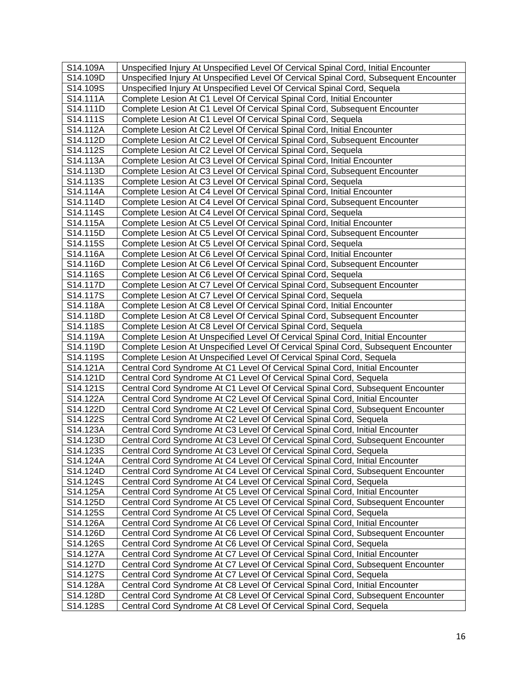| S14.109A              | Unspecified Injury At Unspecified Level Of Cervical Spinal Cord, Initial Encounter    |
|-----------------------|---------------------------------------------------------------------------------------|
| S14.109D              | Unspecified Injury At Unspecified Level Of Cervical Spinal Cord, Subsequent Encounter |
| S14.109S              | Unspecified Injury At Unspecified Level Of Cervical Spinal Cord, Sequela              |
| S14.111A              | Complete Lesion At C1 Level Of Cervical Spinal Cord, Initial Encounter                |
| S14.111D              | Complete Lesion At C1 Level Of Cervical Spinal Cord, Subsequent Encounter             |
| S14.111S              | Complete Lesion At C1 Level Of Cervical Spinal Cord, Sequela                          |
| S14.112A              | Complete Lesion At C2 Level Of Cervical Spinal Cord, Initial Encounter                |
| S14.112D              | Complete Lesion At C2 Level Of Cervical Spinal Cord, Subsequent Encounter             |
| S14.112S              | Complete Lesion At C2 Level Of Cervical Spinal Cord, Sequela                          |
| S14.113A              | Complete Lesion At C3 Level Of Cervical Spinal Cord, Initial Encounter                |
| S14.113D              | Complete Lesion At C3 Level Of Cervical Spinal Cord, Subsequent Encounter             |
| S14.113S              | Complete Lesion At C3 Level Of Cervical Spinal Cord, Sequela                          |
| S14.114A              | Complete Lesion At C4 Level Of Cervical Spinal Cord, Initial Encounter                |
| S14.114D              | Complete Lesion At C4 Level Of Cervical Spinal Cord, Subsequent Encounter             |
| S14.114S              | Complete Lesion At C4 Level Of Cervical Spinal Cord, Sequela                          |
| S14.115A              | Complete Lesion At C5 Level Of Cervical Spinal Cord, Initial Encounter                |
| S14.115D              | Complete Lesion At C5 Level Of Cervical Spinal Cord, Subsequent Encounter             |
| S14.115S              | Complete Lesion At C5 Level Of Cervical Spinal Cord, Sequela                          |
| S14.116A              | Complete Lesion At C6 Level Of Cervical Spinal Cord, Initial Encounter                |
| S14.116D              | Complete Lesion At C6 Level Of Cervical Spinal Cord, Subsequent Encounter             |
| S14.116S              | Complete Lesion At C6 Level Of Cervical Spinal Cord, Sequela                          |
| S14.117D              | Complete Lesion At C7 Level Of Cervical Spinal Cord, Subsequent Encounter             |
| S14.117S              | Complete Lesion At C7 Level Of Cervical Spinal Cord, Sequela                          |
| S14.118A              | Complete Lesion At C8 Level Of Cervical Spinal Cord, Initial Encounter                |
| S14.118D              | Complete Lesion At C8 Level Of Cervical Spinal Cord, Subsequent Encounter             |
| S14.118S              | Complete Lesion At C8 Level Of Cervical Spinal Cord, Sequela                          |
| S14.119A              | Complete Lesion At Unspecified Level Of Cervical Spinal Cord, Initial Encounter       |
| S14.119D              | Complete Lesion At Unspecified Level Of Cervical Spinal Cord, Subsequent Encounter    |
| S14.119S              | Complete Lesion At Unspecified Level Of Cervical Spinal Cord, Sequela                 |
| S14.121A              | Central Cord Syndrome At C1 Level Of Cervical Spinal Cord, Initial Encounter          |
| S14.121D              | Central Cord Syndrome At C1 Level Of Cervical Spinal Cord, Sequela                    |
| S14.121S              | Central Cord Syndrome At C1 Level Of Cervical Spinal Cord, Subsequent Encounter       |
| S14.122A              | Central Cord Syndrome At C2 Level Of Cervical Spinal Cord, Initial Encounter          |
| S14.122D              | Central Cord Syndrome At C2 Level Of Cervical Spinal Cord, Subsequent Encounter       |
| S14.122S              | Central Cord Syndrome At C2 Level Of Cervical Spinal Cord, Sequela                    |
| S14.123A              | Central Cord Syndrome At C3 Level Of Cervical Spinal Cord, Initial Encounter          |
| S14.123D              | Central Cord Syndrome At C3 Level Of Cervical Spinal Cord, Subsequent Encounter       |
| S14.123S              | Central Cord Syndrome At C3 Level Of Cervical Spinal Cord, Sequela                    |
| S14.124A              | Central Cord Syndrome At C4 Level Of Cervical Spinal Cord, Initial Encounter          |
| S14.124D              | Central Cord Syndrome At C4 Level Of Cervical Spinal Cord, Subsequent Encounter       |
| S14.124S              | Central Cord Syndrome At C4 Level Of Cervical Spinal Cord, Sequela                    |
| S14.125A              | Central Cord Syndrome At C5 Level Of Cervical Spinal Cord, Initial Encounter          |
| S14.125D              | Central Cord Syndrome At C5 Level Of Cervical Spinal Cord, Subsequent Encounter       |
| S14.125S              | Central Cord Syndrome At C5 Level Of Cervical Spinal Cord, Sequela                    |
| S14.126A              | Central Cord Syndrome At C6 Level Of Cervical Spinal Cord, Initial Encounter          |
| S <sub>14.126</sub> D | Central Cord Syndrome At C6 Level Of Cervical Spinal Cord, Subsequent Encounter       |
| S14.126S              | Central Cord Syndrome At C6 Level Of Cervical Spinal Cord, Sequela                    |
| S14.127A              | Central Cord Syndrome At C7 Level Of Cervical Spinal Cord, Initial Encounter          |
| S14.127D              | Central Cord Syndrome At C7 Level Of Cervical Spinal Cord, Subsequent Encounter       |
| S14.127S              | Central Cord Syndrome At C7 Level Of Cervical Spinal Cord, Sequela                    |
| S14.128A              | Central Cord Syndrome At C8 Level Of Cervical Spinal Cord, Initial Encounter          |
| S14.128D              | Central Cord Syndrome At C8 Level Of Cervical Spinal Cord, Subsequent Encounter       |
| S14.128S              | Central Cord Syndrome At C8 Level Of Cervical Spinal Cord, Sequela                    |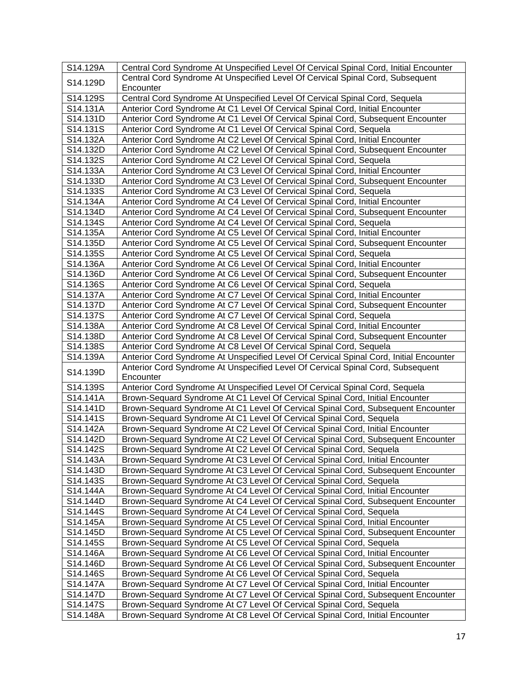| S14.129A             | Central Cord Syndrome At Unspecified Level Of Cervical Spinal Cord, Initial Encounter                                                                         |
|----------------------|---------------------------------------------------------------------------------------------------------------------------------------------------------------|
| S14.129D             | Central Cord Syndrome At Unspecified Level Of Cervical Spinal Cord, Subsequent                                                                                |
|                      | Encounter                                                                                                                                                     |
| S14.129S             | Central Cord Syndrome At Unspecified Level Of Cervical Spinal Cord, Sequela                                                                                   |
| S14.131A             | Anterior Cord Syndrome At C1 Level Of Cervical Spinal Cord, Initial Encounter                                                                                 |
| S14.131D             | Anterior Cord Syndrome At C1 Level Of Cervical Spinal Cord, Subsequent Encounter                                                                              |
| S14.131S             | Anterior Cord Syndrome At C1 Level Of Cervical Spinal Cord, Sequela                                                                                           |
| S14.132A             | Anterior Cord Syndrome At C2 Level Of Cervical Spinal Cord, Initial Encounter                                                                                 |
| S14.132D             | Anterior Cord Syndrome At C2 Level Of Cervical Spinal Cord, Subsequent Encounter                                                                              |
| S14.132S             | Anterior Cord Syndrome At C2 Level Of Cervical Spinal Cord, Sequela                                                                                           |
| S14.133A             | Anterior Cord Syndrome At C3 Level Of Cervical Spinal Cord, Initial Encounter                                                                                 |
| S14.133D             | Anterior Cord Syndrome At C3 Level Of Cervical Spinal Cord, Subsequent Encounter                                                                              |
| S14.133S             | Anterior Cord Syndrome At C3 Level Of Cervical Spinal Cord, Sequela                                                                                           |
| S14.134A             | Anterior Cord Syndrome At C4 Level Of Cervical Spinal Cord, Initial Encounter                                                                                 |
| S14.134D             | Anterior Cord Syndrome At C4 Level Of Cervical Spinal Cord, Subsequent Encounter                                                                              |
| S14.134S             | Anterior Cord Syndrome At C4 Level Of Cervical Spinal Cord, Sequela                                                                                           |
| S14.135A             | Anterior Cord Syndrome At C5 Level Of Cervical Spinal Cord, Initial Encounter                                                                                 |
| S14.135D             | Anterior Cord Syndrome At C5 Level Of Cervical Spinal Cord, Subsequent Encounter                                                                              |
| S14.135S             | Anterior Cord Syndrome At C5 Level Of Cervical Spinal Cord, Sequela                                                                                           |
| S14.136A             | Anterior Cord Syndrome At C6 Level Of Cervical Spinal Cord, Initial Encounter                                                                                 |
| S14.136D             | Anterior Cord Syndrome At C6 Level Of Cervical Spinal Cord, Subsequent Encounter                                                                              |
| S14.136S             | Anterior Cord Syndrome At C6 Level Of Cervical Spinal Cord, Sequela                                                                                           |
| S14.137A             | Anterior Cord Syndrome At C7 Level Of Cervical Spinal Cord, Initial Encounter                                                                                 |
| S14.137D             | Anterior Cord Syndrome At C7 Level Of Cervical Spinal Cord, Subsequent Encounter                                                                              |
| S14.137S             | Anterior Cord Syndrome At C7 Level Of Cervical Spinal Cord, Sequela                                                                                           |
| S14.138A<br>S14.138D | Anterior Cord Syndrome At C8 Level Of Cervical Spinal Cord, Initial Encounter                                                                                 |
| S14.138S             | Anterior Cord Syndrome At C8 Level Of Cervical Spinal Cord, Subsequent Encounter                                                                              |
| S14.139A             | Anterior Cord Syndrome At C8 Level Of Cervical Spinal Cord, Sequela<br>Anterior Cord Syndrome At Unspecified Level Of Cervical Spinal Cord, Initial Encounter |
|                      | Anterior Cord Syndrome At Unspecified Level Of Cervical Spinal Cord, Subsequent                                                                               |
| S14.139D             | Encounter                                                                                                                                                     |
| S14.139S             | Anterior Cord Syndrome At Unspecified Level Of Cervical Spinal Cord, Sequela                                                                                  |
| S14.141A             | Brown-Sequard Syndrome At C1 Level Of Cervical Spinal Cord, Initial Encounter                                                                                 |
| S14.141D             | Brown-Sequard Syndrome At C1 Level Of Cervical Spinal Cord, Subsequent Encounter                                                                              |
| S14.141S             | Brown-Sequard Syndrome At C1 Level Of Cervical Spinal Cord, Sequela                                                                                           |
| S14.142A             | Brown-Sequard Syndrome At C2 Level Of Cervical Spinal Cord, Initial Encounter                                                                                 |
| S14.142D             | Brown-Sequard Syndrome At C2 Level Of Cervical Spinal Cord, Subsequent Encounter                                                                              |
| S14.142S             | Brown-Sequard Syndrome At C2 Level Of Cervical Spinal Cord, Sequela                                                                                           |
| S14.143A             | Brown-Sequard Syndrome At C3 Level Of Cervical Spinal Cord, Initial Encounter                                                                                 |
| S14.143D             | Brown-Sequard Syndrome At C3 Level Of Cervical Spinal Cord, Subsequent Encounter                                                                              |
| S14.143S             | Brown-Sequard Syndrome At C3 Level Of Cervical Spinal Cord, Sequela                                                                                           |
| S14.144A             | Brown-Sequard Syndrome At C4 Level Of Cervical Spinal Cord, Initial Encounter                                                                                 |
| S14.144D             | Brown-Sequard Syndrome At C4 Level Of Cervical Spinal Cord, Subsequent Encounter                                                                              |
| S14.144S             | Brown-Sequard Syndrome At C4 Level Of Cervical Spinal Cord, Sequela                                                                                           |
| S14.145A             | Brown-Sequard Syndrome At C5 Level Of Cervical Spinal Cord, Initial Encounter                                                                                 |
| S14.145D             | Brown-Sequard Syndrome At C5 Level Of Cervical Spinal Cord, Subsequent Encounter                                                                              |
| S14.145S             | Brown-Sequard Syndrome At C5 Level Of Cervical Spinal Cord, Sequela                                                                                           |
| S14.146A             | Brown-Sequard Syndrome At C6 Level Of Cervical Spinal Cord, Initial Encounter                                                                                 |
| S14.146D             | Brown-Sequard Syndrome At C6 Level Of Cervical Spinal Cord, Subsequent Encounter                                                                              |
| S14.146S             | Brown-Sequard Syndrome At C6 Level Of Cervical Spinal Cord, Sequela                                                                                           |
| S14.147A             | Brown-Sequard Syndrome At C7 Level Of Cervical Spinal Cord, Initial Encounter                                                                                 |
| S14.147D             | Brown-Sequard Syndrome At C7 Level Of Cervical Spinal Cord, Subsequent Encounter                                                                              |
| S14.147S             | Brown-Sequard Syndrome At C7 Level Of Cervical Spinal Cord, Sequela                                                                                           |
| S14.148A             | Brown-Sequard Syndrome At C8 Level Of Cervical Spinal Cord, Initial Encounter                                                                                 |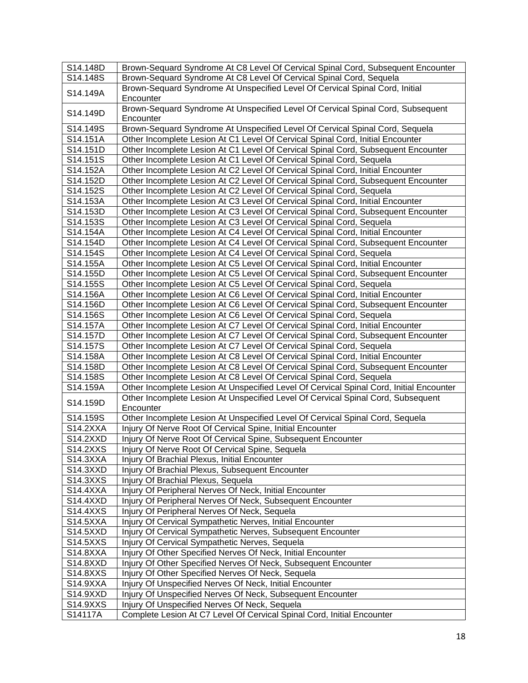| S14.148D | Brown-Sequard Syndrome At C8 Level Of Cervical Spinal Cord, Subsequent Encounter              |
|----------|-----------------------------------------------------------------------------------------------|
| S14.148S | Brown-Sequard Syndrome At C8 Level Of Cervical Spinal Cord, Sequela                           |
| S14.149A | Brown-Sequard Syndrome At Unspecified Level Of Cervical Spinal Cord, Initial<br>Encounter     |
| S14.149D | Brown-Sequard Syndrome At Unspecified Level Of Cervical Spinal Cord, Subsequent<br>Encounter  |
| S14.149S | Brown-Sequard Syndrome At Unspecified Level Of Cervical Spinal Cord, Sequela                  |
| S14.151A | Other Incomplete Lesion At C1 Level Of Cervical Spinal Cord, Initial Encounter                |
| S14.151D | Other Incomplete Lesion At C1 Level Of Cervical Spinal Cord, Subsequent Encounter             |
| S14.151S | Other Incomplete Lesion At C1 Level Of Cervical Spinal Cord, Sequela                          |
| S14.152A | Other Incomplete Lesion At C2 Level Of Cervical Spinal Cord, Initial Encounter                |
| S14.152D | Other Incomplete Lesion At C2 Level Of Cervical Spinal Cord, Subsequent Encounter             |
| S14.152S | Other Incomplete Lesion At C2 Level Of Cervical Spinal Cord, Sequela                          |
| S14.153A | Other Incomplete Lesion At C3 Level Of Cervical Spinal Cord, Initial Encounter                |
| S14.153D | Other Incomplete Lesion At C3 Level Of Cervical Spinal Cord, Subsequent Encounter             |
| S14.153S | Other Incomplete Lesion At C3 Level Of Cervical Spinal Cord, Sequela                          |
| S14.154A | Other Incomplete Lesion At C4 Level Of Cervical Spinal Cord, Initial Encounter                |
| S14.154D | Other Incomplete Lesion At C4 Level Of Cervical Spinal Cord, Subsequent Encounter             |
| S14.154S | Other Incomplete Lesion At C4 Level Of Cervical Spinal Cord, Sequela                          |
| S14.155A | Other Incomplete Lesion At C5 Level Of Cervical Spinal Cord, Initial Encounter                |
| S14.155D | Other Incomplete Lesion At C5 Level Of Cervical Spinal Cord, Subsequent Encounter             |
| S14.155S | Other Incomplete Lesion At C5 Level Of Cervical Spinal Cord, Sequela                          |
| S14.156A | Other Incomplete Lesion At C6 Level Of Cervical Spinal Cord, Initial Encounter                |
| S14.156D | Other Incomplete Lesion At C6 Level Of Cervical Spinal Cord, Subsequent Encounter             |
| S14.156S | Other Incomplete Lesion At C6 Level Of Cervical Spinal Cord, Sequela                          |
| S14.157A | Other Incomplete Lesion At C7 Level Of Cervical Spinal Cord, Initial Encounter                |
| S14.157D | Other Incomplete Lesion At C7 Level Of Cervical Spinal Cord, Subsequent Encounter             |
| S14.157S | Other Incomplete Lesion At C7 Level Of Cervical Spinal Cord, Sequela                          |
| S14.158A | Other Incomplete Lesion At C8 Level Of Cervical Spinal Cord, Initial Encounter                |
| S14.158D | Other Incomplete Lesion At C8 Level Of Cervical Spinal Cord, Subsequent Encounter             |
| S14.158S | Other Incomplete Lesion At C8 Level Of Cervical Spinal Cord, Sequela                          |
| S14.159A | Other Incomplete Lesion At Unspecified Level Of Cervical Spinal Cord, Initial Encounter       |
| S14.159D | Other Incomplete Lesion At Unspecified Level Of Cervical Spinal Cord, Subsequent<br>Encounter |
| S14.159S | Other Incomplete Lesion At Unspecified Level Of Cervical Spinal Cord, Sequela                 |
| S14.2XXA | Injury Of Nerve Root Of Cervical Spine, Initial Encounter                                     |
| S14.2XXD | Injury Of Nerve Root Of Cervical Spine, Subsequent Encounter                                  |
| S14.2XXS | Injury Of Nerve Root Of Cervical Spine, Sequela                                               |
| S14.3XXA | Injury Of Brachial Plexus, Initial Encounter                                                  |
| S14.3XXD | Injury Of Brachial Plexus, Subsequent Encounter                                               |
| S14.3XXS | Injury Of Brachial Plexus, Sequela                                                            |
| S14.4XXA | Injury Of Peripheral Nerves Of Neck, Initial Encounter                                        |
| S14.4XXD | Injury Of Peripheral Nerves Of Neck, Subsequent Encounter                                     |
| S14.4XXS | Injury Of Peripheral Nerves Of Neck, Sequela                                                  |
| S14.5XXA | Injury Of Cervical Sympathetic Nerves, Initial Encounter                                      |
| S14.5XXD | Injury Of Cervical Sympathetic Nerves, Subsequent Encounter                                   |
| S14.5XXS | Injury Of Cervical Sympathetic Nerves, Sequela                                                |
| S14.8XXA | Injury Of Other Specified Nerves Of Neck, Initial Encounter                                   |
| S14.8XXD | Injury Of Other Specified Nerves Of Neck, Subsequent Encounter                                |
| S14.8XXS | Injury Of Other Specified Nerves Of Neck, Sequela                                             |
| S14.9XXA | Injury Of Unspecified Nerves Of Neck, Initial Encounter                                       |
| S14.9XXD | Injury Of Unspecified Nerves Of Neck, Subsequent Encounter                                    |
| S14.9XXS | Injury Of Unspecified Nerves Of Neck, Sequela                                                 |
| S14117A  | Complete Lesion At C7 Level Of Cervical Spinal Cord, Initial Encounter                        |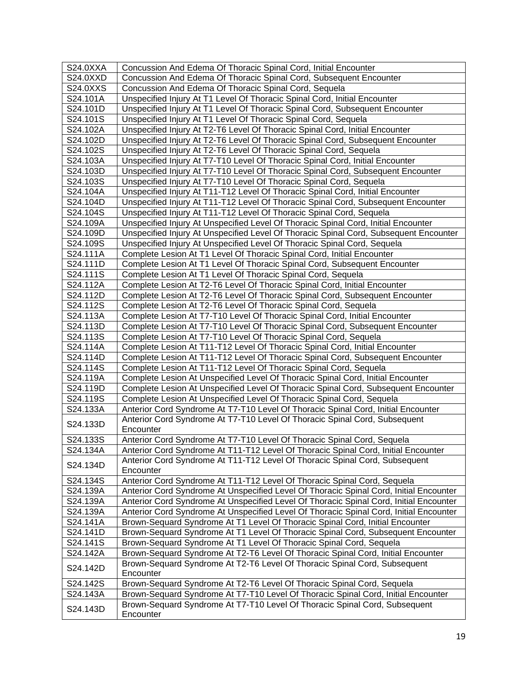| S24.0XXA | Concussion And Edema Of Thoracic Spinal Cord, Initial Encounter                         |
|----------|-----------------------------------------------------------------------------------------|
| S24.0XXD | Concussion And Edema Of Thoracic Spinal Cord, Subsequent Encounter                      |
| S24.0XXS | Concussion And Edema Of Thoracic Spinal Cord, Sequela                                   |
| S24.101A | Unspecified Injury At T1 Level Of Thoracic Spinal Cord, Initial Encounter               |
| S24.101D | Unspecified Injury At T1 Level Of Thoracic Spinal Cord, Subsequent Encounter            |
| S24.101S | Unspecified Injury At T1 Level Of Thoracic Spinal Cord, Sequela                         |
| S24.102A | Unspecified Injury At T2-T6 Level Of Thoracic Spinal Cord, Initial Encounter            |
| S24.102D | Unspecified Injury At T2-T6 Level Of Thoracic Spinal Cord, Subsequent Encounter         |
| S24.102S | Unspecified Injury At T2-T6 Level Of Thoracic Spinal Cord, Sequela                      |
| S24.103A | Unspecified Injury At T7-T10 Level Of Thoracic Spinal Cord, Initial Encounter           |
| S24.103D | Unspecified Injury At T7-T10 Level Of Thoracic Spinal Cord, Subsequent Encounter        |
| S24.103S | Unspecified Injury At T7-T10 Level Of Thoracic Spinal Cord, Sequela                     |
| S24.104A | Unspecified Injury At T11-T12 Level Of Thoracic Spinal Cord, Initial Encounter          |
| S24.104D | Unspecified Injury At T11-T12 Level Of Thoracic Spinal Cord, Subsequent Encounter       |
| S24.104S | Unspecified Injury At T11-T12 Level Of Thoracic Spinal Cord, Sequela                    |
| S24.109A | Unspecified Injury At Unspecified Level Of Thoracic Spinal Cord, Initial Encounter      |
| S24.109D | Unspecified Injury At Unspecified Level Of Thoracic Spinal Cord, Subsequent Encounter   |
| S24.109S | Unspecified Injury At Unspecified Level Of Thoracic Spinal Cord, Sequela                |
| S24.111A | Complete Lesion At T1 Level Of Thoracic Spinal Cord, Initial Encounter                  |
| S24.111D | Complete Lesion At T1 Level Of Thoracic Spinal Cord, Subsequent Encounter               |
| S24.111S | Complete Lesion At T1 Level Of Thoracic Spinal Cord, Sequela                            |
| S24.112A | Complete Lesion At T2-T6 Level Of Thoracic Spinal Cord, Initial Encounter               |
| S24.112D | Complete Lesion At T2-T6 Level Of Thoracic Spinal Cord, Subsequent Encounter            |
| S24.112S | Complete Lesion At T2-T6 Level Of Thoracic Spinal Cord, Sequela                         |
| S24.113A | Complete Lesion At T7-T10 Level Of Thoracic Spinal Cord, Initial Encounter              |
| S24.113D | Complete Lesion At T7-T10 Level Of Thoracic Spinal Cord, Subsequent Encounter           |
| S24.113S | Complete Lesion At T7-T10 Level Of Thoracic Spinal Cord, Sequela                        |
| S24.114A | Complete Lesion At T11-T12 Level Of Thoracic Spinal Cord, Initial Encounter             |
| S24.114D | Complete Lesion At T11-T12 Level Of Thoracic Spinal Cord, Subsequent Encounter          |
| S24.114S | Complete Lesion At T11-T12 Level Of Thoracic Spinal Cord, Sequela                       |
| S24.119A | Complete Lesion At Unspecified Level Of Thoracic Spinal Cord, Initial Encounter         |
| S24.119D | Complete Lesion At Unspecified Level Of Thoracic Spinal Cord, Subsequent Encounter      |
| S24.119S | Complete Lesion At Unspecified Level Of Thoracic Spinal Cord, Sequela                   |
| S24.133A | Anterior Cord Syndrome At T7-T10 Level Of Thoracic Spinal Cord, Initial Encounter       |
| S24.133D | Anterior Cord Syndrome At T7-T10 Level Of Thoracic Spinal Cord, Subsequent<br>Encounter |
| S24.133S | Anterior Cord Syndrome At T7-T10 Level Of Thoracic Spinal Cord, Sequela                 |
| S24.134A | Anterior Cord Syndrome At T11-T12 Level Of Thoracic Spinal Cord, Initial Encounter      |
|          | Anterior Cord Syndrome At T11-T12 Level Of Thoracic Spinal Cord, Subsequent             |
| S24.134D | Encounter                                                                               |
| S24.134S | Anterior Cord Syndrome At T11-T12 Level Of Thoracic Spinal Cord, Sequela                |
| S24.139A | Anterior Cord Syndrome At Unspecified Level Of Thoracic Spinal Cord, Initial Encounter  |
| S24.139A | Anterior Cord Syndrome At Unspecified Level Of Thoracic Spinal Cord, Initial Encounter  |
| S24.139A | Anterior Cord Syndrome At Unspecified Level Of Thoracic Spinal Cord, Initial Encounter  |
| S24.141A | Brown-Sequard Syndrome At T1 Level Of Thoracic Spinal Cord, Initial Encounter           |
| S24.141D | Brown-Sequard Syndrome At T1 Level Of Thoracic Spinal Cord, Subsequent Encounter        |
| S24.141S | Brown-Sequard Syndrome At T1 Level Of Thoracic Spinal Cord, Sequela                     |
| S24.142A | Brown-Sequard Syndrome At T2-T6 Level Of Thoracic Spinal Cord, Initial Encounter        |
|          | Brown-Sequard Syndrome At T2-T6 Level Of Thoracic Spinal Cord, Subsequent               |
| S24.142D | Encounter                                                                               |
| S24.142S | Brown-Sequard Syndrome At T2-T6 Level Of Thoracic Spinal Cord, Sequela                  |
| S24.143A | Brown-Sequard Syndrome At T7-T10 Level Of Thoracic Spinal Cord, Initial Encounter       |
|          | Brown-Sequard Syndrome At T7-T10 Level Of Thoracic Spinal Cord, Subsequent              |
| S24.143D | Encounter                                                                               |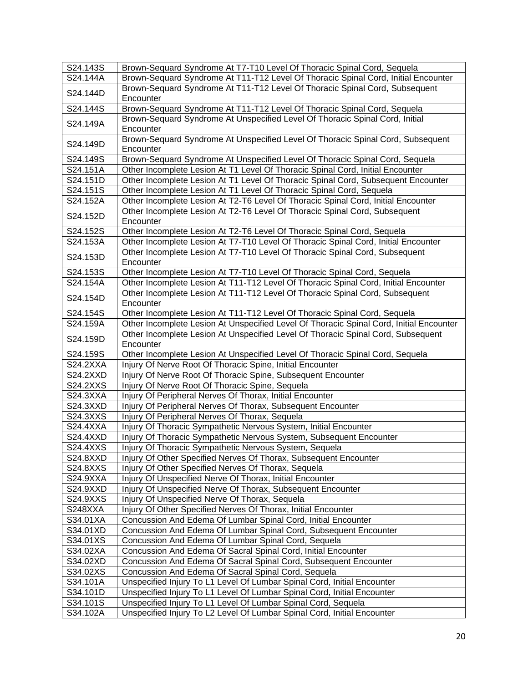| S24.143S        | Brown-Sequard Syndrome At T7-T10 Level Of Thoracic Spinal Cord, Sequela                       |
|-----------------|-----------------------------------------------------------------------------------------------|
| S24.144A        | Brown-Sequard Syndrome At T11-T12 Level Of Thoracic Spinal Cord, Initial Encounter            |
| S24.144D        | Brown-Sequard Syndrome At T11-T12 Level Of Thoracic Spinal Cord, Subsequent<br>Encounter      |
| S24.144S        | Brown-Sequard Syndrome At T11-T12 Level Of Thoracic Spinal Cord, Sequela                      |
| S24.149A        | Brown-Sequard Syndrome At Unspecified Level Of Thoracic Spinal Cord, Initial<br>Encounter     |
| S24.149D        | Brown-Sequard Syndrome At Unspecified Level Of Thoracic Spinal Cord, Subsequent<br>Encounter  |
| S24.149S        | Brown-Sequard Syndrome At Unspecified Level Of Thoracic Spinal Cord, Sequela                  |
| S24.151A        | Other Incomplete Lesion At T1 Level Of Thoracic Spinal Cord, Initial Encounter                |
| S24.151D        | Other Incomplete Lesion At T1 Level Of Thoracic Spinal Cord, Subsequent Encounter             |
| S24.151S        | Other Incomplete Lesion At T1 Level Of Thoracic Spinal Cord, Sequela                          |
| S24.152A        | Other Incomplete Lesion At T2-T6 Level Of Thoracic Spinal Cord, Initial Encounter             |
| S24.152D        | Other Incomplete Lesion At T2-T6 Level Of Thoracic Spinal Cord, Subsequent<br>Encounter       |
| S24.152S        | Other Incomplete Lesion At T2-T6 Level Of Thoracic Spinal Cord, Sequela                       |
| S24.153A        | Other Incomplete Lesion At T7-T10 Level Of Thoracic Spinal Cord, Initial Encounter            |
| S24.153D        | Other Incomplete Lesion At T7-T10 Level Of Thoracic Spinal Cord, Subsequent<br>Encounter      |
| S24.153S        | Other Incomplete Lesion At T7-T10 Level Of Thoracic Spinal Cord, Sequela                      |
| S24.154A        | Other Incomplete Lesion At T11-T12 Level Of Thoracic Spinal Cord, Initial Encounter           |
| S24.154D        | Other Incomplete Lesion At T11-T12 Level Of Thoracic Spinal Cord, Subsequent<br>Encounter     |
| S24.154S        | Other Incomplete Lesion At T11-T12 Level Of Thoracic Spinal Cord, Sequela                     |
| S24.159A        | Other Incomplete Lesion At Unspecified Level Of Thoracic Spinal Cord, Initial Encounter       |
| S24.159D        | Other Incomplete Lesion At Unspecified Level Of Thoracic Spinal Cord, Subsequent<br>Encounter |
| S24.159S        | Other Incomplete Lesion At Unspecified Level Of Thoracic Spinal Cord, Sequela                 |
| <b>S24.2XXA</b> | Injury Of Nerve Root Of Thoracic Spine, Initial Encounter                                     |
| <b>S24.2XXD</b> | Injury Of Nerve Root Of Thoracic Spine, Subsequent Encounter                                  |
| S24.2XXS        | Injury Of Nerve Root Of Thoracic Spine, Sequela                                               |
| S24.3XXA        | Injury Of Peripheral Nerves Of Thorax, Initial Encounter                                      |
| S24.3XXD        | Injury Of Peripheral Nerves Of Thorax, Subsequent Encounter                                   |
| S24.3XXS        | Injury Of Peripheral Nerves Of Thorax, Sequela                                                |
| <b>S24.4XXA</b> | Injury Of Thoracic Sympathetic Nervous System, Initial Encounter                              |
| <b>S24.4XXD</b> | Injury Of Thoracic Sympathetic Nervous System, Subsequent Encounter                           |
| S24.4XXS        | Injury Of Thoracic Sympathetic Nervous System, Sequela                                        |
| S24.8XXD        | Injury Of Other Specified Nerves Of Thorax, Subsequent Encounter                              |
| S24.8XXS        | Injury Of Other Specified Nerves Of Thorax, Sequela                                           |
| S24.9XXA        | Injury Of Unspecified Nerve Of Thorax, Initial Encounter                                      |
| S24.9XXD        | Injury Of Unspecified Nerve Of Thorax, Subsequent Encounter                                   |
| S24.9XXS        | Injury Of Unspecified Nerve Of Thorax, Sequela                                                |
| S248XXA         | Injury Of Other Specified Nerves Of Thorax, Initial Encounter                                 |
| S34.01XA        | Concussion And Edema Of Lumbar Spinal Cord, Initial Encounter                                 |
| S34.01XD        | Concussion And Edema Of Lumbar Spinal Cord, Subsequent Encounter                              |
| S34.01XS        | Concussion And Edema Of Lumbar Spinal Cord, Sequela                                           |
| S34.02XA        | Concussion And Edema Of Sacral Spinal Cord, Initial Encounter                                 |
| S34.02XD        | Concussion And Edema Of Sacral Spinal Cord, Subsequent Encounter                              |
| S34.02XS        | Concussion And Edema Of Sacral Spinal Cord, Sequela                                           |
| S34.101A        | Unspecified Injury To L1 Level Of Lumbar Spinal Cord, Initial Encounter                       |
| S34.101D        | Unspecified Injury To L1 Level Of Lumbar Spinal Cord, Initial Encounter                       |
| S34.101S        | Unspecified Injury To L1 Level Of Lumbar Spinal Cord, Sequela                                 |
| S34.102A        | Unspecified Injury To L2 Level Of Lumbar Spinal Cord, Initial Encounter                       |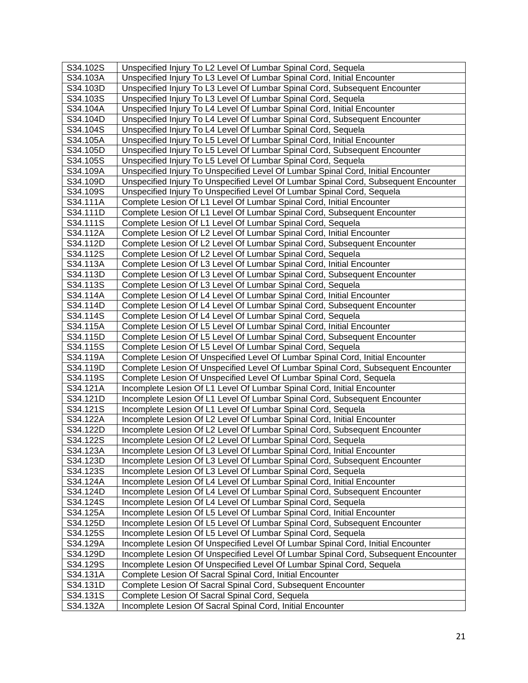| S34.102S | Unspecified Injury To L2 Level Of Lumbar Spinal Cord, Sequela                       |
|----------|-------------------------------------------------------------------------------------|
| S34.103A | Unspecified Injury To L3 Level Of Lumbar Spinal Cord, Initial Encounter             |
| S34.103D | Unspecified Injury To L3 Level Of Lumbar Spinal Cord, Subsequent Encounter          |
| S34.103S | Unspecified Injury To L3 Level Of Lumbar Spinal Cord, Sequela                       |
| S34.104A | Unspecified Injury To L4 Level Of Lumbar Spinal Cord, Initial Encounter             |
| S34.104D | Unspecified Injury To L4 Level Of Lumbar Spinal Cord, Subsequent Encounter          |
| S34.104S | Unspecified Injury To L4 Level Of Lumbar Spinal Cord, Sequela                       |
| S34.105A | Unspecified Injury To L5 Level Of Lumbar Spinal Cord, Initial Encounter             |
| S34.105D | Unspecified Injury To L5 Level Of Lumbar Spinal Cord, Subsequent Encounter          |
| S34.105S | Unspecified Injury To L5 Level Of Lumbar Spinal Cord, Sequela                       |
| S34.109A | Unspecified Injury To Unspecified Level Of Lumbar Spinal Cord, Initial Encounter    |
| S34.109D | Unspecified Injury To Unspecified Level Of Lumbar Spinal Cord, Subsequent Encounter |
| S34.109S | Unspecified Injury To Unspecified Level Of Lumbar Spinal Cord, Sequela              |
| S34.111A | Complete Lesion Of L1 Level Of Lumbar Spinal Cord, Initial Encounter                |
| S34.111D | Complete Lesion Of L1 Level Of Lumbar Spinal Cord, Subsequent Encounter             |
| S34.111S | Complete Lesion Of L1 Level Of Lumbar Spinal Cord, Sequela                          |
| S34.112A | Complete Lesion Of L2 Level Of Lumbar Spinal Cord, Initial Encounter                |
| S34.112D | Complete Lesion Of L2 Level Of Lumbar Spinal Cord, Subsequent Encounter             |
| S34.112S | Complete Lesion Of L2 Level Of Lumbar Spinal Cord, Sequela                          |
| S34.113A | Complete Lesion Of L3 Level Of Lumbar Spinal Cord, Initial Encounter                |
| S34.113D | Complete Lesion Of L3 Level Of Lumbar Spinal Cord, Subsequent Encounter             |
| S34.113S | Complete Lesion Of L3 Level Of Lumbar Spinal Cord, Sequela                          |
| S34.114A | Complete Lesion Of L4 Level Of Lumbar Spinal Cord, Initial Encounter                |
| S34.114D | Complete Lesion Of L4 Level Of Lumbar Spinal Cord, Subsequent Encounter             |
| S34.114S | Complete Lesion Of L4 Level Of Lumbar Spinal Cord, Sequela                          |
| S34.115A | Complete Lesion Of L5 Level Of Lumbar Spinal Cord, Initial Encounter                |
| S34.115D | Complete Lesion Of L5 Level Of Lumbar Spinal Cord, Subsequent Encounter             |
| S34.115S | Complete Lesion Of L5 Level Of Lumbar Spinal Cord, Sequela                          |
| S34.119A | Complete Lesion Of Unspecified Level Of Lumbar Spinal Cord, Initial Encounter       |
| S34.119D | Complete Lesion Of Unspecified Level Of Lumbar Spinal Cord, Subsequent Encounter    |
| S34.119S | Complete Lesion Of Unspecified Level Of Lumbar Spinal Cord, Sequela                 |
| S34.121A | Incomplete Lesion Of L1 Level Of Lumbar Spinal Cord, Initial Encounter              |
| S34.121D | Incomplete Lesion Of L1 Level Of Lumbar Spinal Cord, Subsequent Encounter           |
| S34.121S | Incomplete Lesion Of L1 Level Of Lumbar Spinal Cord, Sequela                        |
| S34.122A | Incomplete Lesion Of L2 Level Of Lumbar Spinal Cord, Initial Encounter              |
| S34.122D | Incomplete Lesion Of L2 Level Of Lumbar Spinal Cord, Subsequent Encounter           |
| S34.122S | Incomplete Lesion Of L2 Level Of Lumbar Spinal Cord, Sequela                        |
| S34.123A | Incomplete Lesion Of L3 Level Of Lumbar Spinal Cord, Initial Encounter              |
| S34.123D | Incomplete Lesion Of L3 Level Of Lumbar Spinal Cord, Subsequent Encounter           |
| S34.123S | Incomplete Lesion Of L3 Level Of Lumbar Spinal Cord, Sequela                        |
| S34.124A | Incomplete Lesion Of L4 Level Of Lumbar Spinal Cord, Initial Encounter              |
| S34.124D | Incomplete Lesion Of L4 Level Of Lumbar Spinal Cord, Subsequent Encounter           |
| S34.124S | Incomplete Lesion Of L4 Level Of Lumbar Spinal Cord, Sequela                        |
| S34.125A | Incomplete Lesion Of L5 Level Of Lumbar Spinal Cord, Initial Encounter              |
| S34.125D | Incomplete Lesion Of L5 Level Of Lumbar Spinal Cord, Subsequent Encounter           |
| S34.125S | Incomplete Lesion Of L5 Level Of Lumbar Spinal Cord, Sequela                        |
| S34.129A | Incomplete Lesion Of Unspecified Level Of Lumbar Spinal Cord, Initial Encounter     |
| S34.129D | Incomplete Lesion Of Unspecified Level Of Lumbar Spinal Cord, Subsequent Encounter  |
| S34.129S | Incomplete Lesion Of Unspecified Level Of Lumbar Spinal Cord, Sequela               |
| S34.131A | Complete Lesion Of Sacral Spinal Cord, Initial Encounter                            |
| S34.131D | Complete Lesion Of Sacral Spinal Cord, Subsequent Encounter                         |
| S34.131S | Complete Lesion Of Sacral Spinal Cord, Sequela                                      |
| S34.132A | Incomplete Lesion Of Sacral Spinal Cord, Initial Encounter                          |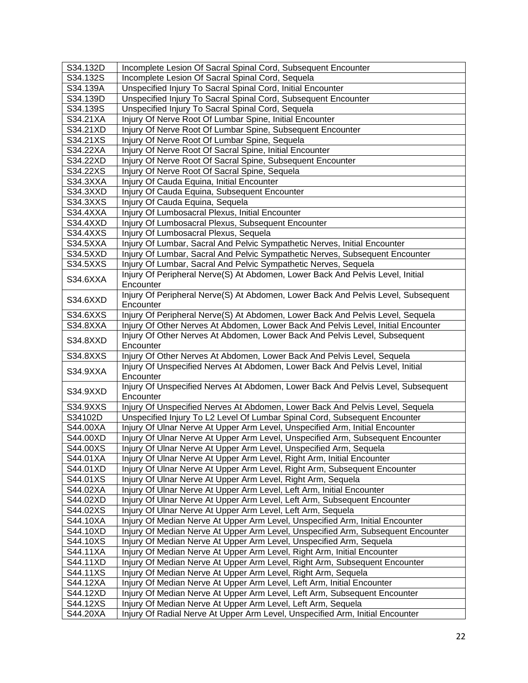| S34.132D | Incomplete Lesion Of Sacral Spinal Cord, Subsequent Encounter                                                                                                       |
|----------|---------------------------------------------------------------------------------------------------------------------------------------------------------------------|
| S34.132S | Incomplete Lesion Of Sacral Spinal Cord, Sequela                                                                                                                    |
| S34.139A | Unspecified Injury To Sacral Spinal Cord, Initial Encounter                                                                                                         |
| S34.139D | Unspecified Injury To Sacral Spinal Cord, Subsequent Encounter                                                                                                      |
| S34.139S | Unspecified Injury To Sacral Spinal Cord, Sequela                                                                                                                   |
| S34.21XA | Injury Of Nerve Root Of Lumbar Spine, Initial Encounter                                                                                                             |
| S34.21XD | Injury Of Nerve Root Of Lumbar Spine, Subsequent Encounter                                                                                                          |
| S34.21XS | Injury Of Nerve Root Of Lumbar Spine, Sequela                                                                                                                       |
| S34.22XA | Injury Of Nerve Root Of Sacral Spine, Initial Encounter                                                                                                             |
| S34.22XD | Injury Of Nerve Root Of Sacral Spine, Subsequent Encounter                                                                                                          |
| S34.22XS | Injury Of Nerve Root Of Sacral Spine, Sequela                                                                                                                       |
| S34.3XXA | Injury Of Cauda Equina, Initial Encounter                                                                                                                           |
| S34.3XXD | Injury Of Cauda Equina, Subsequent Encounter                                                                                                                        |
| S34.3XXS | Injury Of Cauda Equina, Sequela                                                                                                                                     |
| S34.4XXA | Injury Of Lumbosacral Plexus, Initial Encounter                                                                                                                     |
| S34.4XXD | Injury Of Lumbosacral Plexus, Subsequent Encounter                                                                                                                  |
| S34.4XXS | <b>Injury Of Lumbosacral Plexus, Sequela</b>                                                                                                                        |
| S34.5XXA | Injury Of Lumbar, Sacral And Pelvic Sympathetic Nerves, Initial Encounter                                                                                           |
| S34.5XXD | Injury Of Lumbar, Sacral And Pelvic Sympathetic Nerves, Subsequent Encounter                                                                                        |
| S34.5XXS | Injury Of Lumbar, Sacral And Pelvic Sympathetic Nerves, Sequela                                                                                                     |
| S34.6XXA | Injury Of Peripheral Nerve(S) At Abdomen, Lower Back And Pelvis Level, Initial                                                                                      |
|          | Encounter                                                                                                                                                           |
| S34.6XXD | Injury Of Peripheral Nerve(S) At Abdomen, Lower Back And Pelvis Level, Subsequent                                                                                   |
| S34.6XXS | Encounter                                                                                                                                                           |
| S34.8XXA | Injury Of Peripheral Nerve(S) At Abdomen, Lower Back And Pelvis Level, Sequela<br>Injury Of Other Nerves At Abdomen, Lower Back And Pelvis Level, Initial Encounter |
|          | Injury Of Other Nerves At Abdomen, Lower Back And Pelvis Level, Subsequent                                                                                          |
| S34.8XXD | Encounter                                                                                                                                                           |
| S34.8XXS | Injury Of Other Nerves At Abdomen, Lower Back And Pelvis Level, Sequela                                                                                             |
|          | Injury Of Unspecified Nerves At Abdomen, Lower Back And Pelvis Level, Initial                                                                                       |
| S34.9XXA | Encounter                                                                                                                                                           |
|          | Injury Of Unspecified Nerves At Abdomen, Lower Back And Pelvis Level, Subsequent                                                                                    |
| S34.9XXD | Encounter                                                                                                                                                           |
| S34.9XXS | Injury Of Unspecified Nerves At Abdomen, Lower Back And Pelvis Level, Sequela                                                                                       |
| S34102D  | Unspecified Injury To L2 Level Of Lumbar Spinal Cord, Subsequent Encounter                                                                                          |
| S44.00XA | Injury Of Ulnar Nerve At Upper Arm Level, Unspecified Arm, Initial Encounter                                                                                        |
| S44.00XD | Injury Of Ulnar Nerve At Upper Arm Level, Unspecified Arm, Subsequent Encounter                                                                                     |
| S44.00XS | Injury Of Ulnar Nerve At Upper Arm Level, Unspecified Arm, Sequela                                                                                                  |
| S44.01XA | Injury Of Ulnar Nerve At Upper Arm Level, Right Arm, Initial Encounter                                                                                              |
| S44.01XD | Injury Of Ulnar Nerve At Upper Arm Level, Right Arm, Subsequent Encounter                                                                                           |
| S44.01XS | Injury Of Ulnar Nerve At Upper Arm Level, Right Arm, Sequela                                                                                                        |
| S44.02XA | Injury Of Ulnar Nerve At Upper Arm Level, Left Arm, Initial Encounter                                                                                               |
| S44.02XD | Injury Of Ulnar Nerve At Upper Arm Level, Left Arm, Subsequent Encounter                                                                                            |
| S44.02XS | Injury Of Ulnar Nerve At Upper Arm Level, Left Arm, Sequela                                                                                                         |
| S44.10XA | Injury Of Median Nerve At Upper Arm Level, Unspecified Arm, Initial Encounter                                                                                       |
| S44.10XD | Injury Of Median Nerve At Upper Arm Level, Unspecified Arm, Subsequent Encounter                                                                                    |
| S44.10XS | Injury Of Median Nerve At Upper Arm Level, Unspecified Arm, Sequela                                                                                                 |
| S44.11XA | Injury Of Median Nerve At Upper Arm Level, Right Arm, Initial Encounter                                                                                             |
| S44.11XD | Injury Of Median Nerve At Upper Arm Level, Right Arm, Subsequent Encounter                                                                                          |
| S44.11XS | Injury Of Median Nerve At Upper Arm Level, Right Arm, Sequela                                                                                                       |
| S44.12XA | Injury Of Median Nerve At Upper Arm Level, Left Arm, Initial Encounter                                                                                              |
| S44.12XD | Injury Of Median Nerve At Upper Arm Level, Left Arm, Subsequent Encounter                                                                                           |
| S44.12XS | Injury Of Median Nerve At Upper Arm Level, Left Arm, Sequela                                                                                                        |
| S44.20XA | Injury Of Radial Nerve At Upper Arm Level, Unspecified Arm, Initial Encounter                                                                                       |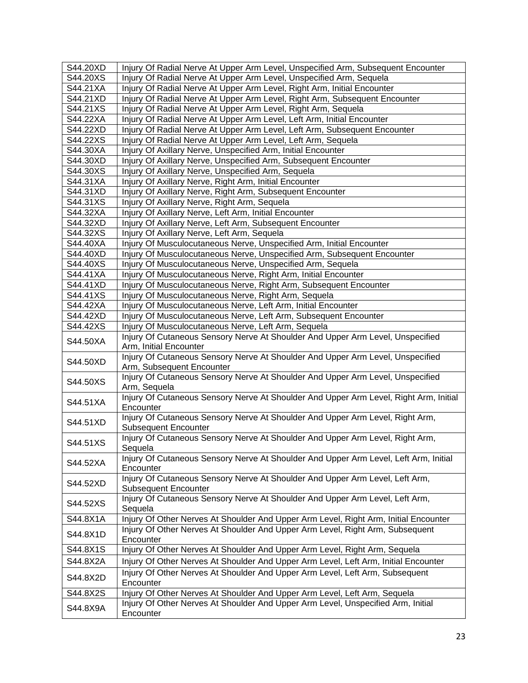| S44.20XS<br>Injury Of Radial Nerve At Upper Arm Level, Unspecified Arm, Sequela<br>S44.21XA<br>Injury Of Radial Nerve At Upper Arm Level, Right Arm, Initial Encounter<br>S44.21XD<br>Injury Of Radial Nerve At Upper Arm Level, Right Arm, Subsequent Encounter<br>S44.21XS<br>Injury Of Radial Nerve At Upper Arm Level, Right Arm, Sequela<br>S44.22XA<br>Injury Of Radial Nerve At Upper Arm Level, Left Arm, Initial Encounter<br>S44.22XD<br>Injury Of Radial Nerve At Upper Arm Level, Left Arm, Subsequent Encounter<br>S44.22XS<br>Injury Of Radial Nerve At Upper Arm Level, Left Arm, Sequela<br>S44.30XA<br>Injury Of Axillary Nerve, Unspecified Arm, Initial Encounter<br>S44.30XD<br>Injury Of Axillary Nerve, Unspecified Arm, Subsequent Encounter<br>S44.30XS<br>Injury Of Axillary Nerve, Unspecified Arm, Sequela<br>S44.31XA<br>Injury Of Axillary Nerve, Right Arm, Initial Encounter<br>S44.31XD<br>Injury Of Axillary Nerve, Right Arm, Subsequent Encounter<br>S44.31XS<br>Injury Of Axillary Nerve, Right Arm, Sequela<br>S44.32XA<br>Injury Of Axillary Nerve, Left Arm, Initial Encounter<br>S44.32XD<br>Injury Of Axillary Nerve, Left Arm, Subsequent Encounter<br>S44.32XS<br>Injury Of Axillary Nerve, Left Arm, Sequela<br>S44.40XA<br>Injury Of Musculocutaneous Nerve, Unspecified Arm, Initial Encounter<br>S44.40XD<br>Injury Of Musculocutaneous Nerve, Unspecified Arm, Subsequent Encounter<br>Injury Of Musculocutaneous Nerve, Unspecified Arm, Sequela<br>S44.40XS<br>S44.41XA<br>Injury Of Musculocutaneous Nerve, Right Arm, Initial Encounter<br>S44.41XD<br>Injury Of Musculocutaneous Nerve, Right Arm, Subsequent Encounter<br>Injury Of Musculocutaneous Nerve, Right Arm, Sequela<br>S44.41XS<br>S44.42XA<br>Injury Of Musculocutaneous Nerve, Left Arm, Initial Encounter<br>S44.42XD<br>Injury Of Musculocutaneous Nerve, Left Arm, Subsequent Encounter<br>S44.42XS<br>Injury Of Musculocutaneous Nerve, Left Arm, Sequela<br>Injury Of Cutaneous Sensory Nerve At Shoulder And Upper Arm Level, Unspecified<br>S44.50XA<br>Arm, Initial Encounter<br>Injury Of Cutaneous Sensory Nerve At Shoulder And Upper Arm Level, Unspecified<br>S44.50XD<br>Arm, Subsequent Encounter<br>Injury Of Cutaneous Sensory Nerve At Shoulder And Upper Arm Level, Unspecified<br>S44.50XS<br>Arm, Sequela<br>Injury Of Cutaneous Sensory Nerve At Shoulder And Upper Arm Level, Right Arm, Initial<br>S44.51XA<br>Encounter<br>Injury Of Cutaneous Sensory Nerve At Shoulder And Upper Arm Level, Right Arm,<br>S44.51XD<br><b>Subsequent Encounter</b><br>Injury Of Cutaneous Sensory Nerve At Shoulder And Upper Arm Level, Right Arm,<br>S44.51XS<br>Sequela<br>Injury Of Cutaneous Sensory Nerve At Shoulder And Upper Arm Level, Left Arm, Initial<br>S44.52XA<br>Encounter<br>Injury Of Cutaneous Sensory Nerve At Shoulder And Upper Arm Level, Left Arm,<br>S44.52XD<br><b>Subsequent Encounter</b><br>Injury Of Cutaneous Sensory Nerve At Shoulder And Upper Arm Level, Left Arm,<br>S44.52XS<br>Sequela<br>Injury Of Other Nerves At Shoulder And Upper Arm Level, Right Arm, Initial Encounter<br>S44.8X1A<br>Injury Of Other Nerves At Shoulder And Upper Arm Level, Right Arm, Subsequent<br>S44.8X1D<br>Encounter<br>S44.8X1S<br>Injury Of Other Nerves At Shoulder And Upper Arm Level, Right Arm, Sequela<br>Injury Of Other Nerves At Shoulder And Upper Arm Level, Left Arm, Initial Encounter<br>S44.8X2A<br>Injury Of Other Nerves At Shoulder And Upper Arm Level, Left Arm, Subsequent<br>S44.8X2D<br>Encounter<br>S44.8X2S<br>Injury Of Other Nerves At Shoulder And Upper Arm Level, Left Arm, Sequela<br>Injury Of Other Nerves At Shoulder And Upper Arm Level, Unspecified Arm, Initial<br>S44.8X9A | S44.20XD | Injury Of Radial Nerve At Upper Arm Level, Unspecified Arm, Subsequent Encounter |
|-------------------------------------------------------------------------------------------------------------------------------------------------------------------------------------------------------------------------------------------------------------------------------------------------------------------------------------------------------------------------------------------------------------------------------------------------------------------------------------------------------------------------------------------------------------------------------------------------------------------------------------------------------------------------------------------------------------------------------------------------------------------------------------------------------------------------------------------------------------------------------------------------------------------------------------------------------------------------------------------------------------------------------------------------------------------------------------------------------------------------------------------------------------------------------------------------------------------------------------------------------------------------------------------------------------------------------------------------------------------------------------------------------------------------------------------------------------------------------------------------------------------------------------------------------------------------------------------------------------------------------------------------------------------------------------------------------------------------------------------------------------------------------------------------------------------------------------------------------------------------------------------------------------------------------------------------------------------------------------------------------------------------------------------------------------------------------------------------------------------------------------------------------------------------------------------------------------------------------------------------------------------------------------------------------------------------------------------------------------------------------------------------------------------------------------------------------------------------------------------------------------------------------------------------------------------------------------------------------------------------------------------------------------------------------------------------------------------------------------------------------------------------------------------------------------------------------------------------------------------------------------------------------------------------------------------------------------------------------------------------------------------------------------------------------------------------------------------------------------------------------------------------------------------------------------------------------------------------------------------------------------------------------------------------------------------------------------------------------------------------------------------------------------------------------------------------------------------------------------------------------------------------------------------------------------------------------------------------------------------------------------------------------------------------------------------------------------------------------------------------------------------------|----------|----------------------------------------------------------------------------------|
|                                                                                                                                                                                                                                                                                                                                                                                                                                                                                                                                                                                                                                                                                                                                                                                                                                                                                                                                                                                                                                                                                                                                                                                                                                                                                                                                                                                                                                                                                                                                                                                                                                                                                                                                                                                                                                                                                                                                                                                                                                                                                                                                                                                                                                                                                                                                                                                                                                                                                                                                                                                                                                                                                                                                                                                                                                                                                                                                                                                                                                                                                                                                                                                                                                                                                                                                                                                                                                                                                                                                                                                                                                                                                                                                                                         |          |                                                                                  |
|                                                                                                                                                                                                                                                                                                                                                                                                                                                                                                                                                                                                                                                                                                                                                                                                                                                                                                                                                                                                                                                                                                                                                                                                                                                                                                                                                                                                                                                                                                                                                                                                                                                                                                                                                                                                                                                                                                                                                                                                                                                                                                                                                                                                                                                                                                                                                                                                                                                                                                                                                                                                                                                                                                                                                                                                                                                                                                                                                                                                                                                                                                                                                                                                                                                                                                                                                                                                                                                                                                                                                                                                                                                                                                                                                                         |          |                                                                                  |
|                                                                                                                                                                                                                                                                                                                                                                                                                                                                                                                                                                                                                                                                                                                                                                                                                                                                                                                                                                                                                                                                                                                                                                                                                                                                                                                                                                                                                                                                                                                                                                                                                                                                                                                                                                                                                                                                                                                                                                                                                                                                                                                                                                                                                                                                                                                                                                                                                                                                                                                                                                                                                                                                                                                                                                                                                                                                                                                                                                                                                                                                                                                                                                                                                                                                                                                                                                                                                                                                                                                                                                                                                                                                                                                                                                         |          |                                                                                  |
|                                                                                                                                                                                                                                                                                                                                                                                                                                                                                                                                                                                                                                                                                                                                                                                                                                                                                                                                                                                                                                                                                                                                                                                                                                                                                                                                                                                                                                                                                                                                                                                                                                                                                                                                                                                                                                                                                                                                                                                                                                                                                                                                                                                                                                                                                                                                                                                                                                                                                                                                                                                                                                                                                                                                                                                                                                                                                                                                                                                                                                                                                                                                                                                                                                                                                                                                                                                                                                                                                                                                                                                                                                                                                                                                                                         |          |                                                                                  |
|                                                                                                                                                                                                                                                                                                                                                                                                                                                                                                                                                                                                                                                                                                                                                                                                                                                                                                                                                                                                                                                                                                                                                                                                                                                                                                                                                                                                                                                                                                                                                                                                                                                                                                                                                                                                                                                                                                                                                                                                                                                                                                                                                                                                                                                                                                                                                                                                                                                                                                                                                                                                                                                                                                                                                                                                                                                                                                                                                                                                                                                                                                                                                                                                                                                                                                                                                                                                                                                                                                                                                                                                                                                                                                                                                                         |          |                                                                                  |
|                                                                                                                                                                                                                                                                                                                                                                                                                                                                                                                                                                                                                                                                                                                                                                                                                                                                                                                                                                                                                                                                                                                                                                                                                                                                                                                                                                                                                                                                                                                                                                                                                                                                                                                                                                                                                                                                                                                                                                                                                                                                                                                                                                                                                                                                                                                                                                                                                                                                                                                                                                                                                                                                                                                                                                                                                                                                                                                                                                                                                                                                                                                                                                                                                                                                                                                                                                                                                                                                                                                                                                                                                                                                                                                                                                         |          |                                                                                  |
|                                                                                                                                                                                                                                                                                                                                                                                                                                                                                                                                                                                                                                                                                                                                                                                                                                                                                                                                                                                                                                                                                                                                                                                                                                                                                                                                                                                                                                                                                                                                                                                                                                                                                                                                                                                                                                                                                                                                                                                                                                                                                                                                                                                                                                                                                                                                                                                                                                                                                                                                                                                                                                                                                                                                                                                                                                                                                                                                                                                                                                                                                                                                                                                                                                                                                                                                                                                                                                                                                                                                                                                                                                                                                                                                                                         |          |                                                                                  |
|                                                                                                                                                                                                                                                                                                                                                                                                                                                                                                                                                                                                                                                                                                                                                                                                                                                                                                                                                                                                                                                                                                                                                                                                                                                                                                                                                                                                                                                                                                                                                                                                                                                                                                                                                                                                                                                                                                                                                                                                                                                                                                                                                                                                                                                                                                                                                                                                                                                                                                                                                                                                                                                                                                                                                                                                                                                                                                                                                                                                                                                                                                                                                                                                                                                                                                                                                                                                                                                                                                                                                                                                                                                                                                                                                                         |          |                                                                                  |
|                                                                                                                                                                                                                                                                                                                                                                                                                                                                                                                                                                                                                                                                                                                                                                                                                                                                                                                                                                                                                                                                                                                                                                                                                                                                                                                                                                                                                                                                                                                                                                                                                                                                                                                                                                                                                                                                                                                                                                                                                                                                                                                                                                                                                                                                                                                                                                                                                                                                                                                                                                                                                                                                                                                                                                                                                                                                                                                                                                                                                                                                                                                                                                                                                                                                                                                                                                                                                                                                                                                                                                                                                                                                                                                                                                         |          |                                                                                  |
|                                                                                                                                                                                                                                                                                                                                                                                                                                                                                                                                                                                                                                                                                                                                                                                                                                                                                                                                                                                                                                                                                                                                                                                                                                                                                                                                                                                                                                                                                                                                                                                                                                                                                                                                                                                                                                                                                                                                                                                                                                                                                                                                                                                                                                                                                                                                                                                                                                                                                                                                                                                                                                                                                                                                                                                                                                                                                                                                                                                                                                                                                                                                                                                                                                                                                                                                                                                                                                                                                                                                                                                                                                                                                                                                                                         |          |                                                                                  |
|                                                                                                                                                                                                                                                                                                                                                                                                                                                                                                                                                                                                                                                                                                                                                                                                                                                                                                                                                                                                                                                                                                                                                                                                                                                                                                                                                                                                                                                                                                                                                                                                                                                                                                                                                                                                                                                                                                                                                                                                                                                                                                                                                                                                                                                                                                                                                                                                                                                                                                                                                                                                                                                                                                                                                                                                                                                                                                                                                                                                                                                                                                                                                                                                                                                                                                                                                                                                                                                                                                                                                                                                                                                                                                                                                                         |          |                                                                                  |
|                                                                                                                                                                                                                                                                                                                                                                                                                                                                                                                                                                                                                                                                                                                                                                                                                                                                                                                                                                                                                                                                                                                                                                                                                                                                                                                                                                                                                                                                                                                                                                                                                                                                                                                                                                                                                                                                                                                                                                                                                                                                                                                                                                                                                                                                                                                                                                                                                                                                                                                                                                                                                                                                                                                                                                                                                                                                                                                                                                                                                                                                                                                                                                                                                                                                                                                                                                                                                                                                                                                                                                                                                                                                                                                                                                         |          |                                                                                  |
|                                                                                                                                                                                                                                                                                                                                                                                                                                                                                                                                                                                                                                                                                                                                                                                                                                                                                                                                                                                                                                                                                                                                                                                                                                                                                                                                                                                                                                                                                                                                                                                                                                                                                                                                                                                                                                                                                                                                                                                                                                                                                                                                                                                                                                                                                                                                                                                                                                                                                                                                                                                                                                                                                                                                                                                                                                                                                                                                                                                                                                                                                                                                                                                                                                                                                                                                                                                                                                                                                                                                                                                                                                                                                                                                                                         |          |                                                                                  |
|                                                                                                                                                                                                                                                                                                                                                                                                                                                                                                                                                                                                                                                                                                                                                                                                                                                                                                                                                                                                                                                                                                                                                                                                                                                                                                                                                                                                                                                                                                                                                                                                                                                                                                                                                                                                                                                                                                                                                                                                                                                                                                                                                                                                                                                                                                                                                                                                                                                                                                                                                                                                                                                                                                                                                                                                                                                                                                                                                                                                                                                                                                                                                                                                                                                                                                                                                                                                                                                                                                                                                                                                                                                                                                                                                                         |          |                                                                                  |
|                                                                                                                                                                                                                                                                                                                                                                                                                                                                                                                                                                                                                                                                                                                                                                                                                                                                                                                                                                                                                                                                                                                                                                                                                                                                                                                                                                                                                                                                                                                                                                                                                                                                                                                                                                                                                                                                                                                                                                                                                                                                                                                                                                                                                                                                                                                                                                                                                                                                                                                                                                                                                                                                                                                                                                                                                                                                                                                                                                                                                                                                                                                                                                                                                                                                                                                                                                                                                                                                                                                                                                                                                                                                                                                                                                         |          |                                                                                  |
|                                                                                                                                                                                                                                                                                                                                                                                                                                                                                                                                                                                                                                                                                                                                                                                                                                                                                                                                                                                                                                                                                                                                                                                                                                                                                                                                                                                                                                                                                                                                                                                                                                                                                                                                                                                                                                                                                                                                                                                                                                                                                                                                                                                                                                                                                                                                                                                                                                                                                                                                                                                                                                                                                                                                                                                                                                                                                                                                                                                                                                                                                                                                                                                                                                                                                                                                                                                                                                                                                                                                                                                                                                                                                                                                                                         |          |                                                                                  |
|                                                                                                                                                                                                                                                                                                                                                                                                                                                                                                                                                                                                                                                                                                                                                                                                                                                                                                                                                                                                                                                                                                                                                                                                                                                                                                                                                                                                                                                                                                                                                                                                                                                                                                                                                                                                                                                                                                                                                                                                                                                                                                                                                                                                                                                                                                                                                                                                                                                                                                                                                                                                                                                                                                                                                                                                                                                                                                                                                                                                                                                                                                                                                                                                                                                                                                                                                                                                                                                                                                                                                                                                                                                                                                                                                                         |          |                                                                                  |
|                                                                                                                                                                                                                                                                                                                                                                                                                                                                                                                                                                                                                                                                                                                                                                                                                                                                                                                                                                                                                                                                                                                                                                                                                                                                                                                                                                                                                                                                                                                                                                                                                                                                                                                                                                                                                                                                                                                                                                                                                                                                                                                                                                                                                                                                                                                                                                                                                                                                                                                                                                                                                                                                                                                                                                                                                                                                                                                                                                                                                                                                                                                                                                                                                                                                                                                                                                                                                                                                                                                                                                                                                                                                                                                                                                         |          |                                                                                  |
|                                                                                                                                                                                                                                                                                                                                                                                                                                                                                                                                                                                                                                                                                                                                                                                                                                                                                                                                                                                                                                                                                                                                                                                                                                                                                                                                                                                                                                                                                                                                                                                                                                                                                                                                                                                                                                                                                                                                                                                                                                                                                                                                                                                                                                                                                                                                                                                                                                                                                                                                                                                                                                                                                                                                                                                                                                                                                                                                                                                                                                                                                                                                                                                                                                                                                                                                                                                                                                                                                                                                                                                                                                                                                                                                                                         |          |                                                                                  |
|                                                                                                                                                                                                                                                                                                                                                                                                                                                                                                                                                                                                                                                                                                                                                                                                                                                                                                                                                                                                                                                                                                                                                                                                                                                                                                                                                                                                                                                                                                                                                                                                                                                                                                                                                                                                                                                                                                                                                                                                                                                                                                                                                                                                                                                                                                                                                                                                                                                                                                                                                                                                                                                                                                                                                                                                                                                                                                                                                                                                                                                                                                                                                                                                                                                                                                                                                                                                                                                                                                                                                                                                                                                                                                                                                                         |          |                                                                                  |
|                                                                                                                                                                                                                                                                                                                                                                                                                                                                                                                                                                                                                                                                                                                                                                                                                                                                                                                                                                                                                                                                                                                                                                                                                                                                                                                                                                                                                                                                                                                                                                                                                                                                                                                                                                                                                                                                                                                                                                                                                                                                                                                                                                                                                                                                                                                                                                                                                                                                                                                                                                                                                                                                                                                                                                                                                                                                                                                                                                                                                                                                                                                                                                                                                                                                                                                                                                                                                                                                                                                                                                                                                                                                                                                                                                         |          |                                                                                  |
|                                                                                                                                                                                                                                                                                                                                                                                                                                                                                                                                                                                                                                                                                                                                                                                                                                                                                                                                                                                                                                                                                                                                                                                                                                                                                                                                                                                                                                                                                                                                                                                                                                                                                                                                                                                                                                                                                                                                                                                                                                                                                                                                                                                                                                                                                                                                                                                                                                                                                                                                                                                                                                                                                                                                                                                                                                                                                                                                                                                                                                                                                                                                                                                                                                                                                                                                                                                                                                                                                                                                                                                                                                                                                                                                                                         |          |                                                                                  |
|                                                                                                                                                                                                                                                                                                                                                                                                                                                                                                                                                                                                                                                                                                                                                                                                                                                                                                                                                                                                                                                                                                                                                                                                                                                                                                                                                                                                                                                                                                                                                                                                                                                                                                                                                                                                                                                                                                                                                                                                                                                                                                                                                                                                                                                                                                                                                                                                                                                                                                                                                                                                                                                                                                                                                                                                                                                                                                                                                                                                                                                                                                                                                                                                                                                                                                                                                                                                                                                                                                                                                                                                                                                                                                                                                                         |          |                                                                                  |
|                                                                                                                                                                                                                                                                                                                                                                                                                                                                                                                                                                                                                                                                                                                                                                                                                                                                                                                                                                                                                                                                                                                                                                                                                                                                                                                                                                                                                                                                                                                                                                                                                                                                                                                                                                                                                                                                                                                                                                                                                                                                                                                                                                                                                                                                                                                                                                                                                                                                                                                                                                                                                                                                                                                                                                                                                                                                                                                                                                                                                                                                                                                                                                                                                                                                                                                                                                                                                                                                                                                                                                                                                                                                                                                                                                         |          |                                                                                  |
|                                                                                                                                                                                                                                                                                                                                                                                                                                                                                                                                                                                                                                                                                                                                                                                                                                                                                                                                                                                                                                                                                                                                                                                                                                                                                                                                                                                                                                                                                                                                                                                                                                                                                                                                                                                                                                                                                                                                                                                                                                                                                                                                                                                                                                                                                                                                                                                                                                                                                                                                                                                                                                                                                                                                                                                                                                                                                                                                                                                                                                                                                                                                                                                                                                                                                                                                                                                                                                                                                                                                                                                                                                                                                                                                                                         |          |                                                                                  |
|                                                                                                                                                                                                                                                                                                                                                                                                                                                                                                                                                                                                                                                                                                                                                                                                                                                                                                                                                                                                                                                                                                                                                                                                                                                                                                                                                                                                                                                                                                                                                                                                                                                                                                                                                                                                                                                                                                                                                                                                                                                                                                                                                                                                                                                                                                                                                                                                                                                                                                                                                                                                                                                                                                                                                                                                                                                                                                                                                                                                                                                                                                                                                                                                                                                                                                                                                                                                                                                                                                                                                                                                                                                                                                                                                                         |          |                                                                                  |
|                                                                                                                                                                                                                                                                                                                                                                                                                                                                                                                                                                                                                                                                                                                                                                                                                                                                                                                                                                                                                                                                                                                                                                                                                                                                                                                                                                                                                                                                                                                                                                                                                                                                                                                                                                                                                                                                                                                                                                                                                                                                                                                                                                                                                                                                                                                                                                                                                                                                                                                                                                                                                                                                                                                                                                                                                                                                                                                                                                                                                                                                                                                                                                                                                                                                                                                                                                                                                                                                                                                                                                                                                                                                                                                                                                         |          |                                                                                  |
|                                                                                                                                                                                                                                                                                                                                                                                                                                                                                                                                                                                                                                                                                                                                                                                                                                                                                                                                                                                                                                                                                                                                                                                                                                                                                                                                                                                                                                                                                                                                                                                                                                                                                                                                                                                                                                                                                                                                                                                                                                                                                                                                                                                                                                                                                                                                                                                                                                                                                                                                                                                                                                                                                                                                                                                                                                                                                                                                                                                                                                                                                                                                                                                                                                                                                                                                                                                                                                                                                                                                                                                                                                                                                                                                                                         |          |                                                                                  |
|                                                                                                                                                                                                                                                                                                                                                                                                                                                                                                                                                                                                                                                                                                                                                                                                                                                                                                                                                                                                                                                                                                                                                                                                                                                                                                                                                                                                                                                                                                                                                                                                                                                                                                                                                                                                                                                                                                                                                                                                                                                                                                                                                                                                                                                                                                                                                                                                                                                                                                                                                                                                                                                                                                                                                                                                                                                                                                                                                                                                                                                                                                                                                                                                                                                                                                                                                                                                                                                                                                                                                                                                                                                                                                                                                                         |          |                                                                                  |
|                                                                                                                                                                                                                                                                                                                                                                                                                                                                                                                                                                                                                                                                                                                                                                                                                                                                                                                                                                                                                                                                                                                                                                                                                                                                                                                                                                                                                                                                                                                                                                                                                                                                                                                                                                                                                                                                                                                                                                                                                                                                                                                                                                                                                                                                                                                                                                                                                                                                                                                                                                                                                                                                                                                                                                                                                                                                                                                                                                                                                                                                                                                                                                                                                                                                                                                                                                                                                                                                                                                                                                                                                                                                                                                                                                         |          |                                                                                  |
|                                                                                                                                                                                                                                                                                                                                                                                                                                                                                                                                                                                                                                                                                                                                                                                                                                                                                                                                                                                                                                                                                                                                                                                                                                                                                                                                                                                                                                                                                                                                                                                                                                                                                                                                                                                                                                                                                                                                                                                                                                                                                                                                                                                                                                                                                                                                                                                                                                                                                                                                                                                                                                                                                                                                                                                                                                                                                                                                                                                                                                                                                                                                                                                                                                                                                                                                                                                                                                                                                                                                                                                                                                                                                                                                                                         |          |                                                                                  |
|                                                                                                                                                                                                                                                                                                                                                                                                                                                                                                                                                                                                                                                                                                                                                                                                                                                                                                                                                                                                                                                                                                                                                                                                                                                                                                                                                                                                                                                                                                                                                                                                                                                                                                                                                                                                                                                                                                                                                                                                                                                                                                                                                                                                                                                                                                                                                                                                                                                                                                                                                                                                                                                                                                                                                                                                                                                                                                                                                                                                                                                                                                                                                                                                                                                                                                                                                                                                                                                                                                                                                                                                                                                                                                                                                                         |          |                                                                                  |
|                                                                                                                                                                                                                                                                                                                                                                                                                                                                                                                                                                                                                                                                                                                                                                                                                                                                                                                                                                                                                                                                                                                                                                                                                                                                                                                                                                                                                                                                                                                                                                                                                                                                                                                                                                                                                                                                                                                                                                                                                                                                                                                                                                                                                                                                                                                                                                                                                                                                                                                                                                                                                                                                                                                                                                                                                                                                                                                                                                                                                                                                                                                                                                                                                                                                                                                                                                                                                                                                                                                                                                                                                                                                                                                                                                         |          |                                                                                  |
|                                                                                                                                                                                                                                                                                                                                                                                                                                                                                                                                                                                                                                                                                                                                                                                                                                                                                                                                                                                                                                                                                                                                                                                                                                                                                                                                                                                                                                                                                                                                                                                                                                                                                                                                                                                                                                                                                                                                                                                                                                                                                                                                                                                                                                                                                                                                                                                                                                                                                                                                                                                                                                                                                                                                                                                                                                                                                                                                                                                                                                                                                                                                                                                                                                                                                                                                                                                                                                                                                                                                                                                                                                                                                                                                                                         |          |                                                                                  |
|                                                                                                                                                                                                                                                                                                                                                                                                                                                                                                                                                                                                                                                                                                                                                                                                                                                                                                                                                                                                                                                                                                                                                                                                                                                                                                                                                                                                                                                                                                                                                                                                                                                                                                                                                                                                                                                                                                                                                                                                                                                                                                                                                                                                                                                                                                                                                                                                                                                                                                                                                                                                                                                                                                                                                                                                                                                                                                                                                                                                                                                                                                                                                                                                                                                                                                                                                                                                                                                                                                                                                                                                                                                                                                                                                                         |          |                                                                                  |
|                                                                                                                                                                                                                                                                                                                                                                                                                                                                                                                                                                                                                                                                                                                                                                                                                                                                                                                                                                                                                                                                                                                                                                                                                                                                                                                                                                                                                                                                                                                                                                                                                                                                                                                                                                                                                                                                                                                                                                                                                                                                                                                                                                                                                                                                                                                                                                                                                                                                                                                                                                                                                                                                                                                                                                                                                                                                                                                                                                                                                                                                                                                                                                                                                                                                                                                                                                                                                                                                                                                                                                                                                                                                                                                                                                         |          |                                                                                  |
|                                                                                                                                                                                                                                                                                                                                                                                                                                                                                                                                                                                                                                                                                                                                                                                                                                                                                                                                                                                                                                                                                                                                                                                                                                                                                                                                                                                                                                                                                                                                                                                                                                                                                                                                                                                                                                                                                                                                                                                                                                                                                                                                                                                                                                                                                                                                                                                                                                                                                                                                                                                                                                                                                                                                                                                                                                                                                                                                                                                                                                                                                                                                                                                                                                                                                                                                                                                                                                                                                                                                                                                                                                                                                                                                                                         |          |                                                                                  |
|                                                                                                                                                                                                                                                                                                                                                                                                                                                                                                                                                                                                                                                                                                                                                                                                                                                                                                                                                                                                                                                                                                                                                                                                                                                                                                                                                                                                                                                                                                                                                                                                                                                                                                                                                                                                                                                                                                                                                                                                                                                                                                                                                                                                                                                                                                                                                                                                                                                                                                                                                                                                                                                                                                                                                                                                                                                                                                                                                                                                                                                                                                                                                                                                                                                                                                                                                                                                                                                                                                                                                                                                                                                                                                                                                                         |          |                                                                                  |
|                                                                                                                                                                                                                                                                                                                                                                                                                                                                                                                                                                                                                                                                                                                                                                                                                                                                                                                                                                                                                                                                                                                                                                                                                                                                                                                                                                                                                                                                                                                                                                                                                                                                                                                                                                                                                                                                                                                                                                                                                                                                                                                                                                                                                                                                                                                                                                                                                                                                                                                                                                                                                                                                                                                                                                                                                                                                                                                                                                                                                                                                                                                                                                                                                                                                                                                                                                                                                                                                                                                                                                                                                                                                                                                                                                         |          |                                                                                  |
|                                                                                                                                                                                                                                                                                                                                                                                                                                                                                                                                                                                                                                                                                                                                                                                                                                                                                                                                                                                                                                                                                                                                                                                                                                                                                                                                                                                                                                                                                                                                                                                                                                                                                                                                                                                                                                                                                                                                                                                                                                                                                                                                                                                                                                                                                                                                                                                                                                                                                                                                                                                                                                                                                                                                                                                                                                                                                                                                                                                                                                                                                                                                                                                                                                                                                                                                                                                                                                                                                                                                                                                                                                                                                                                                                                         |          |                                                                                  |
|                                                                                                                                                                                                                                                                                                                                                                                                                                                                                                                                                                                                                                                                                                                                                                                                                                                                                                                                                                                                                                                                                                                                                                                                                                                                                                                                                                                                                                                                                                                                                                                                                                                                                                                                                                                                                                                                                                                                                                                                                                                                                                                                                                                                                                                                                                                                                                                                                                                                                                                                                                                                                                                                                                                                                                                                                                                                                                                                                                                                                                                                                                                                                                                                                                                                                                                                                                                                                                                                                                                                                                                                                                                                                                                                                                         |          |                                                                                  |
|                                                                                                                                                                                                                                                                                                                                                                                                                                                                                                                                                                                                                                                                                                                                                                                                                                                                                                                                                                                                                                                                                                                                                                                                                                                                                                                                                                                                                                                                                                                                                                                                                                                                                                                                                                                                                                                                                                                                                                                                                                                                                                                                                                                                                                                                                                                                                                                                                                                                                                                                                                                                                                                                                                                                                                                                                                                                                                                                                                                                                                                                                                                                                                                                                                                                                                                                                                                                                                                                                                                                                                                                                                                                                                                                                                         |          |                                                                                  |
|                                                                                                                                                                                                                                                                                                                                                                                                                                                                                                                                                                                                                                                                                                                                                                                                                                                                                                                                                                                                                                                                                                                                                                                                                                                                                                                                                                                                                                                                                                                                                                                                                                                                                                                                                                                                                                                                                                                                                                                                                                                                                                                                                                                                                                                                                                                                                                                                                                                                                                                                                                                                                                                                                                                                                                                                                                                                                                                                                                                                                                                                                                                                                                                                                                                                                                                                                                                                                                                                                                                                                                                                                                                                                                                                                                         |          |                                                                                  |
|                                                                                                                                                                                                                                                                                                                                                                                                                                                                                                                                                                                                                                                                                                                                                                                                                                                                                                                                                                                                                                                                                                                                                                                                                                                                                                                                                                                                                                                                                                                                                                                                                                                                                                                                                                                                                                                                                                                                                                                                                                                                                                                                                                                                                                                                                                                                                                                                                                                                                                                                                                                                                                                                                                                                                                                                                                                                                                                                                                                                                                                                                                                                                                                                                                                                                                                                                                                                                                                                                                                                                                                                                                                                                                                                                                         |          |                                                                                  |
|                                                                                                                                                                                                                                                                                                                                                                                                                                                                                                                                                                                                                                                                                                                                                                                                                                                                                                                                                                                                                                                                                                                                                                                                                                                                                                                                                                                                                                                                                                                                                                                                                                                                                                                                                                                                                                                                                                                                                                                                                                                                                                                                                                                                                                                                                                                                                                                                                                                                                                                                                                                                                                                                                                                                                                                                                                                                                                                                                                                                                                                                                                                                                                                                                                                                                                                                                                                                                                                                                                                                                                                                                                                                                                                                                                         |          |                                                                                  |
|                                                                                                                                                                                                                                                                                                                                                                                                                                                                                                                                                                                                                                                                                                                                                                                                                                                                                                                                                                                                                                                                                                                                                                                                                                                                                                                                                                                                                                                                                                                                                                                                                                                                                                                                                                                                                                                                                                                                                                                                                                                                                                                                                                                                                                                                                                                                                                                                                                                                                                                                                                                                                                                                                                                                                                                                                                                                                                                                                                                                                                                                                                                                                                                                                                                                                                                                                                                                                                                                                                                                                                                                                                                                                                                                                                         |          |                                                                                  |
|                                                                                                                                                                                                                                                                                                                                                                                                                                                                                                                                                                                                                                                                                                                                                                                                                                                                                                                                                                                                                                                                                                                                                                                                                                                                                                                                                                                                                                                                                                                                                                                                                                                                                                                                                                                                                                                                                                                                                                                                                                                                                                                                                                                                                                                                                                                                                                                                                                                                                                                                                                                                                                                                                                                                                                                                                                                                                                                                                                                                                                                                                                                                                                                                                                                                                                                                                                                                                                                                                                                                                                                                                                                                                                                                                                         |          |                                                                                  |
|                                                                                                                                                                                                                                                                                                                                                                                                                                                                                                                                                                                                                                                                                                                                                                                                                                                                                                                                                                                                                                                                                                                                                                                                                                                                                                                                                                                                                                                                                                                                                                                                                                                                                                                                                                                                                                                                                                                                                                                                                                                                                                                                                                                                                                                                                                                                                                                                                                                                                                                                                                                                                                                                                                                                                                                                                                                                                                                                                                                                                                                                                                                                                                                                                                                                                                                                                                                                                                                                                                                                                                                                                                                                                                                                                                         |          |                                                                                  |
|                                                                                                                                                                                                                                                                                                                                                                                                                                                                                                                                                                                                                                                                                                                                                                                                                                                                                                                                                                                                                                                                                                                                                                                                                                                                                                                                                                                                                                                                                                                                                                                                                                                                                                                                                                                                                                                                                                                                                                                                                                                                                                                                                                                                                                                                                                                                                                                                                                                                                                                                                                                                                                                                                                                                                                                                                                                                                                                                                                                                                                                                                                                                                                                                                                                                                                                                                                                                                                                                                                                                                                                                                                                                                                                                                                         |          |                                                                                  |
|                                                                                                                                                                                                                                                                                                                                                                                                                                                                                                                                                                                                                                                                                                                                                                                                                                                                                                                                                                                                                                                                                                                                                                                                                                                                                                                                                                                                                                                                                                                                                                                                                                                                                                                                                                                                                                                                                                                                                                                                                                                                                                                                                                                                                                                                                                                                                                                                                                                                                                                                                                                                                                                                                                                                                                                                                                                                                                                                                                                                                                                                                                                                                                                                                                                                                                                                                                                                                                                                                                                                                                                                                                                                                                                                                                         |          |                                                                                  |
|                                                                                                                                                                                                                                                                                                                                                                                                                                                                                                                                                                                                                                                                                                                                                                                                                                                                                                                                                                                                                                                                                                                                                                                                                                                                                                                                                                                                                                                                                                                                                                                                                                                                                                                                                                                                                                                                                                                                                                                                                                                                                                                                                                                                                                                                                                                                                                                                                                                                                                                                                                                                                                                                                                                                                                                                                                                                                                                                                                                                                                                                                                                                                                                                                                                                                                                                                                                                                                                                                                                                                                                                                                                                                                                                                                         |          |                                                                                  |
|                                                                                                                                                                                                                                                                                                                                                                                                                                                                                                                                                                                                                                                                                                                                                                                                                                                                                                                                                                                                                                                                                                                                                                                                                                                                                                                                                                                                                                                                                                                                                                                                                                                                                                                                                                                                                                                                                                                                                                                                                                                                                                                                                                                                                                                                                                                                                                                                                                                                                                                                                                                                                                                                                                                                                                                                                                                                                                                                                                                                                                                                                                                                                                                                                                                                                                                                                                                                                                                                                                                                                                                                                                                                                                                                                                         |          | Encounter                                                                        |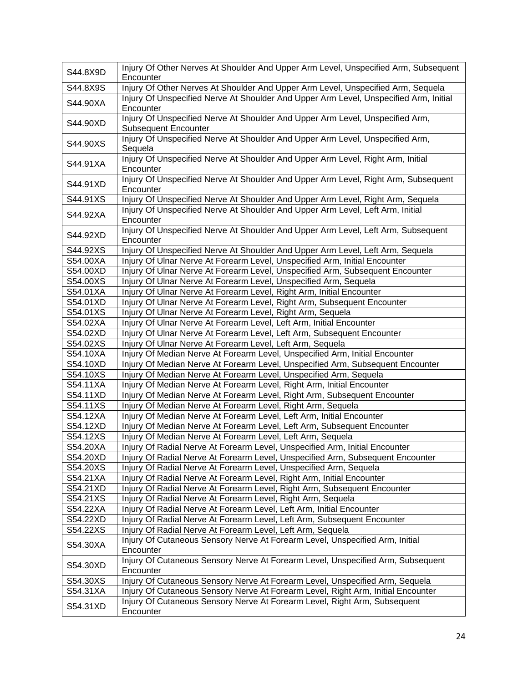| S44.8X9D             | Injury Of Other Nerves At Shoulder And Upper Arm Level, Unspecified Arm, Subsequent<br>Encounter                                                  |
|----------------------|---------------------------------------------------------------------------------------------------------------------------------------------------|
| S44.8X9S             | Injury Of Other Nerves At Shoulder And Upper Arm Level, Unspecified Arm, Sequela                                                                  |
| S44.90XA             | Injury Of Unspecified Nerve At Shoulder And Upper Arm Level, Unspecified Arm, Initial<br>Encounter                                                |
| S44.90XD             | Injury Of Unspecified Nerve At Shoulder And Upper Arm Level, Unspecified Arm,<br><b>Subsequent Encounter</b>                                      |
| S44.90XS             | Injury Of Unspecified Nerve At Shoulder And Upper Arm Level, Unspecified Arm,<br>Sequela                                                          |
| S44.91XA             | Injury Of Unspecified Nerve At Shoulder And Upper Arm Level, Right Arm, Initial<br>Encounter                                                      |
| S44.91XD             | Injury Of Unspecified Nerve At Shoulder And Upper Arm Level, Right Arm, Subsequent<br>Encounter                                                   |
| S44.91XS             | Injury Of Unspecified Nerve At Shoulder And Upper Arm Level, Right Arm, Sequela                                                                   |
| S44.92XA             | Injury Of Unspecified Nerve At Shoulder And Upper Arm Level, Left Arm, Initial<br>Encounter                                                       |
| S44.92XD             | Injury Of Unspecified Nerve At Shoulder And Upper Arm Level, Left Arm, Subsequent<br>Encounter                                                    |
| S44.92XS             | Injury Of Unspecified Nerve At Shoulder And Upper Arm Level, Left Arm, Sequela                                                                    |
| S54.00XA             | Injury Of Ulnar Nerve At Forearm Level, Unspecified Arm, Initial Encounter                                                                        |
| S54.00XD             | Injury Of Ulnar Nerve At Forearm Level, Unspecified Arm, Subsequent Encounter                                                                     |
| S54.00XS             | Injury Of Ulnar Nerve At Forearm Level, Unspecified Arm, Sequela                                                                                  |
| S54.01XA             | Injury Of Ulnar Nerve At Forearm Level, Right Arm, Initial Encounter                                                                              |
| S54.01XD             | Injury Of Ulnar Nerve At Forearm Level, Right Arm, Subsequent Encounter                                                                           |
| S54.01XS             | Injury Of Ulnar Nerve At Forearm Level, Right Arm, Sequela                                                                                        |
| S54.02XA             | Injury Of Ulnar Nerve At Forearm Level, Left Arm, Initial Encounter                                                                               |
| S54.02XD             | Injury Of Ulnar Nerve At Forearm Level, Left Arm, Subsequent Encounter                                                                            |
| S54.02XS             | Injury Of Ulnar Nerve At Forearm Level, Left Arm, Sequela                                                                                         |
| S54.10XA             | Injury Of Median Nerve At Forearm Level, Unspecified Arm, Initial Encounter                                                                       |
| S54.10XD             | Injury Of Median Nerve At Forearm Level, Unspecified Arm, Subsequent Encounter                                                                    |
| S54.10XS             | Injury Of Median Nerve At Forearm Level, Unspecified Arm, Sequela                                                                                 |
| S54.11XA             | Injury Of Median Nerve At Forearm Level, Right Arm, Initial Encounter                                                                             |
| S54.11XD             | Injury Of Median Nerve At Forearm Level, Right Arm, Subsequent Encounter                                                                          |
| S54.11XS             | Injury Of Median Nerve At Forearm Level, Right Arm, Sequela                                                                                       |
| S54.12XA             | Injury Of Median Nerve At Forearm Level, Left Arm, Initial Encounter                                                                              |
| S54.12XD             | Injury Of Median Nerve At Forearm Level, Left Arm, Subsequent Encounter                                                                           |
| S54.12XS             | Injury Of Median Nerve At Forearm Level, Left Arm, Sequela                                                                                        |
| S54.20XA             | Injury Of Radial Nerve At Forearm Level, Unspecified Arm, Initial Encounter                                                                       |
| S54.20XD             | Injury Of Radial Nerve At Forearm Level, Unspecified Arm, Subsequent Encounter                                                                    |
| S54.20XS             | Injury Of Radial Nerve At Forearm Level, Unspecified Arm, Sequela                                                                                 |
| S54.21XA             | Injury Of Radial Nerve At Forearm Level, Right Arm, Initial Encounter<br>Injury Of Radial Nerve At Forearm Level, Right Arm, Subsequent Encounter |
| S54.21XD<br>S54.21XS | Injury Of Radial Nerve At Forearm Level, Right Arm, Sequela                                                                                       |
| S54.22XA             | Injury Of Radial Nerve At Forearm Level, Left Arm, Initial Encounter                                                                              |
| S54.22XD             | Injury Of Radial Nerve At Forearm Level, Left Arm, Subsequent Encounter                                                                           |
| S54.22XS             | Injury Of Radial Nerve At Forearm Level, Left Arm, Sequela                                                                                        |
| S54.30XA             | Injury Of Cutaneous Sensory Nerve At Forearm Level, Unspecified Arm, Initial<br>Encounter                                                         |
| S54.30XD             | Injury Of Cutaneous Sensory Nerve At Forearm Level, Unspecified Arm, Subsequent<br>Encounter                                                      |
| S54.30XS             | Injury Of Cutaneous Sensory Nerve At Forearm Level, Unspecified Arm, Sequela                                                                      |
| S54.31XA             | Injury Of Cutaneous Sensory Nerve At Forearm Level, Right Arm, Initial Encounter                                                                  |
| S54.31XD             | Injury Of Cutaneous Sensory Nerve At Forearm Level, Right Arm, Subsequent<br>Encounter                                                            |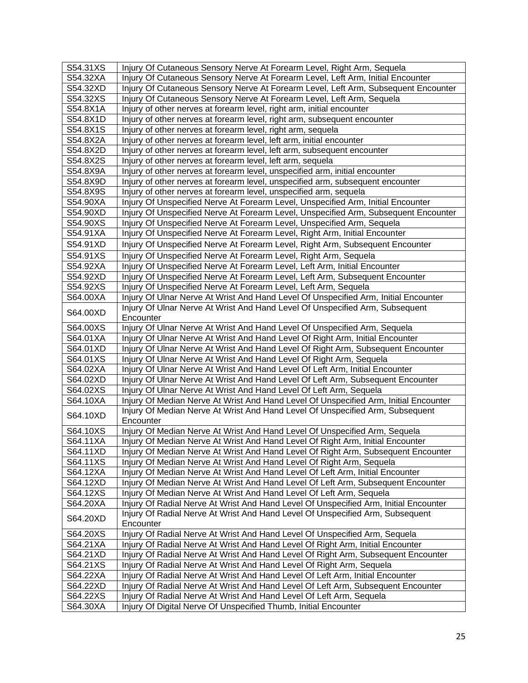| S54.31XS<br>S54.32XA | Injury Of Cutaneous Sensory Nerve At Forearm Level, Right Arm, Sequela<br>Injury Of Cutaneous Sensory Nerve At Forearm Level, Left Arm, Initial Encounter |
|----------------------|-----------------------------------------------------------------------------------------------------------------------------------------------------------|
| S54.32XD             | Injury Of Cutaneous Sensory Nerve At Forearm Level, Left Arm, Subsequent Encounter                                                                        |
| S54.32XS             | Injury Of Cutaneous Sensory Nerve At Forearm Level, Left Arm, Sequela                                                                                     |
| S54.8X1A             | Injury of other nerves at forearm level, right arm, initial encounter                                                                                     |
| S54.8X1D             | Injury of other nerves at forearm level, right arm, subsequent encounter                                                                                  |
| S54.8X1S             | Injury of other nerves at forearm level, right arm, sequela                                                                                               |
| S54.8X2A             | Injury of other nerves at forearm level, left arm, initial encounter                                                                                      |
| S54.8X2D             | Injury of other nerves at forearm level, left arm, subsequent encounter                                                                                   |
| S54.8X2S             | Injury of other nerves at forearm level, left arm, sequela                                                                                                |
| S54.8X9A             | Injury of other nerves at forearm level, unspecified arm, initial encounter                                                                               |
| S54.8X9D             | Injury of other nerves at forearm level, unspecified arm, subsequent encounter                                                                            |
| S54.8X9S             | Injury of other nerves at forearm level, unspecified arm, sequela                                                                                         |
| S54.90XA             | Injury Of Unspecified Nerve At Forearm Level, Unspecified Arm, Initial Encounter                                                                          |
| S54.90XD             | Injury Of Unspecified Nerve At Forearm Level, Unspecified Arm, Subsequent Encounter                                                                       |
| S54.90XS             | Injury Of Unspecified Nerve At Forearm Level, Unspecified Arm, Sequela                                                                                    |
| S54.91XA             | Injury Of Unspecified Nerve At Forearm Level, Right Arm, Initial Encounter                                                                                |
| S54.91XD             | Injury Of Unspecified Nerve At Forearm Level, Right Arm, Subsequent Encounter                                                                             |
| S54.91XS             | Injury Of Unspecified Nerve At Forearm Level, Right Arm, Sequela                                                                                          |
| S54.92XA             | Injury Of Unspecified Nerve At Forearm Level, Left Arm, Initial Encounter                                                                                 |
| S54.92XD             | Injury Of Unspecified Nerve At Forearm Level, Left Arm, Subsequent Encounter                                                                              |
| S54.92XS             | Injury Of Unspecified Nerve At Forearm Level, Left Arm, Sequela                                                                                           |
| S64.00XA             | Injury Of Ulnar Nerve At Wrist And Hand Level Of Unspecified Arm, Initial Encounter                                                                       |
|                      | Injury Of Ulnar Nerve At Wrist And Hand Level Of Unspecified Arm, Subsequent                                                                              |
| S64.00XD             | Encounter                                                                                                                                                 |
| S64.00XS             | Injury Of Ulnar Nerve At Wrist And Hand Level Of Unspecified Arm, Sequela                                                                                 |
| S64.01XA             | Injury Of Ulnar Nerve At Wrist And Hand Level Of Right Arm, Initial Encounter                                                                             |
| S64.01XD             | Injury Of Ulnar Nerve At Wrist And Hand Level Of Right Arm, Subsequent Encounter                                                                          |
| S64.01XS             | Injury Of Ulnar Nerve At Wrist And Hand Level Of Right Arm, Sequela                                                                                       |
| S64.02XA             | Injury Of Ulnar Nerve At Wrist And Hand Level Of Left Arm, Initial Encounter                                                                              |
| S64.02XD             | Injury Of Ulnar Nerve At Wrist And Hand Level Of Left Arm, Subsequent Encounter                                                                           |
| S64.02XS             | Injury Of Ulnar Nerve At Wrist And Hand Level Of Left Arm, Sequela                                                                                        |
| S64.10XA             | Injury Of Median Nerve At Wrist And Hand Level Of Unspecified Arm, Initial Encounter                                                                      |
| S64.10XD             | Injury Of Median Nerve At Wrist And Hand Level Of Unspecified Arm, Subsequent<br>Encounter                                                                |
| S64.10XS             | Injury Of Median Nerve At Wrist And Hand Level Of Unspecified Arm, Sequela                                                                                |
| S64.11XA             | Injury Of Median Nerve At Wrist And Hand Level Of Right Arm, Initial Encounter                                                                            |
| S64.11XD             | Injury Of Median Nerve At Wrist And Hand Level Of Right Arm, Subsequent Encounter                                                                         |
| S64.11XS             | Injury Of Median Nerve At Wrist And Hand Level Of Right Arm, Sequela                                                                                      |
| S64.12XA             | Injury Of Median Nerve At Wrist And Hand Level Of Left Arm, Initial Encounter                                                                             |
| S64.12XD             | Injury Of Median Nerve At Wrist And Hand Level Of Left Arm, Subsequent Encounter                                                                          |
| S64.12XS             | Injury Of Median Nerve At Wrist And Hand Level Of Left Arm, Sequela                                                                                       |
| S64.20XA             | Injury Of Radial Nerve At Wrist And Hand Level Of Unspecified Arm, Initial Encounter                                                                      |
| S64.20XD             | Injury Of Radial Nerve At Wrist And Hand Level Of Unspecified Arm, Subsequent<br>Encounter                                                                |
| S64.20XS             | Injury Of Radial Nerve At Wrist And Hand Level Of Unspecified Arm, Sequela                                                                                |
| S64.21XA             | Injury Of Radial Nerve At Wrist And Hand Level Of Right Arm, Initial Encounter                                                                            |
| S64.21XD             | Injury Of Radial Nerve At Wrist And Hand Level Of Right Arm, Subsequent Encounter                                                                         |
| S64.21XS             | Injury Of Radial Nerve At Wrist And Hand Level Of Right Arm, Sequela                                                                                      |
| S64.22XA             | Injury Of Radial Nerve At Wrist And Hand Level Of Left Arm, Initial Encounter                                                                             |
| S64.22XD             | Injury Of Radial Nerve At Wrist And Hand Level Of Left Arm, Subsequent Encounter                                                                          |
| S64.22XS             | Injury Of Radial Nerve At Wrist And Hand Level Of Left Arm, Sequela                                                                                       |
| S64.30XA             | Injury Of Digital Nerve Of Unspecified Thumb, Initial Encounter                                                                                           |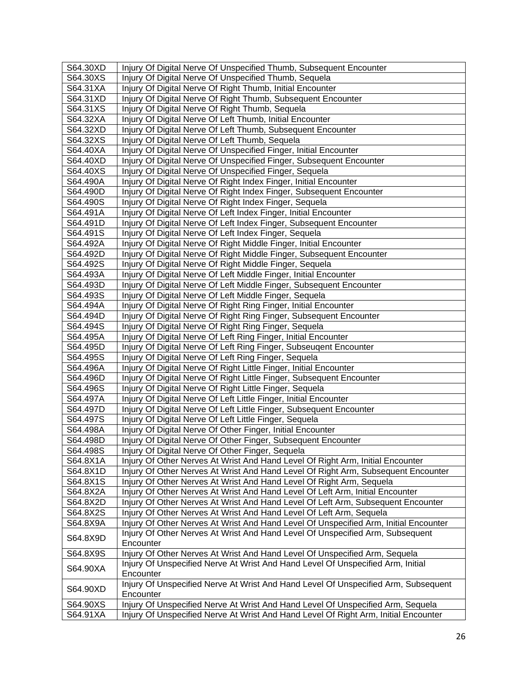| S64.30XD | Injury Of Digital Nerve Of Unspecified Thumb, Subsequent Encounter                              |
|----------|-------------------------------------------------------------------------------------------------|
| S64.30XS | Injury Of Digital Nerve Of Unspecified Thumb, Sequela                                           |
| S64.31XA | Injury Of Digital Nerve Of Right Thumb, Initial Encounter                                       |
| S64.31XD | Injury Of Digital Nerve Of Right Thumb, Subsequent Encounter                                    |
| S64.31XS | Injury Of Digital Nerve Of Right Thumb, Sequela                                                 |
| S64.32XA | Injury Of Digital Nerve Of Left Thumb, Initial Encounter                                        |
| S64.32XD | Injury Of Digital Nerve Of Left Thumb, Subsequent Encounter                                     |
| S64.32XS | Injury Of Digital Nerve Of Left Thumb, Sequela                                                  |
| S64.40XA | Injury Of Digital Nerve Of Unspecified Finger, Initial Encounter                                |
| S64.40XD | Injury Of Digital Nerve Of Unspecified Finger, Subsequent Encounter                             |
| S64.40XS | Injury Of Digital Nerve Of Unspecified Finger, Sequela                                          |
| S64.490A | Injury Of Digital Nerve Of Right Index Finger, Initial Encounter                                |
| S64.490D | Injury Of Digital Nerve Of Right Index Finger, Subsequent Encounter                             |
| S64.490S | Injury Of Digital Nerve Of Right Index Finger, Sequela                                          |
| S64.491A | Injury Of Digital Nerve Of Left Index Finger, Initial Encounter                                 |
| S64.491D | Injury Of Digital Nerve Of Left Index Finger, Subsequent Encounter                              |
| S64.491S | Injury Of Digital Nerve Of Left Index Finger, Sequela                                           |
| S64.492A | Injury Of Digital Nerve Of Right Middle Finger, Initial Encounter                               |
| S64.492D | Injury Of Digital Nerve Of Right Middle Finger, Subsequent Encounter                            |
| S64.492S | Injury Of Digital Nerve Of Right Middle Finger, Sequela                                         |
| S64.493A | Injury Of Digital Nerve Of Left Middle Finger, Initial Encounter                                |
| S64.493D | Injury Of Digital Nerve Of Left Middle Finger, Subsequent Encounter                             |
| S64.493S | Injury Of Digital Nerve Of Left Middle Finger, Sequela                                          |
| S64.494A | Injury Of Digital Nerve Of Right Ring Finger, Initial Encounter                                 |
| S64.494D | Injury Of Digital Nerve Of Right Ring Finger, Subsequent Encounter                              |
| S64.494S | Injury Of Digital Nerve Of Right Ring Finger, Sequela                                           |
| S64.495A | Injury Of Digital Nerve Of Left Ring Finger, Initial Encounter                                  |
| S64.495D | Injury Of Digital Nerve Of Left Ring Finger, Subseugent Encounter                               |
| S64.495S | Injury Of Digital Nerve Of Left Ring Finger, Sequela                                            |
| S64.496A | Injury Of Digital Nerve Of Right Little Finger, Initial Encounter                               |
| S64.496D | Injury Of Digital Nerve Of Right Little Finger, Subsequent Encounter                            |
| S64.496S | Injury Of Digital Nerve Of Right Little Finger, Sequela                                         |
| S64.497A | Injury Of Digital Nerve Of Left Little Finger, Initial Encounter                                |
| S64.497D | Injury Of Digital Nerve Of Left Little Finger, Subsequent Encounter                             |
| S64.497S | Injury Of Digital Nerve Of Left Little Finger, Sequela                                          |
| S64.498A | Injury Of Digital Nerve Of Other Finger, Initial Encounter                                      |
| S64.498D | Injury Of Digital Nerve Of Other Finger, Subsequent Encounter                                   |
| S64.498S | Injury Of Digital Nerve Of Other Finger, Sequela                                                |
| S64.8X1A | Injury Of Other Nerves At Wrist And Hand Level Of Right Arm, Initial Encounter                  |
| S64.8X1D | Injury Of Other Nerves At Wrist And Hand Level Of Right Arm, Subsequent Encounter               |
| S64.8X1S | Injury Of Other Nerves At Wrist And Hand Level Of Right Arm, Sequela                            |
| S64.8X2A | Injury Of Other Nerves At Wrist And Hand Level Of Left Arm, Initial Encounter                   |
| S64.8X2D | Injury Of Other Nerves At Wrist And Hand Level Of Left Arm, Subsequent Encounter                |
| S64.8X2S | Injury Of Other Nerves At Wrist And Hand Level Of Left Arm, Sequela                             |
| S64.8X9A | Injury Of Other Nerves At Wrist And Hand Level Of Unspecified Arm, Initial Encounter            |
| S64.8X9D | Injury Of Other Nerves At Wrist And Hand Level Of Unspecified Arm, Subsequent<br>Encounter      |
| S64.8X9S | Injury Of Other Nerves At Wrist And Hand Level Of Unspecified Arm, Sequela                      |
| S64.90XA | Injury Of Unspecified Nerve At Wrist And Hand Level Of Unspecified Arm, Initial<br>Encounter    |
| S64.90XD | Injury Of Unspecified Nerve At Wrist And Hand Level Of Unspecified Arm, Subsequent<br>Encounter |
| S64.90XS | Injury Of Unspecified Nerve At Wrist And Hand Level Of Unspecified Arm, Sequela                 |
| S64.91XA | Injury Of Unspecified Nerve At Wrist And Hand Level Of Right Arm, Initial Encounter             |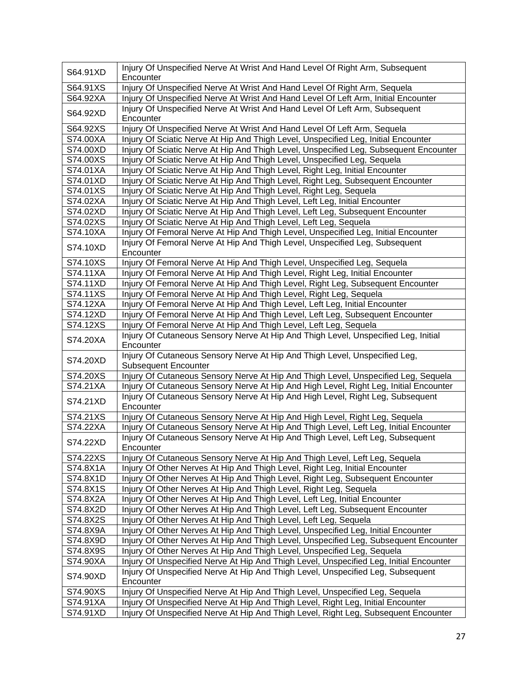| S64.91XD | Injury Of Unspecified Nerve At Wrist And Hand Level Of Right Arm, Subsequent                              |
|----------|-----------------------------------------------------------------------------------------------------------|
|          | Encounter                                                                                                 |
| S64.91XS | Injury Of Unspecified Nerve At Wrist And Hand Level Of Right Arm, Sequela                                 |
| S64.92XA | Injury Of Unspecified Nerve At Wrist And Hand Level Of Left Arm, Initial Encounter                        |
| S64.92XD | Injury Of Unspecified Nerve At Wrist And Hand Level Of Left Arm, Subsequent<br>Encounter                  |
| S64.92XS | Injury Of Unspecified Nerve At Wrist And Hand Level Of Left Arm, Sequela                                  |
| S74.00XA | Injury Of Sciatic Nerve At Hip And Thigh Level, Unspecified Leg, Initial Encounter                        |
| S74.00XD | Injury Of Sciatic Nerve At Hip And Thigh Level, Unspecified Leg, Subsequent Encounter                     |
| S74.00XS | Injury Of Sciatic Nerve At Hip And Thigh Level, Unspecified Leg, Sequela                                  |
| S74.01XA | Injury Of Sciatic Nerve At Hip And Thigh Level, Right Leg, Initial Encounter                              |
| S74.01XD | Injury Of Sciatic Nerve At Hip And Thigh Level, Right Leg, Subsequent Encounter                           |
| S74.01XS | Injury Of Sciatic Nerve At Hip And Thigh Level, Right Leg, Sequela                                        |
| S74.02XA | Injury Of Sciatic Nerve At Hip And Thigh Level, Left Leg, Initial Encounter                               |
| S74.02XD | Injury Of Sciatic Nerve At Hip And Thigh Level, Left Leg, Subsequent Encounter                            |
| S74.02XS | Injury Of Sciatic Nerve At Hip And Thigh Level, Left Leg, Sequela                                         |
| S74.10XA | Injury Of Femoral Nerve At Hip And Thigh Level, Unspecified Leg, Initial Encounter                        |
| S74.10XD | Injury Of Femoral Nerve At Hip And Thigh Level, Unspecified Leg, Subsequent<br>Encounter                  |
| S74.10XS | Injury Of Femoral Nerve At Hip And Thigh Level, Unspecified Leg, Sequela                                  |
| S74.11XA | Injury Of Femoral Nerve At Hip And Thigh Level, Right Leg, Initial Encounter                              |
| S74.11XD | Injury Of Femoral Nerve At Hip And Thigh Level, Right Leg, Subsequent Encounter                           |
| S74.11XS | Injury Of Femoral Nerve At Hip And Thigh Level, Right Leg, Sequela                                        |
| S74.12XA | Injury Of Femoral Nerve At Hip And Thigh Level, Left Leg, Initial Encounter                               |
| S74.12XD | Injury Of Femoral Nerve At Hip And Thigh Level, Left Leg, Subsequent Encounter                            |
| S74.12XS | Injury Of Femoral Nerve At Hip And Thigh Level, Left Leg, Sequela                                         |
| S74.20XA | Injury Of Cutaneous Sensory Nerve At Hip And Thigh Level, Unspecified Leg, Initial<br>Encounter           |
| S74.20XD | Injury Of Cutaneous Sensory Nerve At Hip And Thigh Level, Unspecified Leg,<br><b>Subsequent Encounter</b> |
| S74.20XS | Injury Of Cutaneous Sensory Nerve At Hip And Thigh Level, Unspecified Leg, Sequela                        |
| S74.21XA | Injury Of Cutaneous Sensory Nerve At Hip And High Level, Right Leg, Initial Encounter                     |
| S74.21XD | Injury Of Cutaneous Sensory Nerve At Hip And High Level, Right Leg, Subsequent<br>Encounter               |
| S74.21XS | Injury Of Cutaneous Sensory Nerve At Hip And High Level, Right Leg, Sequela                               |
| S74.22XA | Injury Of Cutaneous Sensory Nerve At Hip And Thigh Level, Left Leg, Initial Encounter                     |
| S74.22XD | Injury Of Cutaneous Sensory Nerve At Hip And Thigh Level, Left Leg, Subsequent<br>Encounter               |
| S74.22XS | Injury Of Cutaneous Sensory Nerve At Hip And Thigh Level, Left Leg, Sequela                               |
| S74.8X1A | Injury Of Other Nerves At Hip And Thigh Level, Right Leg, Initial Encounter                               |
| S74.8X1D | Injury Of Other Nerves At Hip And Thigh Level, Right Leg, Subsequent Encounter                            |
| S74.8X1S | Injury Of Other Nerves At Hip And Thigh Level, Right Leg, Sequela                                         |
| S74.8X2A | Injury Of Other Nerves At Hip And Thigh Level, Left Leg, Initial Encounter                                |
| S74.8X2D | Injury Of Other Nerves At Hip And Thigh Level, Left Leg, Subsequent Encounter                             |
| S74.8X2S | Injury Of Other Nerves At Hip And Thigh Level, Left Leg, Sequela                                          |
| S74.8X9A | Injury Of Other Nerves At Hip And Thigh Level, Unspecified Leg, Initial Encounter                         |
| S74.8X9D | Injury Of Other Nerves At Hip And Thigh Level, Unspecified Leg, Subsequent Encounter                      |
| S74.8X9S | Injury Of Other Nerves At Hip And Thigh Level, Unspecified Leg, Sequela                                   |
| S74.90XA | Injury Of Unspecified Nerve At Hip And Thigh Level, Unspecified Leg, Initial Encounter                    |
| S74.90XD | Injury Of Unspecified Nerve At Hip And Thigh Level, Unspecified Leg, Subsequent<br>Encounter              |
| S74.90XS | Injury Of Unspecified Nerve At Hip And Thigh Level, Unspecified Leg, Sequela                              |
| S74.91XA | Injury Of Unspecified Nerve At Hip And Thigh Level, Right Leg, Initial Encounter                          |
| S74.91XD | Injury Of Unspecified Nerve At Hip And Thigh Level, Right Leg, Subsequent Encounter                       |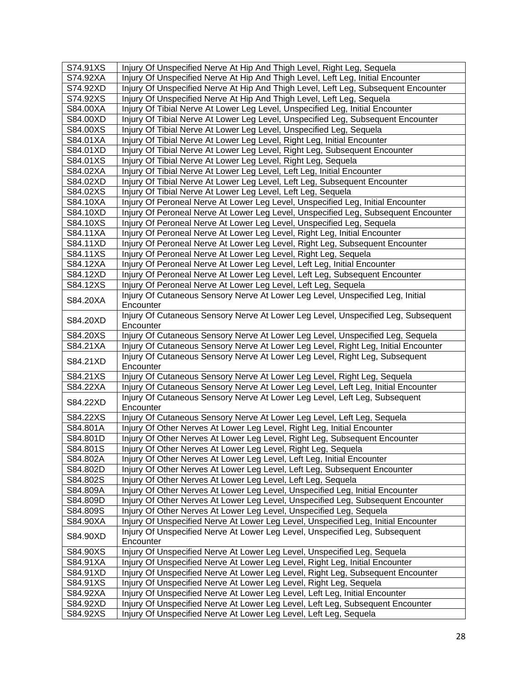| S74.91XS | Injury Of Unspecified Nerve At Hip And Thigh Level, Right Leg, Sequela                   |
|----------|------------------------------------------------------------------------------------------|
| S74.92XA | Injury Of Unspecified Nerve At Hip And Thigh Level, Left Leg, Initial Encounter          |
| S74.92XD | Injury Of Unspecified Nerve At Hip And Thigh Level, Left Leg, Subsequent Encounter       |
| S74.92XS | Injury Of Unspecified Nerve At Hip And Thigh Level, Left Leg, Sequela                    |
| S84.00XA | Injury Of Tibial Nerve At Lower Leg Level, Unspecified Leg, Initial Encounter            |
| S84.00XD | Injury Of Tibial Nerve At Lower Leg Level, Unspecified Leg, Subsequent Encounter         |
| S84.00XS | Injury Of Tibial Nerve At Lower Leg Level, Unspecified Leg, Sequela                      |
| S84.01XA | Injury Of Tibial Nerve At Lower Leg Level, Right Leg, Initial Encounter                  |
| S84.01XD | Injury Of Tibial Nerve At Lower Leg Level, Right Leg, Subsequent Encounter               |
| S84.01XS | Injury Of Tibial Nerve At Lower Leg Level, Right Leg, Sequela                            |
| S84.02XA | Injury Of Tibial Nerve At Lower Leg Level, Left Leg, Initial Encounter                   |
| S84.02XD | Injury Of Tibial Nerve At Lower Leg Level, Left Leg, Subsequent Encounter                |
| S84.02XS | Injury Of Tibial Nerve At Lower Leg Level, Left Leg, Sequela                             |
| S84.10XA | Injury Of Peroneal Nerve At Lower Leg Level, Unspecified Leg, Initial Encounter          |
| S84.10XD | Injury Of Peroneal Nerve At Lower Leg Level, Unspecified Leg, Subsequent Encounter       |
| S84.10XS | Injury Of Peroneal Nerve At Lower Leg Level, Unspecified Leg, Sequela                    |
| S84.11XA | Injury Of Peroneal Nerve At Lower Leg Level, Right Leg, Initial Encounter                |
| S84.11XD | Injury Of Peroneal Nerve At Lower Leg Level, Right Leg, Subsequent Encounter             |
| S84.11XS | Injury Of Peroneal Nerve At Lower Leg Level, Right Leg, Sequela                          |
| S84.12XA | Injury Of Peroneal Nerve At Lower Leg Level, Left Leg, Initial Encounter                 |
| S84.12XD | Injury Of Peroneal Nerve At Lower Leg Level, Left Leg, Subsequent Encounter              |
| S84.12XS | Injury Of Peroneal Nerve At Lower Leg Level, Left Leg, Sequela                           |
| S84.20XA | Injury Of Cutaneous Sensory Nerve At Lower Leg Level, Unspecified Leg, Initial           |
|          | Encounter                                                                                |
| S84.20XD | Injury Of Cutaneous Sensory Nerve At Lower Leg Level, Unspecified Leg, Subsequent        |
|          | Encounter                                                                                |
|          |                                                                                          |
| S84.20XS | Injury Of Cutaneous Sensory Nerve At Lower Leg Level, Unspecified Leg, Sequela           |
| S84.21XA | Injury Of Cutaneous Sensory Nerve At Lower Leg Level, Right Leg, Initial Encounter       |
| S84.21XD | Injury Of Cutaneous Sensory Nerve At Lower Leg Level, Right Leg, Subsequent<br>Encounter |
| S84.21XS | Injury Of Cutaneous Sensory Nerve At Lower Leg Level, Right Leg, Sequela                 |
| S84.22XA | Injury Of Cutaneous Sensory Nerve At Lower Leg Level, Left Leg, Initial Encounter        |
|          | Injury Of Cutaneous Sensory Nerve At Lower Leg Level, Left Leg, Subsequent               |
| S84.22XD | Encounter                                                                                |
| S84.22XS | Injury Of Cutaneous Sensory Nerve At Lower Leg Level, Left Leg, Sequela                  |
| S84.801A | Injury Of Other Nerves At Lower Leg Level, Right Leg, Initial Encounter                  |
| S84.801D | Injury Of Other Nerves At Lower Leg Level, Right Leg, Subsequent Encounter               |
| S84.801S | Injury Of Other Nerves At Lower Leg Level, Right Leg, Sequela                            |
| S84.802A | Injury Of Other Nerves At Lower Leg Level, Left Leg, Initial Encounter                   |
| S84.802D | Injury Of Other Nerves At Lower Leg Level, Left Leg, Subsequent Encounter                |
| S84.802S | Injury Of Other Nerves At Lower Leg Level, Left Leg, Sequela                             |
| S84.809A | Injury Of Other Nerves At Lower Leg Level, Unspecified Leg, Initial Encounter            |
| S84.809D | Injury Of Other Nerves At Lower Leg Level, Unspecified Leg, Subsequent Encounter         |
| S84.809S | Injury Of Other Nerves At Lower Leg Level, Unspecified Leg, Sequela                      |
| S84.90XA | Injury Of Unspecified Nerve At Lower Leg Level, Unspecified Leg, Initial Encounter       |
| S84.90XD | Injury Of Unspecified Nerve At Lower Leg Level, Unspecified Leg, Subsequent<br>Encounter |
| S84.90XS | Injury Of Unspecified Nerve At Lower Leg Level, Unspecified Leg, Sequela                 |
| S84.91XA | Injury Of Unspecified Nerve At Lower Leg Level, Right Leg, Initial Encounter             |
| S84.91XD | Injury Of Unspecified Nerve At Lower Leg Level, Right Leg, Subsequent Encounter          |
| S84.91XS | Injury Of Unspecified Nerve At Lower Leg Level, Right Leg, Sequela                       |
| S84.92XA | Injury Of Unspecified Nerve At Lower Leg Level, Left Leg, Initial Encounter              |
| S84.92XD | Injury Of Unspecified Nerve At Lower Leg Level, Left Leg, Subsequent Encounter           |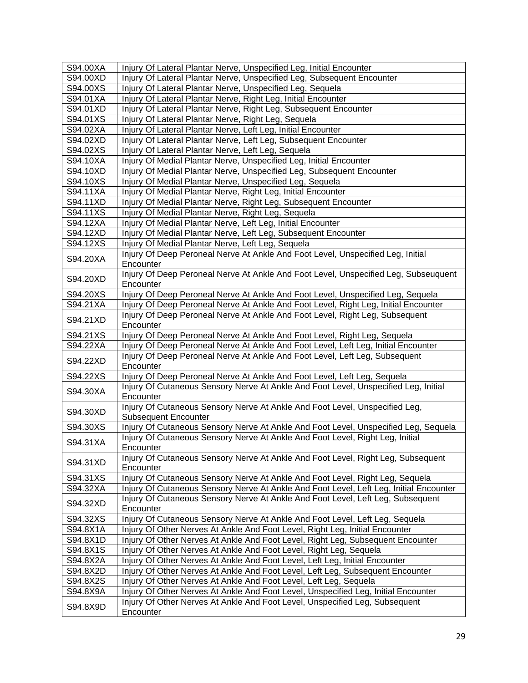| S94.00XA | Injury Of Lateral Plantar Nerve, Unspecified Leg, Initial Encounter                                                                                                     |
|----------|-------------------------------------------------------------------------------------------------------------------------------------------------------------------------|
| S94.00XD | Injury Of Lateral Plantar Nerve, Unspecified Leg, Subsequent Encounter                                                                                                  |
| S94.00XS | Injury Of Lateral Plantar Nerve, Unspecified Leg, Sequela                                                                                                               |
| S94.01XA | Injury Of Lateral Plantar Nerve, Right Leg, Initial Encounter                                                                                                           |
| S94.01XD | Injury Of Lateral Plantar Nerve, Right Leg, Subsequent Encounter                                                                                                        |
| S94.01XS | Injury Of Lateral Plantar Nerve, Right Leg, Sequela                                                                                                                     |
| S94.02XA | Injury Of Lateral Plantar Nerve, Left Leg, Initial Encounter                                                                                                            |
| S94.02XD | Injury Of Lateral Plantar Nerve, Left Leg, Subsequent Encounter                                                                                                         |
| S94.02XS | Injury Of Lateral Plantar Nerve, Left Leg, Sequela                                                                                                                      |
| S94.10XA | Injury Of Medial Plantar Nerve, Unspecified Leg, Initial Encounter                                                                                                      |
| S94.10XD | Injury Of Medial Plantar Nerve, Unspecified Leg, Subsequent Encounter                                                                                                   |
| S94.10XS | Injury Of Medial Plantar Nerve, Unspecified Leg, Sequela                                                                                                                |
| S94.11XA | Injury Of Medial Plantar Nerve, Right Leg, Initial Encounter                                                                                                            |
| S94.11XD | Injury Of Medial Plantar Nerve, Right Leg, Subsequent Encounter                                                                                                         |
| S94.11XS | Injury Of Medial Plantar Nerve, Right Leg, Sequela                                                                                                                      |
| S94.12XA | Injury Of Medial Plantar Nerve, Left Leg, Initial Encounter                                                                                                             |
| S94.12XD | Injury Of Medial Plantar Nerve, Left Leg, Subsequent Encounter                                                                                                          |
| S94.12XS | Injury Of Medial Plantar Nerve, Left Leg, Sequela                                                                                                                       |
|          | Injury Of Deep Peroneal Nerve At Ankle And Foot Level, Unspecified Leg, Initial                                                                                         |
| S94.20XA | Encounter                                                                                                                                                               |
| S94.20XD | Injury Of Deep Peroneal Nerve At Ankle And Foot Level, Unspecified Leg, Subseuquent                                                                                     |
|          | Encounter                                                                                                                                                               |
| S94.20XS | Injury Of Deep Peroneal Nerve At Ankle And Foot Level, Unspecified Leg, Sequela                                                                                         |
| S94.21XA | Injury Of Deep Peroneal Nerve At Ankle And Foot Level, Right Leg, Initial Encounter                                                                                     |
| S94.21XD | Injury Of Deep Peroneal Nerve At Ankle And Foot Level, Right Leg, Subsequent                                                                                            |
|          | Encounter                                                                                                                                                               |
| S94.21XS | Injury Of Deep Peroneal Nerve At Ankle And Foot Level, Right Leg, Sequela                                                                                               |
| S94.22XA | Injury Of Deep Peroneal Nerve At Ankle And Foot Level, Left Leg, Initial Encounter                                                                                      |
| S94.22XD | Injury Of Deep Peroneal Nerve At Ankle And Foot Level, Left Leg, Subsequent                                                                                             |
|          | Encounter                                                                                                                                                               |
| S94.22XS | Injury Of Deep Peroneal Nerve At Ankle And Foot Level, Left Leg, Sequela                                                                                                |
| S94.30XA | Injury Of Cutaneous Sensory Nerve At Ankle And Foot Level, Unspecified Leg, Initial                                                                                     |
|          | Encounter                                                                                                                                                               |
| S94.30XD | Injury Of Cutaneous Sensory Nerve At Ankle And Foot Level, Unspecified Leg,                                                                                             |
|          | <b>Subsequent Encounter</b>                                                                                                                                             |
| S94.30XS | Injury Of Cutaneous Sensory Nerve At Ankle And Foot Level, Unspecified Leg, Sequela                                                                                     |
| S94.31XA | Injury Of Cutaneous Sensory Nerve At Ankle And Foot Level, Right Leg, Initial                                                                                           |
|          | Encounter                                                                                                                                                               |
| S94.31XD | Injury Of Cutaneous Sensory Nerve At Ankle And Foot Level, Right Leg, Subsequent                                                                                        |
|          | Encounter                                                                                                                                                               |
| S94.31XS | Injury Of Cutaneous Sensory Nerve At Ankle And Foot Level, Right Leg, Sequela<br>Injury Of Cutaneous Sensory Nerve At Ankle And Foot Level, Left Leg, Initial Encounter |
| S94.32XA | Injury Of Cutaneous Sensory Nerve At Ankle And Foot Level, Left Leg, Subsequent                                                                                         |
| S94.32XD | Encounter                                                                                                                                                               |
| S94.32XS | Injury Of Cutaneous Sensory Nerve At Ankle And Foot Level, Left Leg, Sequela                                                                                            |
| S94.8X1A | Injury Of Other Nerves At Ankle And Foot Level, Right Leg, Initial Encounter                                                                                            |
| S94.8X1D | Injury Of Other Nerves At Ankle And Foot Level, Right Leg, Subsequent Encounter                                                                                         |
| S94.8X1S | Injury Of Other Nerves At Ankle And Foot Level, Right Leg, Sequela                                                                                                      |
| S94.8X2A | Injury Of Other Nerves At Ankle And Foot Level, Left Leg, Initial Encounter                                                                                             |
| S94.8X2D | Injury Of Other Nerves At Ankle And Foot Level, Left Leg, Subsequent Encounter                                                                                          |
| S94.8X2S | Injury Of Other Nerves At Ankle And Foot Level, Left Leg, Sequela                                                                                                       |
| S94.8X9A | Injury Of Other Nerves At Ankle And Foot Level, Unspecified Leg, Initial Encounter                                                                                      |
| S94.8X9D | Injury Of Other Nerves At Ankle And Foot Level, Unspecified Leg, Subsequent                                                                                             |
|          | Encounter                                                                                                                                                               |
|          |                                                                                                                                                                         |